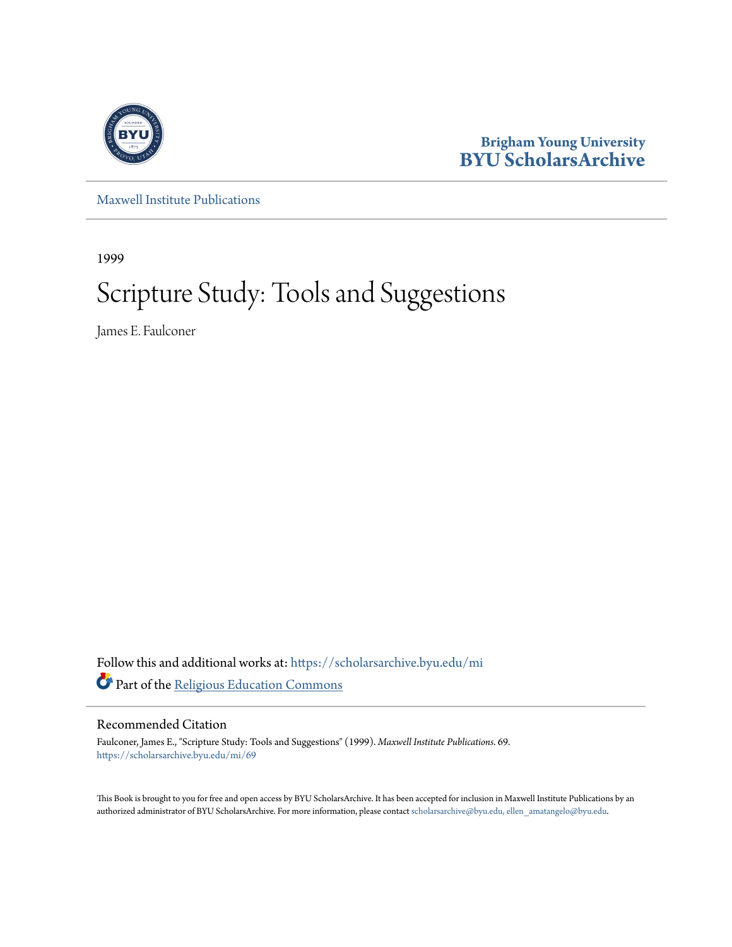

## **Brigham Young University [BYU ScholarsArchive](https://scholarsarchive.byu.edu?utm_source=scholarsarchive.byu.edu%2Fmi%2F69&utm_medium=PDF&utm_campaign=PDFCoverPages)**

[Maxwell Institute Publications](https://scholarsarchive.byu.edu/mi?utm_source=scholarsarchive.byu.edu%2Fmi%2F69&utm_medium=PDF&utm_campaign=PDFCoverPages)

1999

# Scripture Study: Tools and Suggestions

James E. Faulconer

Follow this and additional works at: [https://scholarsarchive.byu.edu/mi](https://scholarsarchive.byu.edu/mi?utm_source=scholarsarchive.byu.edu%2Fmi%2F69&utm_medium=PDF&utm_campaign=PDFCoverPages) Part of the [Religious Education Commons](http://network.bepress.com/hgg/discipline/1414?utm_source=scholarsarchive.byu.edu%2Fmi%2F69&utm_medium=PDF&utm_campaign=PDFCoverPages)

#### Recommended Citation

Faulconer, James E., "Scripture Study: Tools and Suggestions" (1999). *Maxwell Institute Publications*. 69. [https://scholarsarchive.byu.edu/mi/69](https://scholarsarchive.byu.edu/mi/69?utm_source=scholarsarchive.byu.edu%2Fmi%2F69&utm_medium=PDF&utm_campaign=PDFCoverPages)

This Book is brought to you for free and open access by BYU ScholarsArchive. It has been accepted for inclusion in Maxwell Institute Publications by an authorized administrator of BYU ScholarsArchive. For more information, please contact [scholarsarchive@byu.edu, ellen\\_amatangelo@byu.edu.](mailto:scholarsarchive@byu.edu,%20ellen_amatangelo@byu.edu)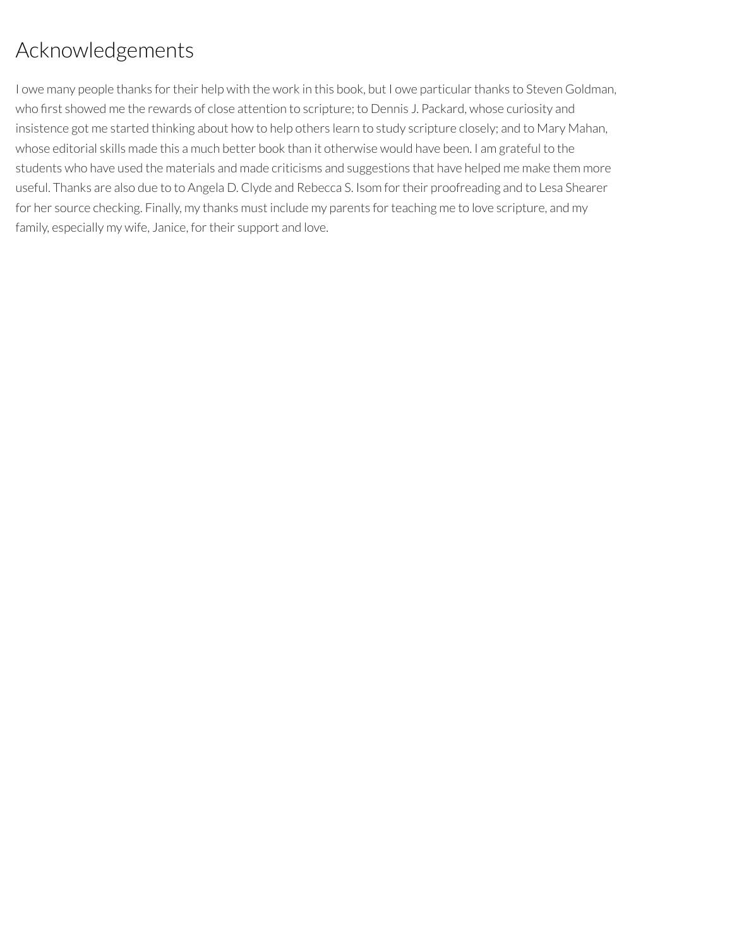## Acknowledgements

I owe many people thanks for their help with the work in this book, but I owe particular thanks to Steven Goldman, who first showed me the rewards of close attention to scripture; to Dennis J. Packard, whose curiosity and insistence got me started thinking about how to help others learn to study scripture closely; and to Mary Mahan, whose editorial skills made this a much better book than it otherwise would have been. I am grateful to the students who have used the materials and made criticisms and suggestions that have helped me make them more useful. Thanks are also due to to Angela D. Clyde and Rebecca S. Isom for their proofreading and to Lesa Shearer for her source checking. Finally, my thanks must include my parents for teaching me to love scripture, and my family, especially my wife, Janice, for their support and love.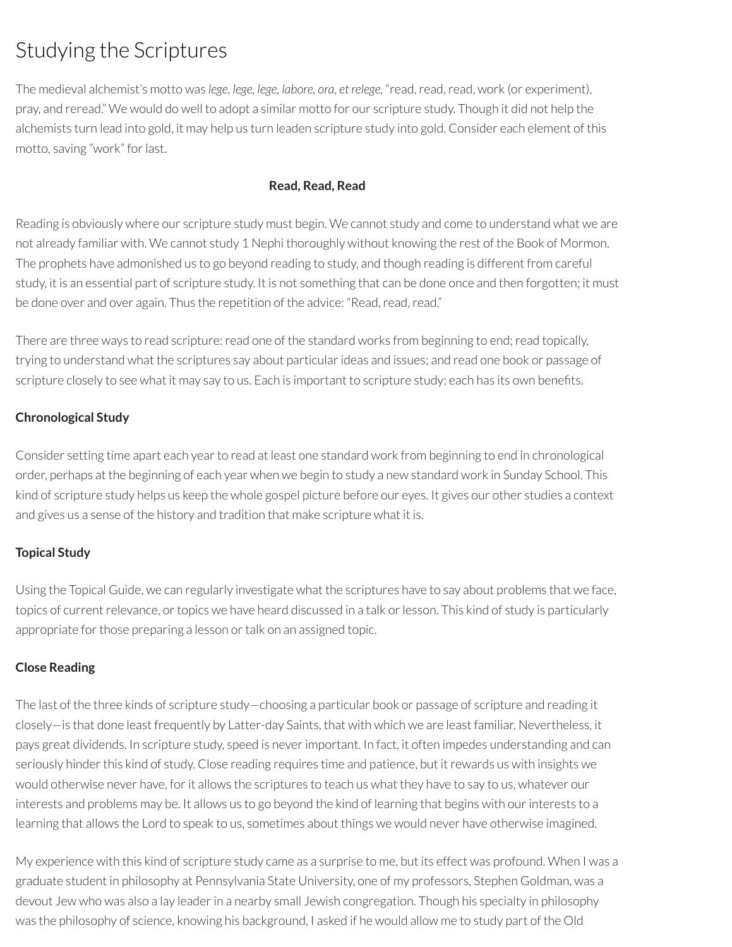## Studying the Scriptures

The medieval alchemist's motto was *lege, lege, lege, labore, ora, et relege,* "read,read,read, work (or experiment), pray, and reread." We would do well to adopt a similar motto for our scripture study. Though it did not help the alchemists turn lead into gold, it may help us turn leaden scripture study into gold. Consider each element of this motto, saving "work" forlast.

## **Read, Read, Read**

Reading is obviously where our scripture study must begin. We cannot study and come to understand what we are not already familiar with. We cannot study 1 Nephi thoroughly without knowing the rest of the Book of Mormon. The prophets have admonished us to go beyond reading to study, and though reading is different from careful study, it is an essential part of scripture study. It is not something that can be done once and then forgotten; it must be done over and over again. Thus the repetition of the advice: "Read, read, read."

There are three ways to read scripture: read one of the standard works from beginning to end; read topically, trying to understand what the scriptures say about particularideas and issues; and read one book or passage of scripture closely to see what it may say to us. Each is important to scripture study; each has its own benefits.

## **Chronological Study**

Consider setting time apart each yearto read at least one standard work from beginning to end in chronological order, perhaps at the beginning of each year when we begin to study a new standard work in Sunday School. This kind of scripture study helps us keep the whole gospel picture before our eyes. It gives our other studies a context and gives us a sense of the history and tradition that make scripture what it is.

## **Topical Study**

Using the Topical Guide, we can regularly investigate what the scriptures have to say about problems that we face, topics of current relevance, or topics we have heard discussed in a talk or lesson. This kind of study is particularly appropriate for those preparing a lesson or talk on an assigned topic.

## **Close Reading**

The last of the three kinds of scripture study—choosing a particular book or passage of scripture and reading it closely—is that done least frequently by Latter-day Saints, that with which we are least familiar. Nevertheless, it pays great dividends. In scripture study, speed is neverimportant. In fact, it often impedes understanding and can seriously hinder this kind of study. Close reading requires time and patience, but it rewards us with insights we would otherwise never have, for it allows the scriptures to teach us what they have to say to us, whatever our interests and problems may be. It allows us to go beyond the kind of learning that begins with our interests to a learning that allows the Lord to speak to us, sometimes about things we would never have otherwise imagined.

My experience with this kind of scripture study came as a surprise to me, but its effect was profound. When I was a graduate student in philosophy at Pennsylvania State University, one of my professors, Stephen Goldman, was a devout Jew who was also a lay leader in a nearby small Jewish congregation. Though his specialty in philosophy was the philosophy of science, knowing his background, I asked if he would allow me to study part of the Old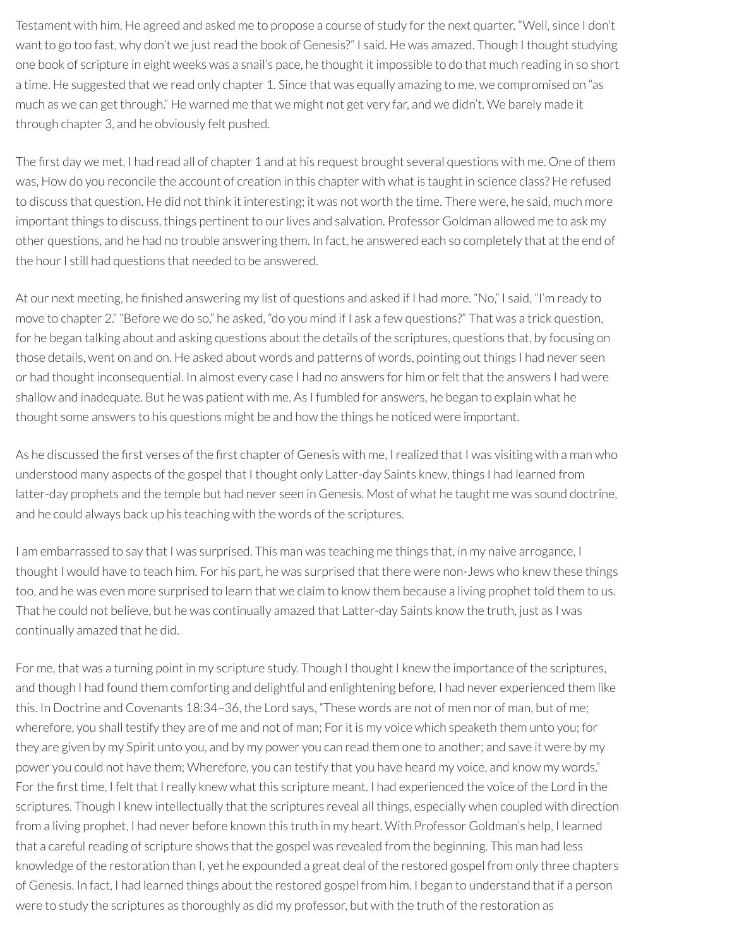Testament with him. He agreed and asked me to propose a course of study for the next quarter. "Well, since I don't want to go too fast, why don't we just read the book of Genesis?" I said. He was amazed. Though I thought studying one book of scripture in eight weeks was a snail's pace, he thought it impossible to do that much reading in so short a time. He suggested that we read only chapter 1. Since that was equally amazing to me, we compromised on "as much as we can get through." He warned me that we might not get very far, and we didn't. We barely made it through chapter 3, and he obviously felt pushed.

The first day we met, I had read all of chapter 1 and at his request brought several questions with me. One of them was, How do you reconcile the account of creation in this chapter with what is taught in science class? He refused to discuss that question. He did not think it interesting; it was not worth the time. There were, he said, much more important things to discuss, things pertinent to our lives and salvation. Professor Goldman allowed me to ask my other questions, and he had no trouble answering them. In fact, he answered each so completely that at the end of the hour I still had questions that needed to be answered.

At our next meeting, he finished answering my list of questions and asked if I had more. "No," I said, "I'm ready to move to chapter 2." "Before we do so," he asked, "do you mind if I ask a few questions?" That was a trick question, for he began talking about and asking questions about the details of the scriptures, questions that, by focusing on those details, went on and on. He asked about words and patterns of words, pointing out things I had never seen or had thought inconsequential. In almost every case I had no answers for him or felt that the answers I had were shallow and inadequate. But he was patient with me. As I fumbled for answers, he began to explain what he thought some answers to his questions might be and how the things he noticed were important.

As he discussed the first verses of the first chapter of Genesis with me, I realized that I was visiting with a man who understood many aspects of the gospel that I thought only Latter-day Saints knew, things I had learned from latter-day prophets and the temple but had never seen in Genesis. Most of what he taught me was sound doctrine, and he could always back up his teaching with the words of the scriptures.

I am embarrassed to say that I was surprised. This man was teaching me things that, in my naive arrogance, I thought I would have to teach him. For his part, he was surprised that there were non-Jews who knew these things too, and he was even more surprised to learn that we claim to know them because a living prophet told them to us. That he could not believe, but he was continually amazed that Latter-day Saints know the truth, just as I was continually amazed that he did.

For me, that was a turning point in my scripture study. Though I thought I knew the importance of the scriptures, and though I had found them comforting and delightful and enlightening before, I had never experienced them like this. In Doctrine and Covenants 18:34–36, the Lord says, "These words are not of men nor of man, but of me; wherefore, you shall testify they are of me and not of man; For it is my voice which speaketh them unto you; for they are given by my Spirit unto you, and by my power you can read them one to another; and save it were by my power you could not have them; Wherefore, you can testify that you have heard my voice, and know my words." For the first time, I felt that I really knew what this scripture meant. I had experienced the voice of the Lord in the scriptures. Though I knew intellectually that the scriptures reveal all things, especially when coupled with direction from a living prophet, I had never before known this truth in my heart. With Professor Goldman's help, I learned that a careful reading of scripture shows that the gospel was revealed from the beginning. This man had less knowledge of the restoration than I, yet he expounded a great deal of the restored gospel from only three chapters of Genesis. In fact, I had learned things about the restored gospel from him. I began to understand that if a person were to study the scriptures as thoroughly as did my professor, but with the truth of the restoration as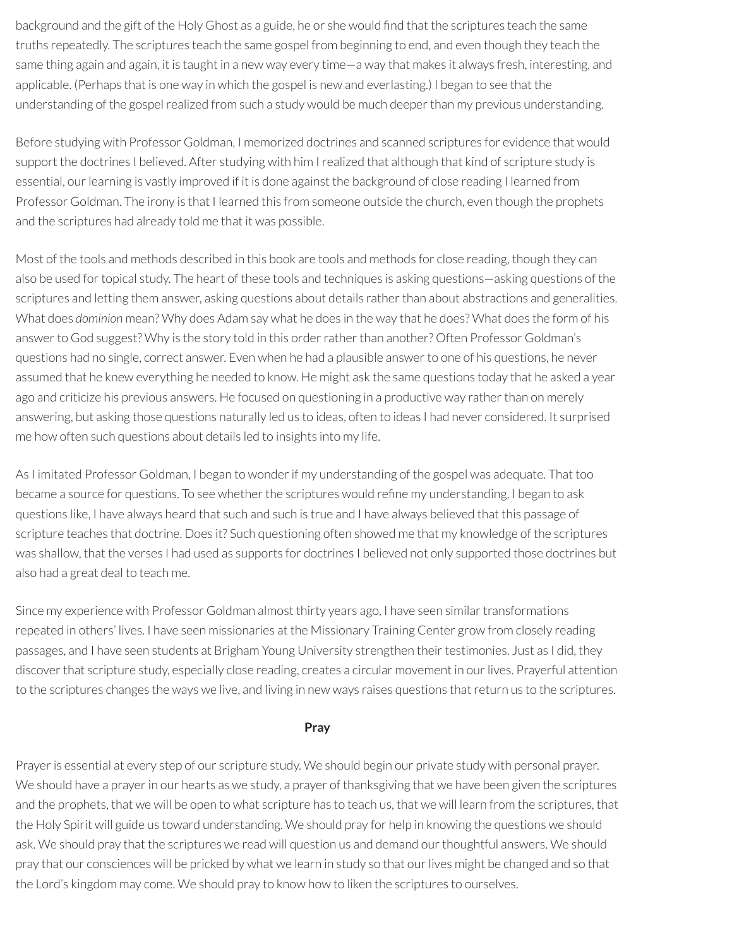background and the gift of the Holy Ghost as a guide, he or she would find that the scriptures teach the same truths repeatedly. The scriptures teach the same gospel from beginning to end, and even though they teach the same thing again and again, it is taught in a new way every time—a way that makes it always fresh, interesting, and applicable. (Perhaps that is one way in which the gospel is new and everlasting.) I began to see that the understanding of the gospel realized from such a study would be much deeper than my previous understanding.

Before studying with Professor Goldman, I memorized doctrines and scanned scriptures for evidence that would support the doctrines I believed. After studying with him Irealized that although that kind of scripture study is essential, our learning is vastly improved if it is done against the background of close reading I learned from Professor Goldman. The irony is that I learned this from someone outside the church, even though the prophets and the scriptures had already told me that it was possible.

Most of the tools and methods described in this book are tools and methods for close reading, though they can also be used fortopical study. The heart of these tools and techniques is asking questions—asking questions of the scriptures and letting them answer, asking questions about details rather than about abstractions and generalities. What does *dominion* mean? Why does Adam say what he does in the way that he does? What does the form of his answer to God suggest? Why is the story told in this order rather than another? Often Professor Goldman's questions had no single, correct answer. Even when he had a plausible answerto one of his questions, he never assumed that he knew everything he needed to know. He might ask the same questions today that he asked a year ago and criticize his previous answers. He focused on questioning in a productive way rather than on merely answering, but asking those questions naturally led us to ideas, often to ideas I had never considered. It surprised me how often such questions about details led to insights into my life.

As I imitated Professor Goldman, I began to wonder if my understanding of the gospel was adequate. That too became a source for questions. To see whether the scriptures would refine my understanding, I began to ask questions like, I have always heard that such and such is true and I have always believed that this passage of scripture teaches that doctrine. Does it? Such questioning often showed me that my knowledge of the scriptures was shallow, that the verses I had used as supports for doctrines I believed not only supported those doctrines but also had a great deal to teach me.

Since my experience with Professor Goldman almost thirty years ago, I have seen similar transformations repeated in others' lives. I have seen missionaries at the Missionary Training Center grow from closely reading passages, and I have seen students at Brigham Young University strengthen their testimonies. Just as I did, they discover that scripture study, especially close reading, creates a circular movement in our lives. Prayerful attention to the scriptures changes the ways we live, and living in new ways raises questions that return us to the scriptures.

#### **Pray**

Prayer is essential at every step of our scripture study. We should begin our private study with personal prayer. We should have a prayer in our hearts as we study, a prayer of thanksgiving that we have been given the scriptures and the prophets, that we will be open to what scripture has to teach us, that we will learn from the scriptures, that the Holy Spirit will guide us toward understanding. We should pray for help in knowing the questions we should ask. We should pray that the scriptures we read will question us and demand ourthoughtful answers. We should pray that our consciences will be pricked by what we learn in study so that ourlives might be changed and so that the Lord's kingdom may come. We should pray to know how to liken the scriptures to ourselves.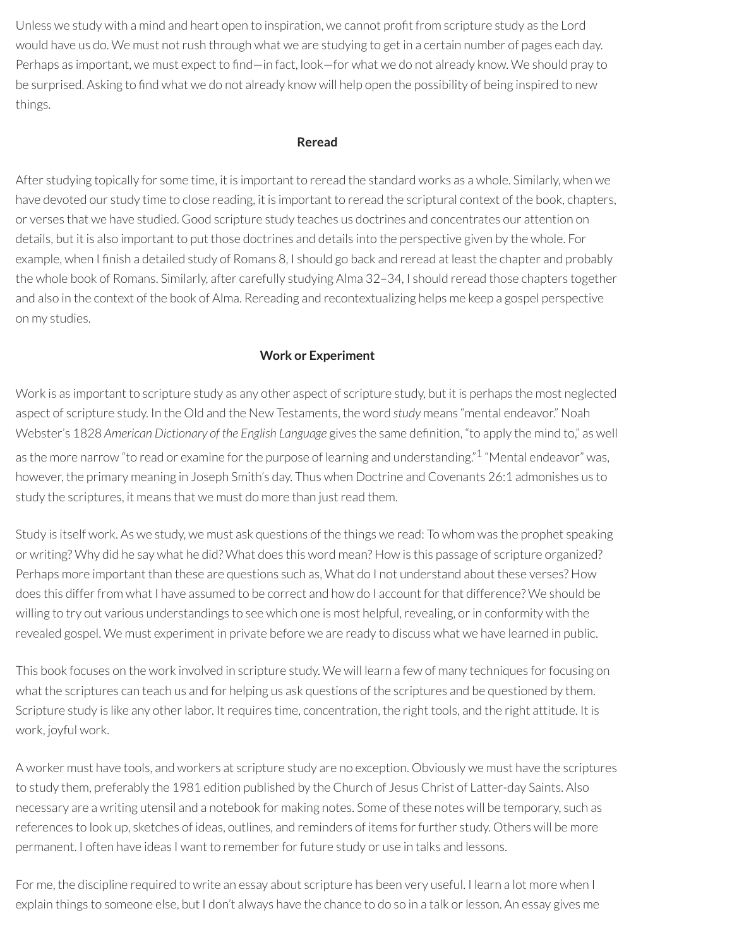Unless we study with a mind and heart open to inspiration, we cannot profit from scripture study as the Lord would have us do. We must not rush through what we are studying to get in a certain number of pages each day. Perhaps as important, we must expect to find—in fact, look—for what we do not already know. We should pray to be surprised. Asking to find what we do not already know will help open the possibility of being inspired to new things.

#### **Reread**

After studying topically for some time, it is important to reread the standard works as a whole. Similarly, when we have devoted our study time to close reading, it is important to reread the scriptural context of the book, chapters, or verses that we have studied. Good scripture study teaches us doctrines and concentrates our attention on details, but it is also important to put those doctrines and details into the perspective given by the whole. For example, when I finish a detailed study of Romans 8, I should go back and reread at least the chapter and probably the whole book of Romans. Similarly, after carefully studying Alma 32–34, I should reread those chapters together and also in the context of the book of Alma. Rereading and recontextualizing helps me keep a gospel perspective on my studies.

## <span id="page-5-0"></span>**Work or Experiment**

Work is as important to scripture study as any other aspect of scripture study, but it is perhaps the most neglected aspect of scripture study. In the Old and the New Testaments, the word *study* means "mental endeavor." Noah Webster's 1828 *American Dictionary of the English Language* gives the same denition, "to apply the mind to," as well as the more narrow "to read or examine for the purpose of learning and understanding."<sup>[1](#page-8-0)</sup> "Mental endeavor" was, however, the primary meaning in Joseph Smith's day. Thus when Doctrine and Covenants 26:1 admonishes us to study the scriptures, it means that we must do more than just read them.

Study is itself work. As we study, we must ask questions of the things we read: To whom was the prophet speaking or writing? Why did he say what he did? What does this word mean? How is this passage of scripture organized? Perhaps more important than these are questions such as, What do I not understand about these verses? How does this differ from what I have assumed to be correct and how do I account for that difference? We should be willing to try out various understandings to see which one is most helpful, revealing, or in conformity with the revealed gospel. We must experiment in private before we are ready to discuss what we have learned in public.

This book focuses on the work involved in scripture study. We will learn a few of many techniques for focusing on what the scriptures can teach us and for helping us ask questions of the scriptures and be questioned by them. Scripture study is like any other labor. It requires time, concentration, the right tools, and the right attitude. It is work, joyful work.

A worker must have tools, and workers at scripture study are no exception. Obviously we must have the scriptures to study them, preferably the 1981 edition published by the Church of Jesus Christ of Latter-day Saints. Also necessary are a writing utensil and a notebook for making notes. Some of these notes will be temporary, such as references to look up, sketches of ideas, outlines, and reminders of items forfurther study. Others will be more permanent. I often have ideas I want to remember for future study or use in talks and lessons.

For me, the discipline required to write an essay about scripture has been very useful. I learn a lot more when I explain things to someone else, but I don't always have the chance to do so in a talk or lesson. An essay gives me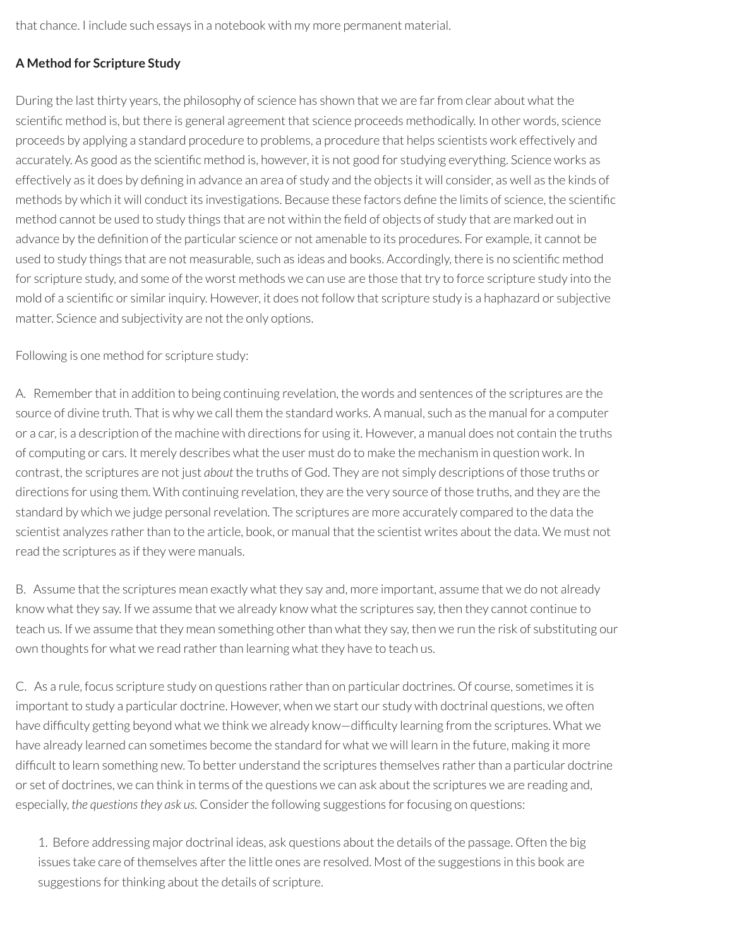that chance. I include such essays in a notebook with my more permanent material.

## **A Method for Scripture Study**

During the last thirty years, the philosophy of science has shown that we are farfrom clear about what the scientific method is, but there is general agreement that science proceeds methodically. In other words, science proceeds by applying a standard procedure to problems, a procedure that helps scientists work effectively and accurately. As good as the scientific method is, however, it is not good for studying everything. Science works as effectively as it does by defining in advance an area of study and the objects it will consider, as well as the kinds of methods by which it will conduct its investigations. Because these factors define the limits of science, the scientific method cannot be used to study things that are not within the field of objects of study that are marked out in advance by the definition of the particular science or not amenable to its procedures. For example, it cannot be used to study things that are not measurable, such as ideas and books. Accordingly, there is no scientific method for scripture study, and some of the worst methods we can use are those that try to force scripture study into the mold of a scientific or similar inquiry. However, it does not follow that scripture study is a haphazard or subjective matter. Science and subjectivity are not the only options.

Following is one method for scripture study:

A. Rememberthat in addition to being continuing revelation, the words and sentences of the scriptures are the source of divine truth. That is why we call them the standard works. A manual, such as the manual for a computer or a car, is a description of the machine with directions for using it. However, a manual does not contain the truths of computing or cars. It merely describes what the user must do to make the mechanism in question work. In contrast, the scriptures are not just *about* the truths of God. They are not simply descriptions of those truths or directions for using them. With continuing revelation, they are the very source of those truths, and they are the standard by which we judge personal revelation. The scriptures are more accurately compared to the data the scientist analyzes rather than to the article, book, or manual that the scientist writes about the data. We must not read the scriptures as if they were manuals.

B. Assume that the scriptures mean exactly what they say and, more important, assume that we do not already know what they say. If we assume that we already know what the scriptures say, then they cannot continue to teach us. If we assume that they mean something other than what they say, then we run the risk of substituting our own thoughts for what we read rather than learning what they have to teach us.

C. As a rule, focus scripture study on questions rather than on particular doctrines. Of course, sometimes it is important to study a particular doctrine. However, when we start our study with doctrinal questions, we often have difficulty getting beyond what we think we already know—difficulty learning from the scriptures. What we have already learned can sometimes become the standard for what we will learn in the future, making it more difficult to learn something new. To better understand the scriptures themselves rather than a particular doctrine or set of doctrines, we can think in terms of the questions we can ask about the scriptures we are reading and, especially, the questions they ask us. Consider the following suggestions for focusing on questions:

1. Before addressing major doctrinal ideas, ask questions about the details of the passage. Often the big issues take care of themselves after the little ones are resolved. Most of the suggestions in this book are suggestions for thinking about the details of scripture.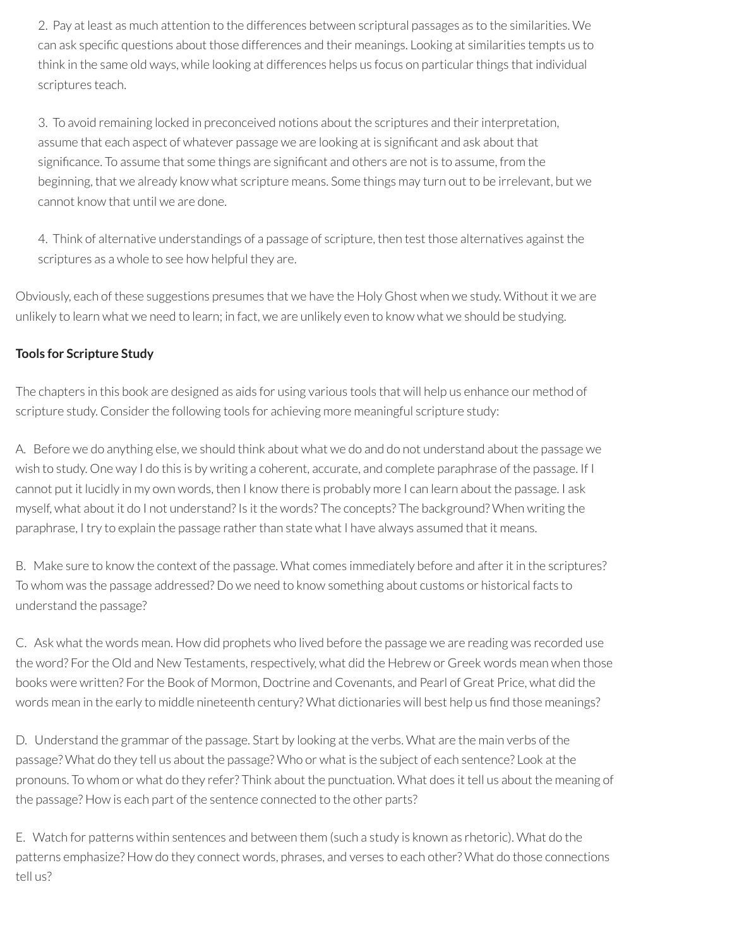2. Pay at least as much attention to the differences between scriptural passages as to the similarities. We can ask specific questions about those differences and their meanings. Looking at similarities tempts us to think in the same old ways, while looking at differences helps us focus on particular things that individual scriptures teach.

3. To avoid remaining locked in preconceived notions about the scriptures and their interpretation, assume that each aspect of whatever passage we are looking at is significant and ask about that significance. To assume that some things are significant and others are not is to assume, from the beginning, that we already know what scripture means. Some things may turn out to be irrelevant, but we cannot know that until we are done.

4. Think of alternative understandings of a passage of scripture, then test those alternatives against the scriptures as a whole to see how helpful they are.

Obviously, each of these suggestions presumes that we have the Holy Ghost when we study. Without it we are unlikely to learn what we need to learn; in fact, we are unlikely even to know what we should be studying.

## **Tools for Scripture Study**

The chapters in this book are designed as aids for using various tools that will help us enhance our method of scripture study. Consider the following tools for achieving more meaningful scripture study:

A. Before we do anything else, we should think about what we do and do not understand about the passage we wish to study. One way I do this is by writing a coherent, accurate, and complete paraphrase of the passage. If I cannot put it lucidly in my own words, then I know there is probably more I can learn about the passage. I ask myself, what about it do I not understand? Is it the words? The concepts? The background? When writing the paraphrase, I try to explain the passage rather than state what I have always assumed that it means.

B. Make sure to know the context of the passage. What comes immediately before and afterit in the scriptures? To whom was the passage addressed? Do we need to know something about customs or historical facts to understand the passage?

C. Ask what the words mean. How did prophets who lived before the passage we are reading was recorded use the word? For the Old and New Testaments, respectively, what did the Hebrew or Greek words mean when those books were written? For the Book of Mormon, Doctrine and Covenants, and Pearl of Great Price, what did the words mean in the early to middle nineteenth century? What dictionaries will best help us find those meanings?

D. Understand the grammar of the passage. Start by looking at the verbs. What are the main verbs of the passage? What do they tell us about the passage? Who or what is the subject of each sentence? Look at the pronouns. To whom or what do they refer? Think about the punctuation. What does it tell us about the meaning of the passage? How is each part of the sentence connected to the other parts?

E. Watch for patterns within sentences and between them (such a study is known as rhetoric). What do the patterns emphasize? How do they connect words, phrases, and verses to each other? What do those connections tell us?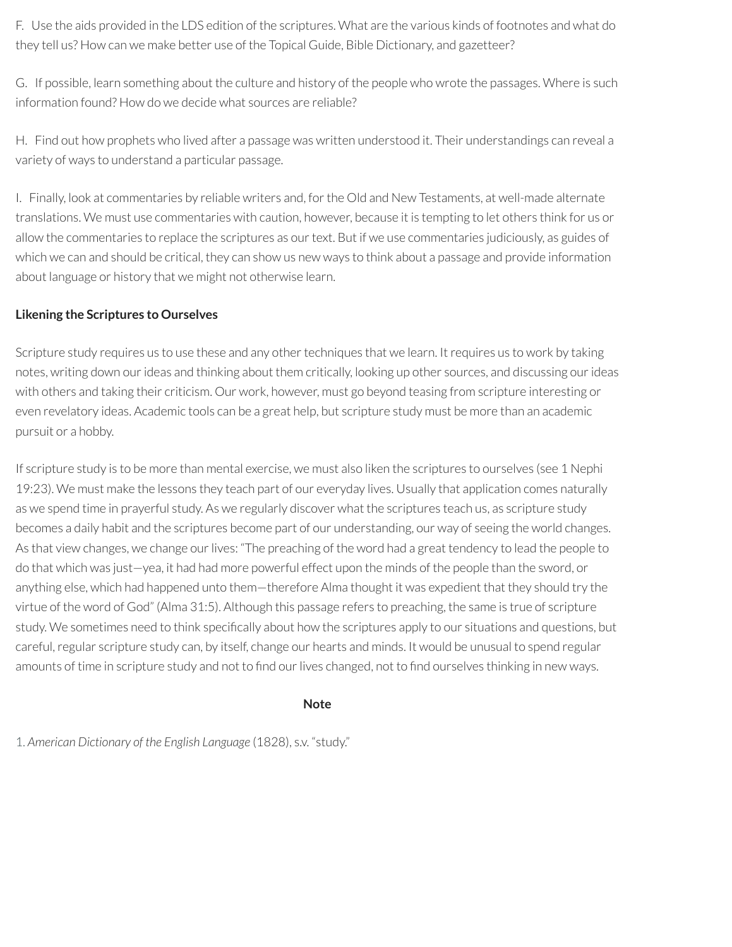F. Use the aids provided in the LDS edition of the scriptures. What are the various kinds of footnotes and what do they tell us? How can we make better use of the Topical Guide, Bible Dictionary, and gazetteer?

G. If possible, learn something about the culture and history of the people who wrote the passages. Where is such information found? How do we decide what sources are reliable?

H. Find out how prophets who lived after a passage was written understood it. Their understandings can reveal a variety of ways to understand a particular passage.

I. Finally, look at commentaries by reliable writers and, forthe Old and New Testaments, at well-made alternate translations. We must use commentaries with caution, however, because it is tempting to let others think for us or allow the commentaries to replace the scriptures as our text. But if we use commentaries judiciously, as guides of which we can and should be critical, they can show us new ways to think about a passage and provide information about language or history that we might not otherwise learn.

## **Likening the Scriptures to Ourselves**

Scripture study requires us to use these and any other techniques that we learn. It requires us to work by taking notes, writing down our ideas and thinking about them critically, looking up other sources, and discussing our ideas with others and taking their criticism. Our work, however, must go beyond teasing from scripture interesting or even revelatory ideas. Academic tools can be a great help, but scripture study must be more than an academic pursuit or a hobby.

If scripture study is to be more than mental exercise, we must also liken the scriptures to ourselves (see 1 Nephi 19:23). We must make the lessons they teach part of our everyday lives. Usually that application comes naturally as we spend time in prayerful study. As we regularly discover what the scriptures teach us, as scripture study becomes a daily habit and the scriptures become part of our understanding, our way of seeing the world changes. As that view changes, we change our lives: "The preaching of the word had a great tendency to lead the people to do that which was just—yea, it had had more powerful effect upon the minds of the people than the sword, or anything else, which had happened unto them—therefore Alma thought it was expedient that they should try the virtue of the word of God" (Alma 31:5). Although this passage refers to preaching, the same is true of scripture study. We sometimes need to think specifically about how the scriptures apply to our situations and questions, but careful, regular scripture study can, by itself, change our hearts and minds. It would be unusual to spend regular amounts of time in scripture study and not to find our lives changed, not to find ourselves thinking in new ways.

### **Note**

<span id="page-8-0"></span>[1.](#page-5-0) *American Dictionary of the English Language* (1828), s.v. "study."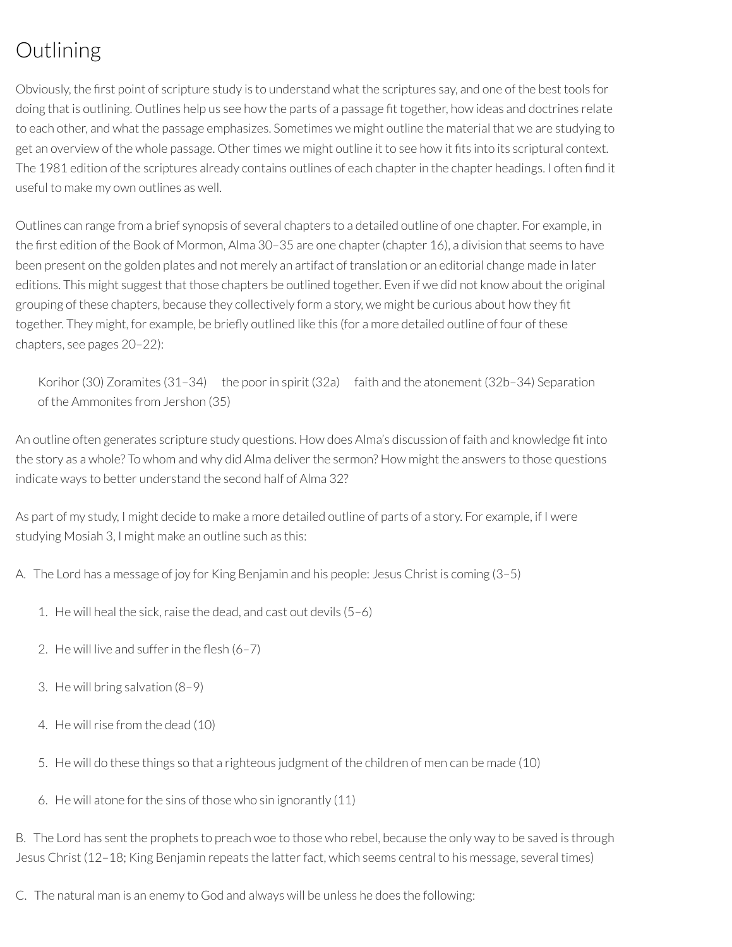## **Outlining**

Obviously, the first point of scripture study is to understand what the scriptures say, and one of the best tools for doing that is outlining. Outlines help us see how the parts of a passage fit together, how ideas and doctrines relate to each other, and what the passage emphasizes. Sometimes we might outline the material that we are studying to get an overview of the whole passage. Other times we might outline it to see how it fits into its scriptural context. The 1981 edition of the scriptures already contains outlines of each chapter in the chapter headings. I often find it useful to make my own outlines as well.

Outlines can range from a brief synopsis of several chapters to a detailed outline of one chapter. For example, in the first edition of the Book of Mormon, Alma 30–35 are one chapter (chapter 16), a division that seems to have been present on the golden plates and not merely an artifact of translation or an editorial change made in later editions. This might suggest that those chapters be outlined together. Even if we did not know about the original grouping of these chapters, because they collectively form a story, we might be curious about how they fit together. They might, for example, be briefly outlined like this (for a more detailed outline of four of these chapters, see pages 20–22):

Korihor (30) Zoramites (31–34) the poor in spirit (32a) faith and the atonement (32b–34) Separation of the Ammonites from Jershon (35)

An outline often generates scripture study questions. How does Alma's discussion of faith and knowledge fit into the story as a whole? To whom and why did Alma deliver the sermon? How might the answers to those questions indicate ways to better understand the second half of Alma 32?

As part of my study, I might decide to make a more detailed outline of parts of a story. For example, if I were studying Mosiah 3, I might make an outline such as this:

A. The Lord has a message of joy for King Benjamin and his people: Jesus Christ is coming (3–5)

- 1. He will heal the sick, raise the dead, and cast out devils  $(5-6)$
- 2. He will live and suffer in the flesh  $(6-7)$
- 3. He will bring salvation (8–9)
- 4. He will rise from the dead (10)
- 5. He will do these things so that a righteous judgment of the children of men can be made (10)
- 6. He will atone for the sins of those who sin ignorantly (11)

B. The Lord has sent the prophets to preach woe to those who rebel, because the only way to be saved is through Jesus Christ (12–18; King Benjamin repeats the latterfact, which seems central to his message, several times)

C. The natural man is an enemy to God and always will be unless he does the following: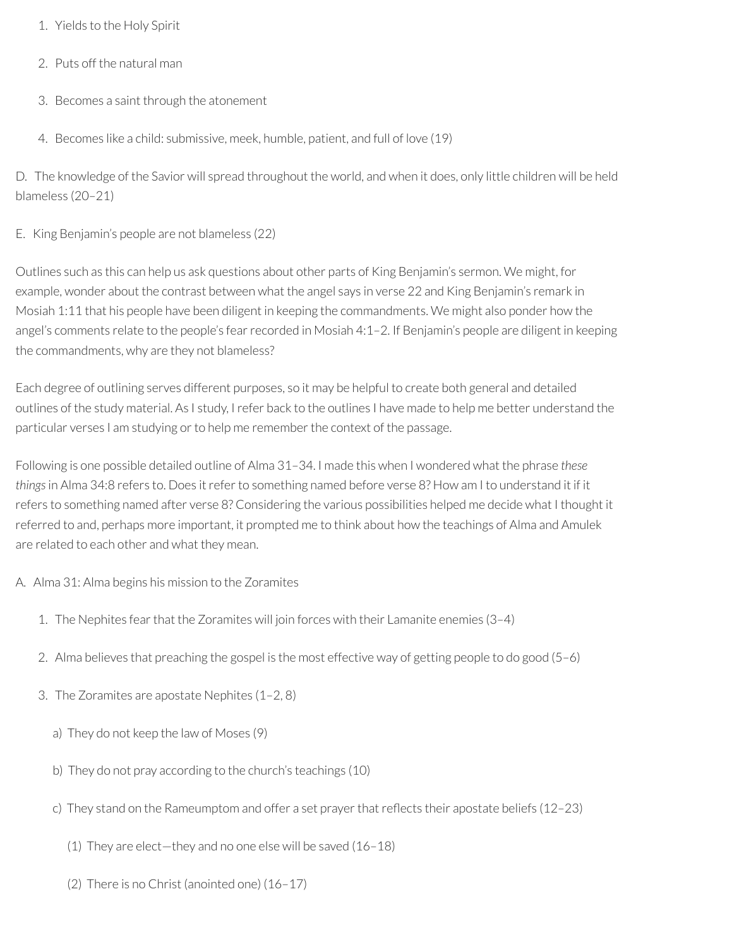- 1. Yields to the Holy Spirit
- 2. Puts off the natural man
- 3. Becomes a saint through the atonement
- 4. Becomes like a child: submissive, meek, humble, patient, and full of love (19)

D. The knowledge of the Savior will spread throughout the world, and when it does, only little children will be held blameless (20–21)

E. King Benjamin's people are not blameless (22)

Outlines such as this can help us ask questions about other parts of King Benjamin's sermon. We might, for example, wonder about the contrast between what the angel says in verse 22 and King Benjamin's remark in Mosiah 1:11 that his people have been diligent in keeping the commandments. We might also ponder how the angel's comments relate to the people's fearrecorded in Mosiah 4:1–2. If Benjamin's people are diligent in keeping the commandments, why are they not blameless?

Each degree of outlining serves different purposes, so it may be helpful to create both general and detailed outlines of the study material. As I study, Irefer back to the outlines I have made to help me better understand the particular verses I am studying or to help me remember the context of the passage.

Following is one possible detailed outline of Alma 31–34. I made this when I wondered what the phrase *these things*in Alma 34:8 refers to. Does itreferto something named before verse 8? How am I to understand it if it refers to something named after verse 8? Considering the various possibilities helped me decide what I thought it referred to and, perhaps more important, it prompted me to think about how the teachings of Alma and Amulek are related to each other and what they mean.

- A. Alma 31: Alma begins his mission to the Zoramites
	- 1. The Nephites fear that the Zoramites will join forces with their Lamanite enemies (3-4)
	- 2. Alma believes that preaching the gospel is the most effective way of getting people to do good (5–6)
	- 3. The Zoramites are apostate Nephites (1–2, 8)
		- a) They do not keep the law of Moses (9)
		- b) They do not pray according to the church's teachings (10)
		- c) They stand on the Rameumptom and offer a set prayer that reflects their apostate beliefs (12–23)
			- (1) They are elect—they and no one else will be saved (16–18)
			- (2) There is no Christ (anointed one) (16–17)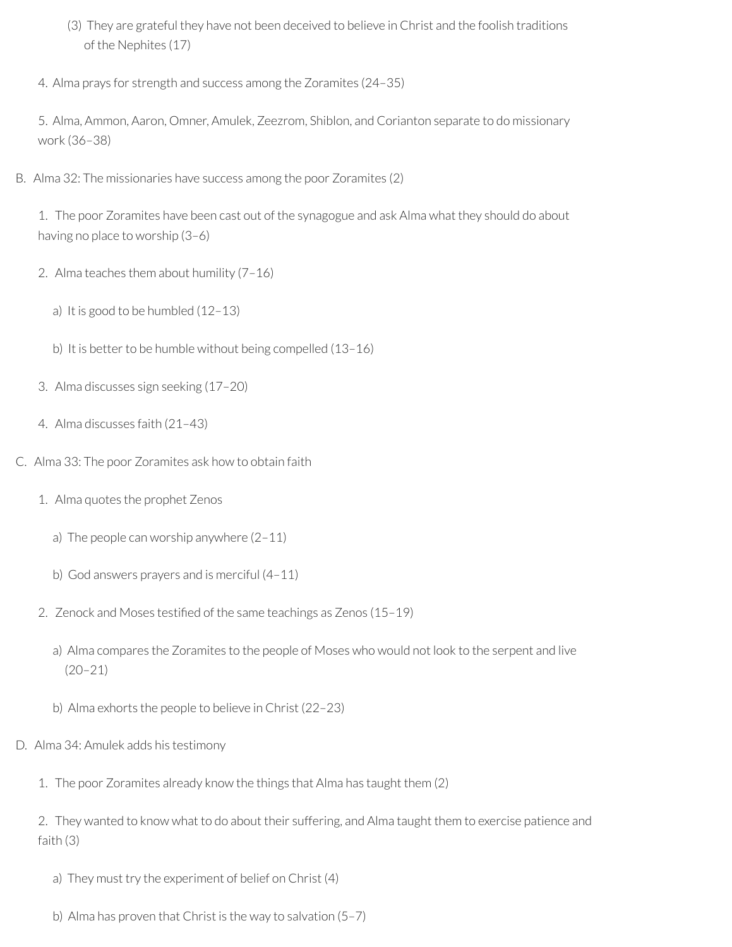- (3) They are grateful they have not been deceived to believe in Christ and the foolish traditions of the Nephites (17)
- 4. Alma prays for strength and success among the Zoramites (24–35)

5. Alma, Ammon, Aaron, Omner, Amulek, Zeezrom, Shiblon, and Corianton separate to do missionary work (36–38)

B. Alma 32: The missionaries have success among the poor Zoramites (2)

1. The poor Zoramites have been cast out of the synagogue and ask Alma what they should do about having no place to worship (3–6)

- 2. Alma teaches them about humility (7–16)
	- a) It is good to be humbled  $(12-13)$
	- b) It is better to be humble without being compelled  $(13-16)$
- 3. Alma discusses sign seeking (17–20)
- 4. Alma discusses faith (21–43)
- C. Alma 33: The poor Zoramites ask how to obtain faith
	- 1. Alma quotes the prophet Zenos
		- a) The people can worship anywhere (2–11)
		- b) God answers prayers and is merciful (4–11)
	- 2. Zenock and Moses testified of the same teachings as Zenos (15-19)
		- a) Alma compares the Zoramites to the people of Moses who would not look to the serpent and live (20–21)
		- b) Alma exhorts the people to believe in Christ (22–23)
- D. Alma 34: Amulek adds his testimony
	- 1. The poor Zoramites already know the things that Alma has taught them (2)

2. They wanted to know what to do about their suffering, and Alma taught them to exercise patience and faith (3)

- a) They must try the experiment of belief on Christ (4)
- b) Alma has proven that Christ is the way to salvation (5–7)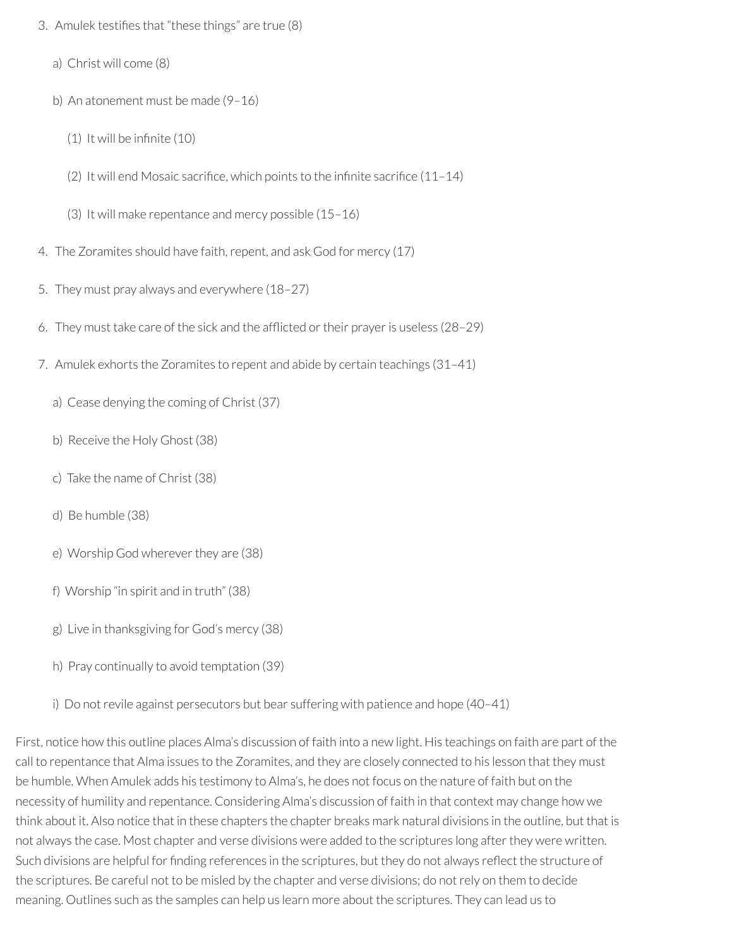- 3. Amulek testifies that "these things" are true (8)
	- a) Christ will come (8)
	- b) An atonement must be made (9–16)
		- $(1)$  It will be infinite  $(10)$
		- (2) It will end Mosaic sacrifice, which points to the infinite sacrifice  $(11-14)$
		- (3) It will make repentance and mercy possible (15–16)
- 4. The Zoramites should have faith, repent, and ask God for mercy (17)
- 5. They must pray always and everywhere (18–27)
- 6. They must take care of the sick and the afflicted or their prayer is useless (28–29)
- 7. Amulek exhorts the Zoramites to repent and abide by certain teachings (31–41)
	- a) Cease denying the coming of Christ (37)
	- b) Receive the Holy Ghost (38)
	- c) Take the name of Christ (38)
	- d) Be humble (38)
	- e) Worship God wherever they are (38)
	- f) Worship "in spirit and in truth" (38)
	- g) Live in thanksgiving for God's mercy (38)
	- h) Pray continually to avoid temptation (39)
	- i) Do not revile against persecutors but bear suffering with patience and hope (40-41)

First, notice how this outline places Alma's discussion of faith into a new light. His teachings on faith are part of the call to repentance that Alma issues to the Zoramites, and they are closely connected to his lesson that they must be humble. When Amulek adds his testimony to Alma's, he does not focus on the nature of faith but on the necessity of humility and repentance. Considering Alma's discussion of faith in that context may change how we think about it. Also notice that in these chapters the chapter breaks mark natural divisions in the outline, but that is not always the case. Most chapter and verse divisions were added to the scriptures long afterthey were written. Such divisions are helpful for finding references in the scriptures, but they do not always reflect the structure of the scriptures. Be careful not to be misled by the chapter and verse divisions; do notrely on them to decide meaning. Outlines such as the samples can help us learn more about the scriptures. They can lead us to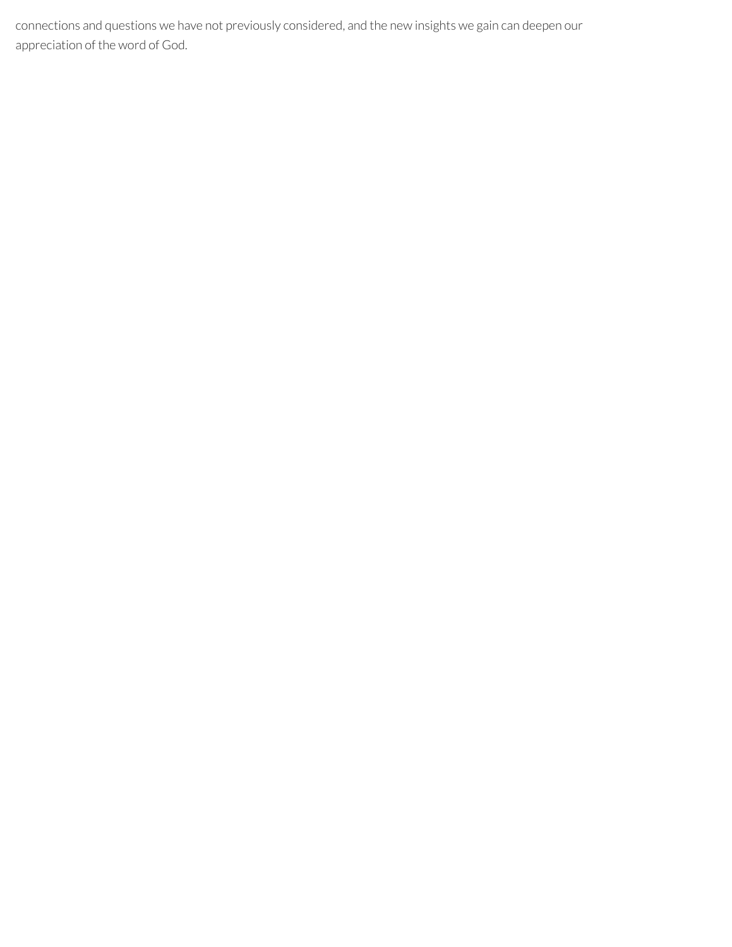connections and questions we have not previously considered, and the new insights we gain can deepen our appreciation of the word of God.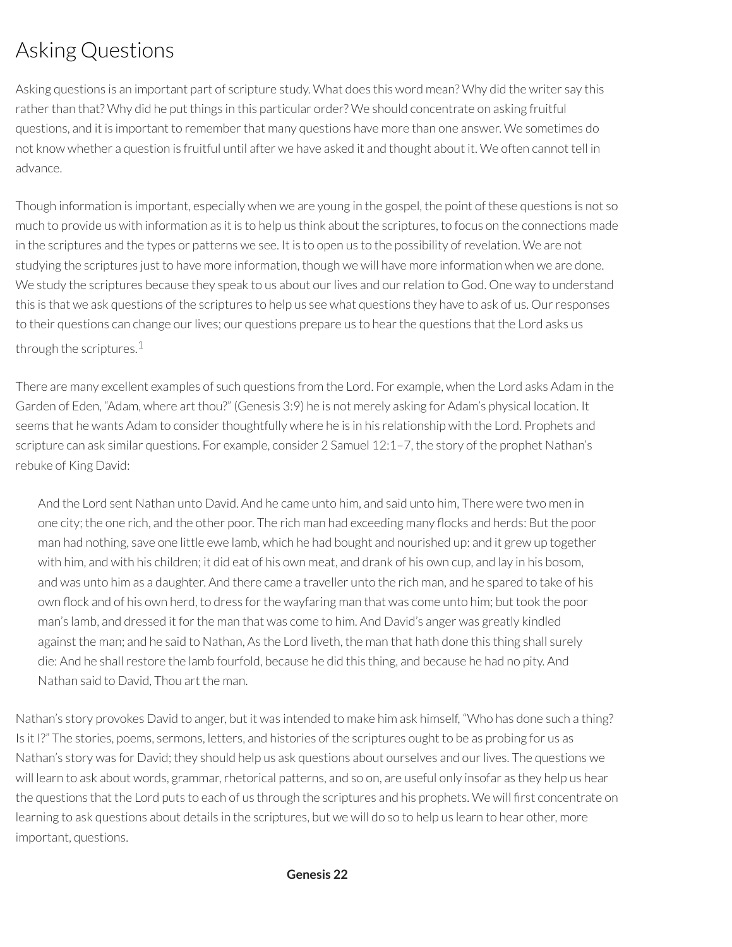## Asking Questions

Asking questions is an important part of scripture study. What does this word mean? Why did the writer say this rather than that? Why did he put things in this particular order? We should concentrate on asking fruitful questions, and it is important to remember that many questions have more than one answer. We sometimes do not know whether a question is fruitful until after we have asked it and thought about it. We often cannot tell in advance.

Though information is important, especially when we are young in the gospel, the point of these questions is not so much to provide us with information as it is to help us think about the scriptures, to focus on the connections made in the scriptures and the types or patterns we see. It is to open us to the possibility of revelation. We are not studying the scriptures just to have more information, though we will have more information when we are done. We study the scriptures because they speak to us about our lives and our relation to God. One way to understand this is that we ask questions of the scriptures to help us see what questions they have to ask of us. Ourresponses to their questions can change our lives; our questions prepare us to hear the questions that the Lord asks us through the scriptures.<sup>[1](#page-18-0)</sup>

<span id="page-14-0"></span>There are many excellent examples of such questions from the Lord. For example, when the Lord asks Adam in the Garden of Eden, "Adam, where art thou?" (Genesis 3:9) he is not merely asking for Adam's physical location. It seems that he wants Adam to consider thoughtfully where he is in his relationship with the Lord. Prophets and scripture can ask similar questions. For example, consider 2 Samuel 12:1–7, the story of the prophet Nathan's rebuke of King David:

And the Lord sent Nathan unto David. And he came unto him, and said unto him, There were two men in one city; the one rich, and the other poor. The rich man had exceeding many flocks and herds: But the poor man had nothing, save one little ewe lamb, which he had bought and nourished up: and it grew up together with him, and with his children; it did eat of his own meat, and drank of his own cup, and lay in his bosom, and was unto him as a daughter. And there came a traveller unto the rich man, and he spared to take of his own flock and of his own herd, to dress for the wayfaring man that was come unto him; but took the poor man's lamb, and dressed it forthe man that was come to him. And David's anger was greatly kindled against the man; and he said to Nathan, As the Lord liveth, the man that hath done this thing shall surely die: And he shall restore the lamb fourfold, because he did this thing, and because he had no pity. And Nathan said to David, Thou art the man.

Nathan's story provokes David to anger, but it was intended to make him ask himself, "Who has done such a thing? Is it I?" The stories, poems, sermons, letters, and histories of the scriptures ought to be as probing for us as Nathan's story was for David; they should help us ask questions about ourselves and ourlives. The questions we will learn to ask about words, grammar, rhetorical patterns, and so on, are useful only insofar as they help us hear the questions that the Lord puts to each of us through the scriptures and his prophets. We will first concentrate on learning to ask questions about details in the scriptures, but we will do so to help us learn to hear other, more important, questions.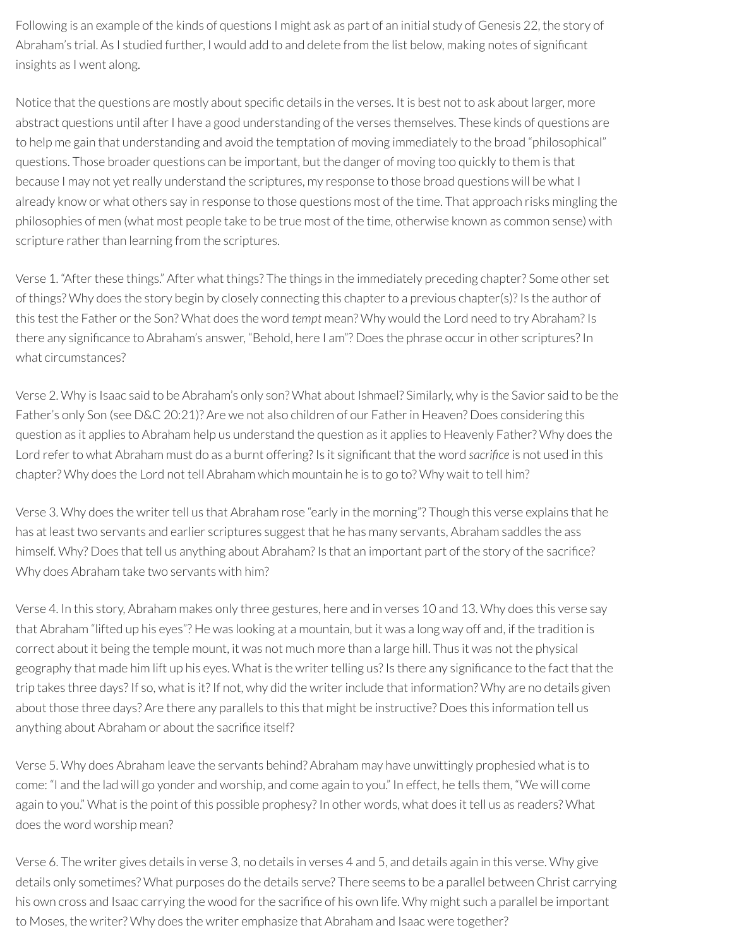Following is an example of the kinds of questions I might ask as part of an initial study of Genesis 22, the story of Abraham's trial. As I studied further, I would add to and delete from the list below, making notes of significant insights as I went along.

Notice that the questions are mostly about specific details in the verses. It is best not to ask about larger, more abstract questions until after I have a good understanding of the verses themselves. These kinds of questions are to help me gain that understanding and avoid the temptation of moving immediately to the broad "philosophical" questions. Those broader questions can be important, but the danger of moving too quickly to them is that because I may not yet really understand the scriptures, my response to those broad questions will be what I already know or what others say in response to those questions most of the time. That approach risks mingling the philosophies of men (what most people take to be true most of the time, otherwise known as common sense) with scripture rather than learning from the scriptures.

Verse 1. "After these things." After what things? The things in the immediately preceding chapter? Some other set of things? Why does the story begin by closely connecting this chapter to a previous chapter(s)? Is the author of this test the Father orthe Son? What does the word *tempt* mean? Why would the Lord need to try Abraham? Is there any significance to Abraham's answer, "Behold, here I am"? Does the phrase occur in other scriptures? In what circumstances?

Verse 2. Why is Isaac said to be Abraham's only son? What about Ishmael? Similarly, why is the Savior said to be the Father's only Son (see D&C 20:21)? Are we not also children of our Father in Heaven? Does considering this question as it applies to Abraham help us understand the question as it applies to Heavenly Father? Why does the Lord refer to what Abraham must do as a burnt offering? Is it significant that the word *sacrifice* is not used in this chapter? Why does the Lord not tell Abraham which mountain he is to go to? Why wait to tell him?

Verse 3. Why does the writer tell us that Abraham rose "early in the morning"? Though this verse explains that he has at least two servants and earlier scriptures suggest that he has many servants, Abraham saddles the ass himself. Why? Does that tell us anything about Abraham? Is that an important part of the story of the sacrifice? Why does Abraham take two servants with him?

Verse 4. In this story, Abraham makes only three gestures, here and in verses 10 and 13. Why does this verse say that Abraham "lifted up his eyes"? He was looking at a mountain, but it was a long way off and, if the tradition is correct about it being the temple mount, it was not much more than a large hill. Thus it was not the physical geography that made him lift up his eyes. What is the writer telling us? Is there any significance to the fact that the trip takes three days? If so, what is it? If not, why did the writerinclude that information? Why are no details given about those three days? Are there any parallels to this that might be instructive? Does this information tell us anything about Abraham or about the sacrifice itself?

Verse 5. Why does Abraham leave the servants behind? Abraham may have unwittingly prophesied what is to come: "I and the lad will go yonder and worship, and come again to you." In effect, he tells them, "We will come again to you." What is the point of this possible prophesy? In other words, what does it tell us as readers? What does the word worship mean?

Verse 6. The writer gives details in verse 3, no details in verses 4 and 5, and details again in this verse. Why give details only sometimes? What purposes do the details serve? There seems to be a parallel between Christ carrying his own cross and Isaac carrying the wood for the sacrifice of his own life. Why might such a parallel be important to Moses, the writer? Why does the writer emphasize that Abraham and Isaac were together?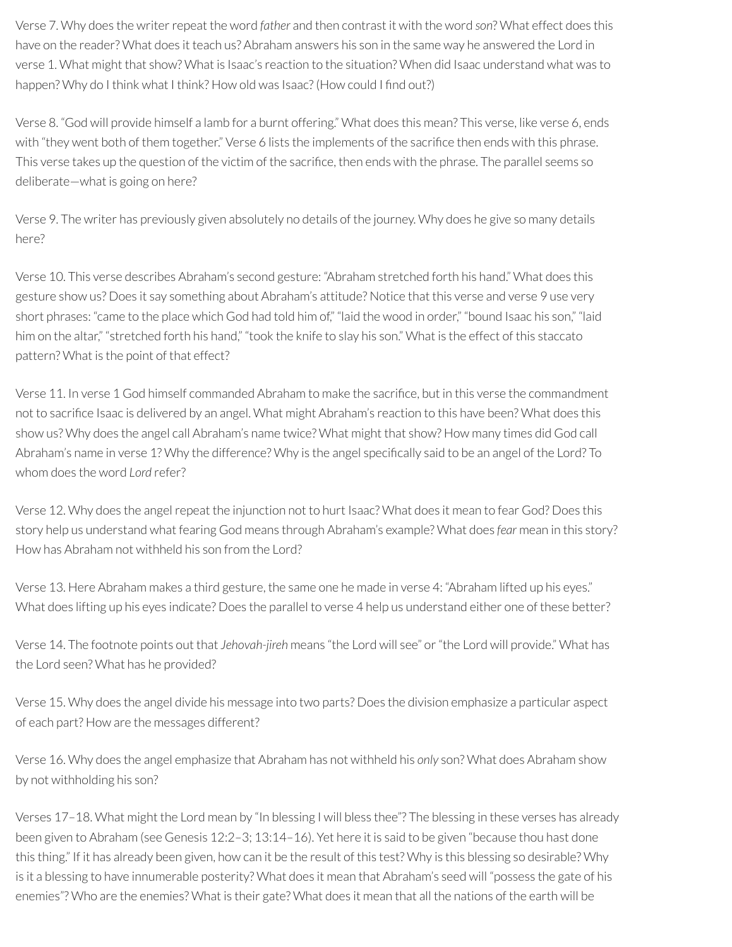Verse 7. Why does the writerrepeat the word *father* and then contrast it with the word *son*? What effect does this have on the reader? What does it teach us? Abraham answers his son in the same way he answered the Lord in verse 1. What might that show? What is Isaac's reaction to the situation? When did Isaac understand what was to happen? Why do I think what I think? How old was Isaac? (How could I find out?)

Verse 8. "God will provide himself a lamb for a burnt offering." What does this mean? This verse, like verse 6, ends with "they went both of them together." Verse 6 lists the implements of the sacrifice then ends with this phrase. This verse takes up the question of the victim of the sacrifice, then ends with the phrase. The parallel seems so deliberate—what is going on here?

Verse 9. The writer has previously given absolutely no details of the journey. Why does he give so many details here?

Verse 10. This verse describes Abraham's second gesture: "Abraham stretched forth his hand." What does this gesture show us? Does it say something about Abraham's attitude? Notice that this verse and verse 9 use very short phrases: "came to the place which God had told him of," "laid the wood in order," "bound Isaac his son," "laid him on the altar," "stretched forth his hand," "took the knife to slay his son." What is the effect of this staccato pattern? What is the point of that effect?

Verse 11. In verse 1 God himself commanded Abraham to make the sacrice, but in this verse the commandment not to sacrifice Isaac is delivered by an angel. What might Abraham's reaction to this have been? What does this show us? Why does the angel call Abraham's name twice? What might that show? How many times did God call Abraham's name in verse 1? Why the difference? Why is the angel specifically said to be an angel of the Lord? To whom does the word *Lord* refer?

Verse 12. Why does the angel repeat the injunction not to hurt Isaac? What does it mean to fear God? Does this story help us understand what fearing God means through Abraham's example? What does *fear* mean in this story? How has Abraham not withheld his son from the Lord?

Verse 13. Here Abraham makes a third gesture, the same one he made in verse 4: "Abraham lifted up his eyes." What does lifting up his eyes indicate? Does the parallel to verse 4 help us understand either one of these better?

Verse 14. The footnote points out that *Jehovah-jireh* means "the Lord will see" or"the Lord will provide." What has the Lord seen? What has he provided?

Verse 15. Why does the angel divide his message into two parts? Does the division emphasize a particular aspect of each part? How are the messages different?

Verse 16. Why does the angel emphasize that Abraham has not withheld his *only* son? What does Abraham show by not withholding his son?

Verses 17–18. What might the Lord mean by "In blessing I will bless thee"? The blessing in these verses has already been given to Abraham (see Genesis 12:2–3; 13:14–16). Yet here it is said to be given "because thou hast done this thing." If it has already been given, how can it be the result of this test? Why is this blessing so desirable? Why is it a blessing to have innumerable posterity? What does it mean that Abraham's seed will "possess the gate of his enemies"? Who are the enemies? What is their gate? What does it mean that all the nations of the earth will be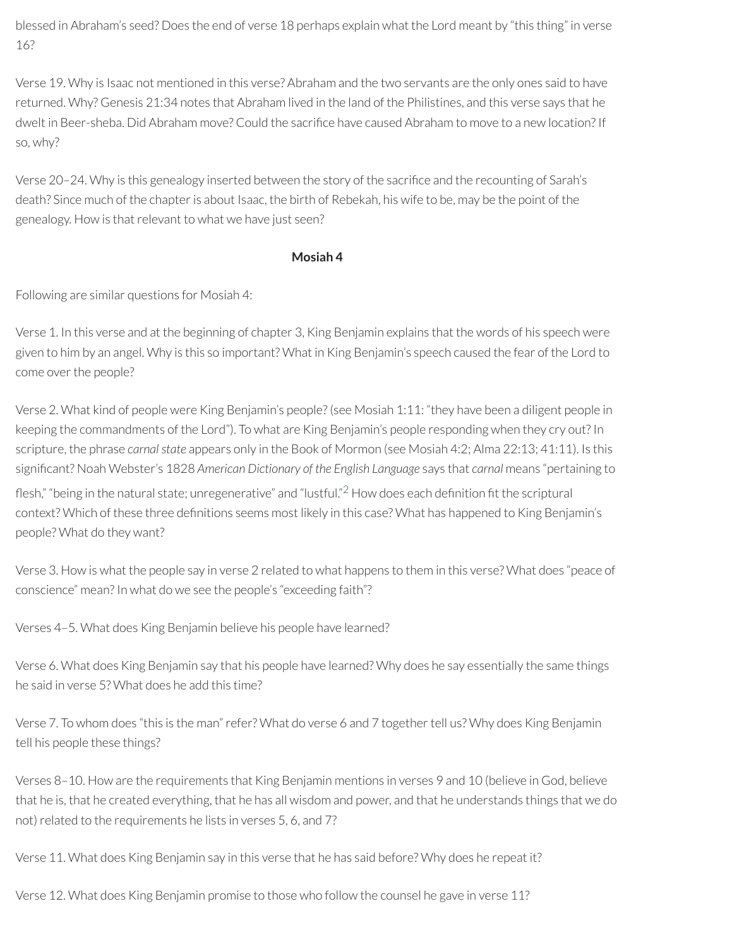blessed in Abraham's seed? Does the end of verse 18 perhaps explain what the Lord meant by "this thing" in verse 16?

Verse 19. Why is Isaac not mentioned in this verse? Abraham and the two servants are the only ones said to have returned. Why? Genesis 21:34 notes that Abraham lived in the land of the Philistines, and this verse says that he dwelt in Beer-sheba. Did Abraham move? Could the sacrifice have caused Abraham to move to a new location? If so, why?

Verse 20–24. Why is this genealogy inserted between the story of the sacrifice and the recounting of Sarah's death? Since much of the chapteris about Isaac, the birth of Rebekah, his wife to be, may be the point of the genealogy. How is that relevant to what we have just seen?

### <span id="page-17-0"></span>**Mosiah 4**

Following are similar questions for Mosiah 4:

Verse 1. In this verse and at the beginning of chapter 3, King Benjamin explains that the words of his speech were given to him by an angel. Why is this so important? What in King Benjamin's speech caused the fear of the Lord to come over the people?

Verse 2. What kind of people were King Benjamin's people? (see Mosiah 1:11: "they have been a diligent people in keeping the commandments of the Lord"). To what are King Benjamin's people responding when they cry out? In scripture, the phrase *carnal state* appears only in the Book of Mormon (see Mosiah 4:2; Alma 22:13; 41:11). Is this signicant? Noah Webster's 1828 *American Dictionary of the English Language* says that *carnal* means "pertaining to flesh," "being in the natural state; unregenerative" and "lustful." $^2$  $^2$  How does each definition fit the scriptural context? Which of these three definitions seems most likely in this case? What has happened to King Benjamin's people? What do they want?

Verse 3. How is what the people say in verse 2 related to what happens to them in this verse? What does "peace of conscience" mean? In what do we see the people's "exceeding faith"?

Verses 4–5. What does King Benjamin believe his people have learned?

Verse 6. What does King Benjamin say that his people have learned? Why does he say essentially the same things he said in verse 5? What does he add this time?

Verse 7. To whom does "this is the man" refer? What do verse 6 and 7 together tell us? Why does King Benjamin tell his people these things?

Verses 8–10. How are the requirements that King Benjamin mentions in verses 9 and 10 (believe in God, believe that he is, that he created everything, that he has all wisdom and power, and that he understands things that we do not) related to the requirements he lists in verses 5, 6, and 7?

Verse 11. What does King Benjamin say in this verse that he has said before? Why does he repeat it?

Verse 12. What does King Benjamin promise to those who follow the counsel he gave in verse 11?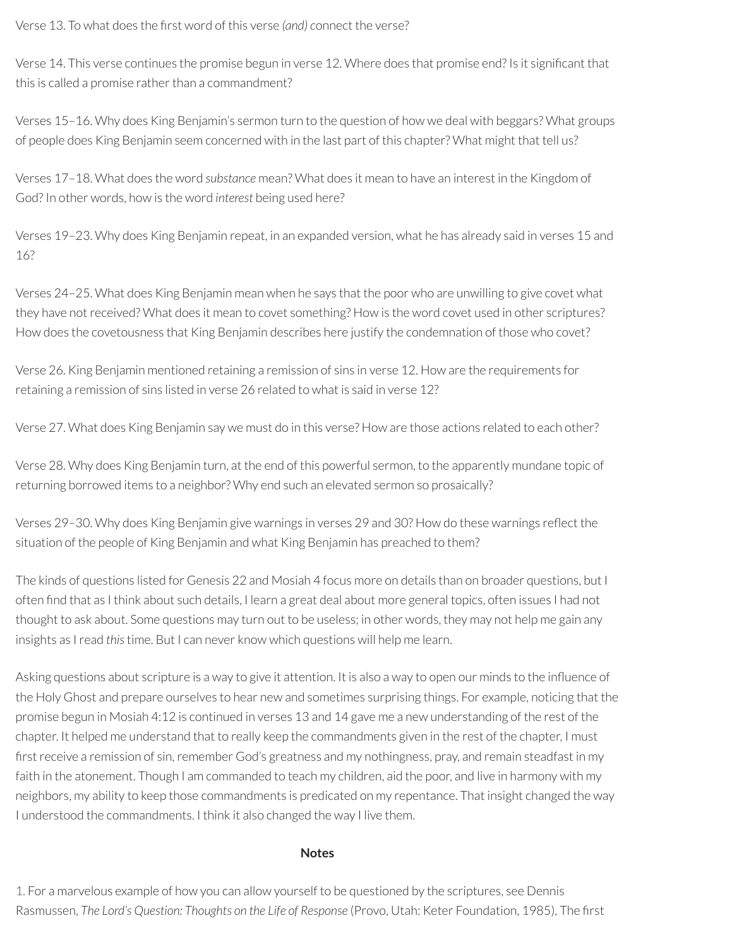Verse 13. To what does the first word of this verse *(and)* connect the verse?

Verse 14. This verse continues the promise begun in verse 12. Where does that promise end? Is it signicant that this is called a promise rather than a commandment?

Verses 15–16. Why does King Benjamin's sermon turn to the question of how we deal with beggars? What groups of people does King Benjamin seem concerned with in the last part of this chapter? What might that tell us?

Verses 17–18. What does the word *substance* mean? What does it mean to have an interest in the Kingdom of God? In other words, how is the word *interest* being used here?

Verses 19–23. Why does King Benjamin repeat, in an expanded version, what he has already said in verses 15 and 16?

Verses 24–25. What does King Benjamin mean when he says that the poor who are unwilling to give covet what they have not received? What does it mean to covet something? How is the word covet used in other scriptures? How does the covetousness that King Benjamin describes here justify the condemnation of those who covet?

Verse 26. King Benjamin mentioned retaining a remission of sins in verse 12. How are the requirements for retaining a remission of sins listed in verse 26 related to what is said in verse 12?

Verse 27. What does King Benjamin say we must do in this verse? How are those actions related to each other?

Verse 28. Why does King Benjamin turn, at the end of this powerful sermon, to the apparently mundane topic of returning borrowed items to a neighbor? Why end such an elevated sermon so prosaically?

Verses 29–30. Why does King Benjamin give warnings in verses 29 and 30? How do these warnings reflect the situation of the people of King Benjamin and what King Benjamin has preached to them?

The kinds of questions listed for Genesis 22 and Mosiah 4 focus more on details than on broader questions, but I often find that as I think about such details, I learn a great deal about more general topics, often issues I had not thought to ask about. Some questions may turn out to be useless; in other words, they may not help me gain any insights as Iread *this*time. But I can never know which questions will help me learn.

Asking questions about scripture is a way to give it attention. It is also a way to open our minds to the influence of the Holy Ghost and prepare ourselves to hear new and sometimes surprising things. For example, noticing that the promise begun in Mosiah 4:12 is continued in verses 13 and 14 gave me a new understanding of the rest of the chapter. It helped me understand that to really keep the commandments given in the rest of the chapter, I must first receive a remission of sin, remember God's greatness and my nothingness, pray, and remain steadfast in my faith in the atonement. Though I am commanded to teach my children, aid the poor, and live in harmony with my neighbors, my ability to keep those commandments is predicated on my repentance. That insight changed the way I understood the commandments. I think it also changed the way I live them.

#### **Notes**

<span id="page-18-0"></span>[1.](#page-14-0) For a marvelous example of how you can allow yourself to be questioned by the scriptures, see Dennis Rasmussen, *The Lord's Question: Thoughts on the Life of Response (Provo, Utah: Keter Foundation, 1985), The first*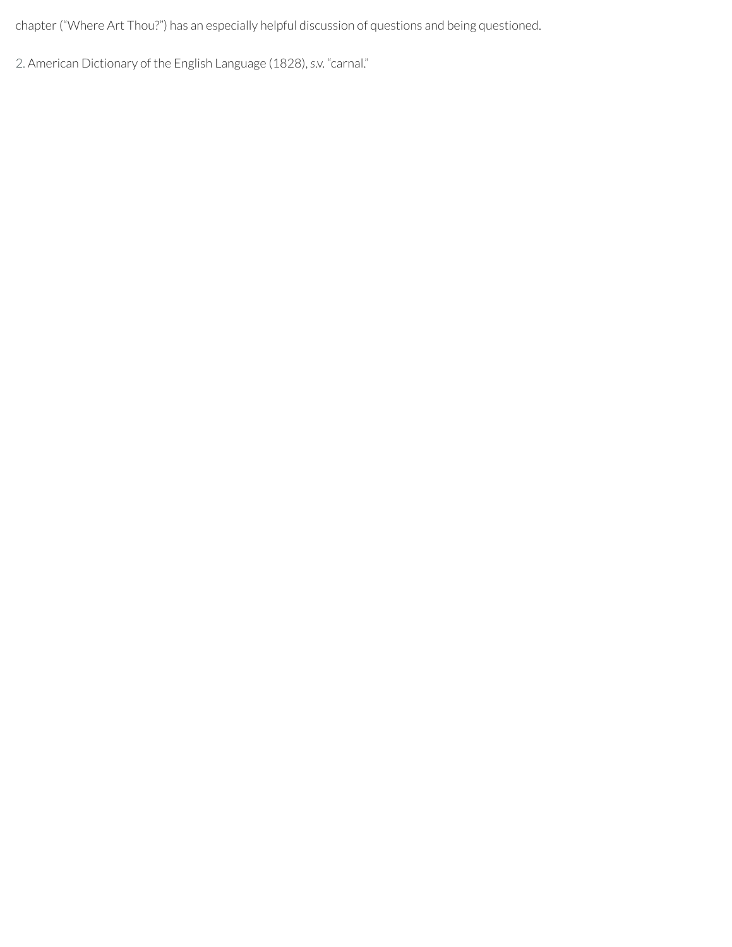chapter("Where Art Thou?") has an especially helpful discussion of questions and being questioned.

<span id="page-19-0"></span>[2.](#page-17-0) American Dictionary of the English Language (1828), *s*.v. "carnal."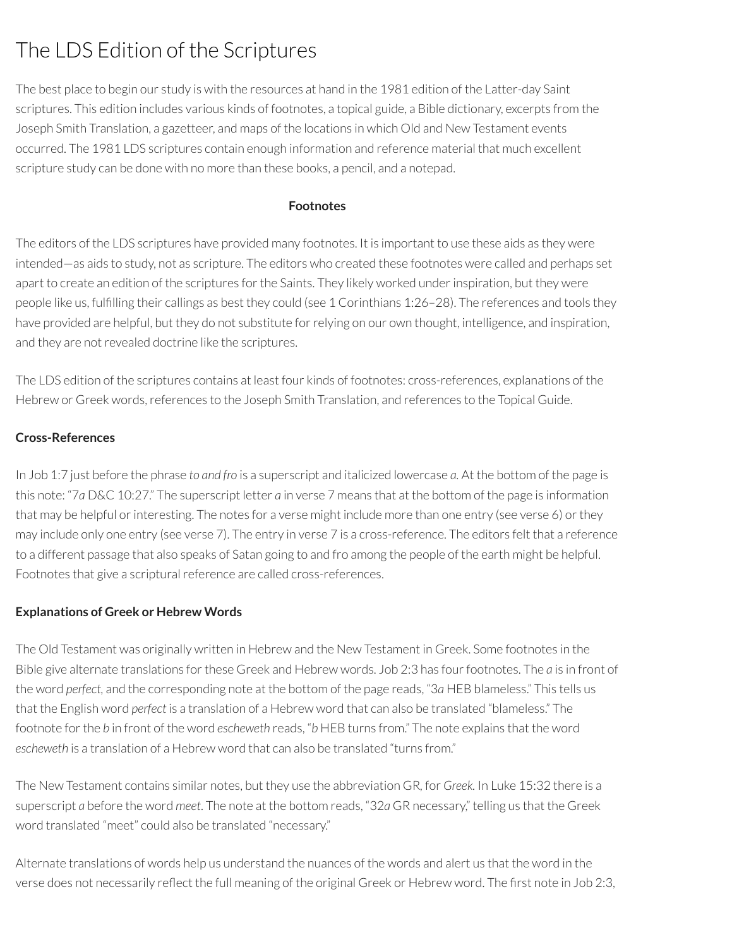## The LDS Edition of the Scriptures

The best place to begin our study is with the resources at hand in the 1981 edition of the Latter-day Saint scriptures. This edition includes various kinds of footnotes, a topical guide, a Bible dictionary, excerpts from the Joseph Smith Translation, a gazetteer, and maps of the locations in which Old and New Testament events occurred. The 1981 LDS scriptures contain enough information and reference material that much excellent scripture study can be done with no more than these books, a pencil, and a notepad.

#### **Footnotes**

The editors of the LDS scriptures have provided many footnotes. It is important to use these aids as they were intended—as aids to study, not as scripture. The editors who created these footnotes were called and perhaps set apart to create an edition of the scriptures for the Saints. They likely worked under inspiration, but they were people like us, fullling their callings as best they could (see 1 Corinthians 1:26–28). The references and tools they have provided are helpful, but they do not substitute forrelying on our own thought, intelligence, and inspiration, and they are not revealed doctrine like the scriptures.

The LDS edition of the scriptures contains at least four kinds of footnotes: cross-references, explanations of the Hebrew or Greek words, references to the Joseph Smith Translation, and references to the Topical Guide.

### **Cross-References**

In Job 1:7 just before the phrase *to and fro* is a superscript and italicized lowercase *a.* At the bottom of the page is this note: "7*a* D&C 10:27." The superscript letter *a* in verse 7 means that at the bottom of the page is information that may be helpful or interesting. The notes for a verse might include more than one entry (see verse 6) or they may include only one entry (see verse 7). The entry in verse 7 is a cross-reference. The editors felt that a reference to a different passage that also speaks of Satan going to and fro among the people of the earth might be helpful. Footnotes that give a scriptural reference are called cross-references.

### **Explanations of Greek or Hebrew Words**

The Old Testament was originally written in Hebrew and the New Testament in Greek. Some footnotes in the Bible give alternate translations for these Greek and Hebrew words. Job 2:3 has four footnotes. The *a* is in front of the word *perfect,* and the corresponding note at the bottom of the page reads, "3*a* HEB blameless." This tells us that the English word *perfect* is a translation of a Hebrew word that can also be translated "blameless." The footnote forthe *b* in front of the word *escheweth* reads, "*b* HEB turns from." The note explains that the word *escheweth* is a translation of a Hebrew word that can also be translated "turns from."

The New Testament contains similar notes, but they use the abbreviation GR*,* for *Greek.* In Luke 15:32 there is a superscript *a* before the word *meet*. The note at the bottom reads, "32*a* GR necessary," telling us that the Greek word translated "meet" could also be translated "necessary."

Alternate translations of words help us understand the nuances of the words and alert us that the word in the verse does not necessarily reflect the full meaning of the original Greek or Hebrew word. The first note in Job 2:3,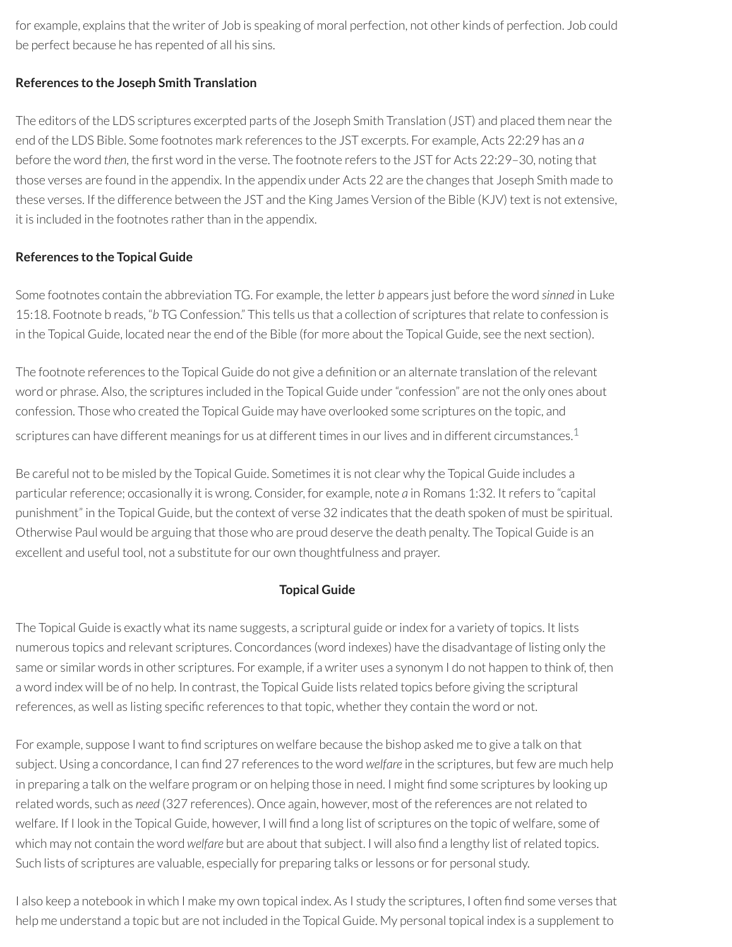for example, explains that the writer of Job is speaking of moral perfection, not other kinds of perfection. Job could be perfect because he has repented of all his sins.

## **References to the Joseph Smith Translation**

The editors of the LDS scriptures excerpted parts of the Joseph Smith Translation (JST) and placed them nearthe end of the LDS Bible. Some footnotes mark references to the JST excerpts. For example, Acts 22:29 has an *a* before the word *then*, the first word in the verse. The footnote refers to the JST for Acts 22:29-30, noting that those verses are found in the appendix. In the appendix under Acts 22 are the changes that Joseph Smith made to these verses. If the difference between the JST and the King James Version of the Bible (KJV) text is not extensive, it is included in the footnotes rather than in the appendix.

## **References to the Topical Guide**

Some footnotes contain the abbreviation TG. For example, the letter *b* appears just before the word *sinned* in Luke 15:18. Footnote b reads, "*b* TG Confession." This tells us that a collection of scriptures thatrelate to confession is in the Topical Guide, located near the end of the Bible (for more about the Topical Guide, see the next section).

The footnote references to the Topical Guide do not give a definition or an alternate translation of the relevant word or phrase. Also, the scriptures included in the Topical Guide under"confession" are not the only ones about confession. Those who created the Topical Guide may have overlooked some scriptures on the topic, and scriptures can have different meanings for us at different times in our lives and in different circumstances. $^1$  $^1$ 

Be careful not to be misled by the Topical Guide. Sometimes it is not clear why the Topical Guide includes a particular reference; occasionally it is wrong. Consider, for example, note *a* in Romans 1:32. It refers to "capital punishment" in the Topical Guide, but the context of verse 32 indicates that the death spoken of must be spiritual. Otherwise Paul would be arguing that those who are proud deserve the death penalty. The Topical Guide is an excellent and useful tool, not a substitute for our own thoughtfulness and prayer.

## <span id="page-21-0"></span>**Topical Guide**

The Topical Guide is exactly what its name suggests, a scriptural guide or index for a variety of topics. It lists numerous topics and relevant scriptures. Concordances (word indexes) have the disadvantage of listing only the same or similar words in other scriptures. For example, if a writer uses a synonym I do not happen to think of, then a word index will be of no help. In contrast, the Topical Guide lists related topics before giving the scriptural references, as well as listing specific references to that topic, whether they contain the word or not.

For example, suppose I want to find scriptures on welfare because the bishop asked me to give a talk on that subject. Using a concordance, I can find 27 references to the word *welfare* in the scriptures, but few are much help in preparing a talk on the welfare program or on helping those in need. I might find some scriptures by looking up related words, such as *need* (327 references). Once again, however, most of the references are notrelated to welfare. If I look in the Topical Guide, however, I will find a long list of scriptures on the topic of welfare, some of which may not contain the word welfare but are about that subject. I will also find a lengthy list of related topics. Such lists of scriptures are valuable, especially for preparing talks or lessons or for personal study.

I also keep a notebook in which I make my own topical index. As I study the scriptures, I often find some verses that help me understand a topic but are not included in the Topical Guide. My personal topical index is a supplement to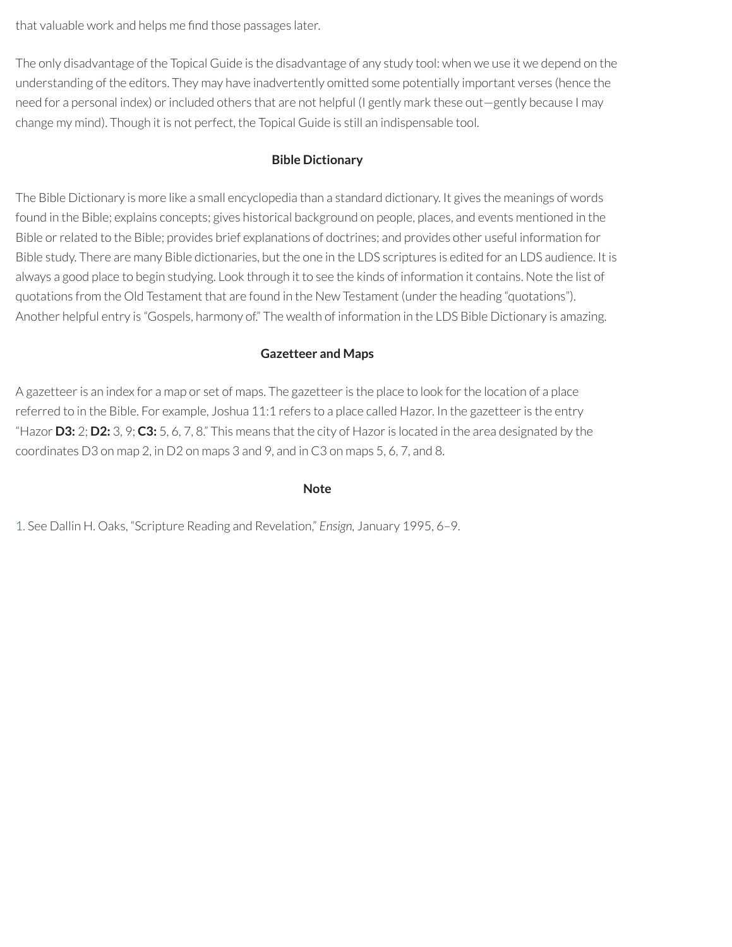that valuable work and helps me find those passages later.

The only disadvantage of the Topical Guide is the disadvantage of any study tool: when we use it we depend on the understanding of the editors. They may have inadvertently omitted some potentially important verses (hence the need for a personal index) or included others that are not helpful (I gently mark these out—gently because I may change my mind). Though it is not perfect, the Topical Guide is still an indispensable tool.

#### **Bible Dictionary**

The Bible Dictionary is more like a small encyclopedia than a standard dictionary. It gives the meanings of words found in the Bible; explains concepts; gives historical background on people, places, and events mentioned in the Bible or related to the Bible; provides brief explanations of doctrines; and provides other useful information for Bible study. There are many Bible dictionaries, but the one in the LDS scriptures is edited for an LDS audience. It is always a good place to begin studying. Look through it to see the kinds of information it contains. Note the list of quotations from the Old Testament that are found in the New Testament (underthe heading "quotations"). Another helpful entry is "Gospels, harmony of." The wealth of information in the LDS Bible Dictionary is amazing.

#### **Gazetteer and Maps**

A gazetteer is an index for a map or set of maps. The gazetteer is the place to look for the location of a place referred to in the Bible. For example, Joshua 11:1 refers to a place called Hazor. In the gazetteer is the entry "Hazor **D3:** 2; **D2:** 3, 9; **C3:** 5, 6, 7, 8." This means that the city of Hazoris located in the area designated by the coordinates D3 on map 2, in D2 on maps 3 and 9, and in C3 on maps 5, 6, 7, and 8.

#### **Note**

<span id="page-22-0"></span>[1.](#page-21-0) See Dallin H. Oaks, "Scripture Reading and Revelation," *Ensign,* January 1995, 6–9.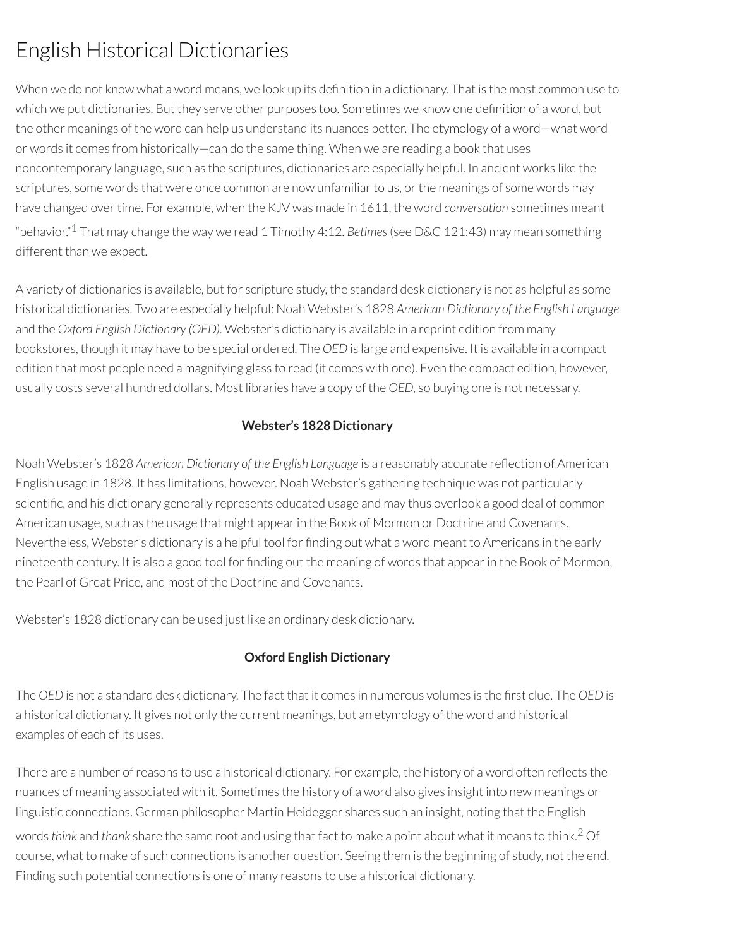## English Historical Dictionaries

When we do not know what a word means, we look up its definition in a dictionary. That is the most common use to which we put dictionaries. But they serve other purposes too. Sometimes we know one definition of a word, but the other meanings of the word can help us understand its nuances better. The etymology of a word—what word or words it comes from historically—can do the same thing. When we are reading a book that uses noncontemporary language, such as the scriptures, dictionaries are especially helpful. In ancient works like the scriptures, some words that were once common are now unfamiliar to us, or the meanings of some words may have changed over time. For example, when the KJV was made in 1611, the word *conversation* sometimes meant "behavior." [1](#page-24-0) That may change the way we read 1 Timothy 4:12. *Betimes*(see D&C 121:43) may mean something different than we expect.

<span id="page-23-0"></span>A variety of dictionaries is available, but for scripture study, the standard desk dictionary is not as helpful as some historical dictionaries. Two are especially helpful: Noah Webster's 1828 *American Dictionary of the English Language* and the *Oxford English Dictionary (OED).* Webster's dictionary is available in a reprint edition from many bookstores, though it may have to be special ordered. The *OED* is large and expensive. It is available in a compact edition that most people need a magnifying glass to read (it comes with one). Even the compact edition, however, usually costs several hundred dollars. Most libraries have a copy of the *OED,* so buying one is not necessary.

## **Webster's 1828 Dictionary**

Noah Webster's 1828 American Dictionary of the English Language is a reasonably accurate reflection of American English usage in 1828. It has limitations, however. Noah Webster's gathering technique was not particularly scientific, and his dictionary generally represents educated usage and may thus overlook a good deal of common American usage, such as the usage that might appear in the Book of Mormon or Doctrine and Covenants. Nevertheless, Webster's dictionary is a helpful tool for finding out what a word meant to Americans in the early nineteenth century. It is also a good tool for nding out the meaning of words that appearin the Book of Mormon, the Pearl of Great Price, and most of the Doctrine and Covenants.

Webster's 1828 dictionary can be used just like an ordinary desk dictionary.

## <span id="page-23-1"></span>**Oxford English Dictionary**

The *OED* is not a standard desk dictionary. The fact that it comes in numerous volumes is the first clue. The *OED* is a historical dictionary. It gives not only the current meanings, but an etymology of the word and historical examples of each of its uses.

There are a number of reasons to use a historical dictionary. For example, the history of a word often reflects the nuances of meaning associated with it. Sometimes the history of a word also gives insight into new meanings or linguistic connections. German philosopher Martin Heidegger shares such an insight, noting that the English words *think* and *thank* share the same root and using that fact to make a point about what it means to think. [2](#page-24-1) Of course, what to make of such connections is another question. Seeing them is the beginning of study, not the end. Finding such potential connections is one of many reasons to use a historical dictionary.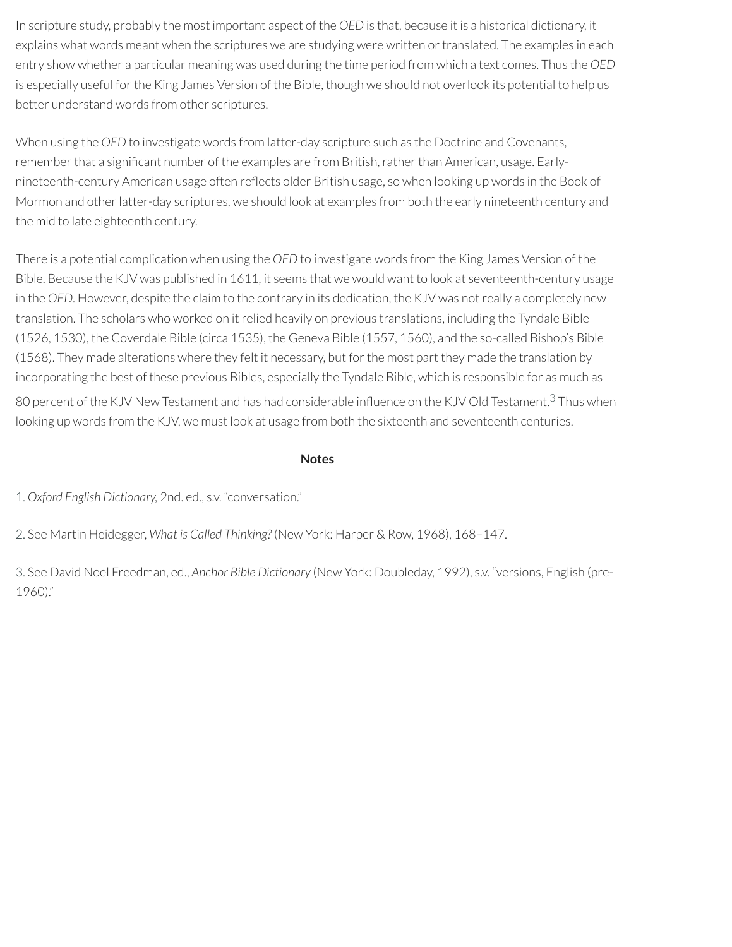In scripture study, probably the most important aspect of the *OED* is that, because it is a historical dictionary, it explains what words meant when the scriptures we are studying were written or translated. The examples in each entry show whether a particular meaning was used during the time period from which a text comes. Thus the *OED* is especially useful for the King James Version of the Bible, though we should not overlook its potential to help us better understand words from other scriptures.

When using the *OED* to investigate words from latter-day scripture such as the Doctrine and Covenants, remember that a significant number of the examples are from British, rather than American, usage. Earlynineteenth-century American usage often reflects older British usage, so when looking up words in the Book of Mormon and other latter-day scriptures, we should look at examples from both the early nineteenth century and the mid to late eighteenth century.

There is a potential complication when using the *OED* to investigate words from the King James Version of the Bible. Because the KJV was published in 1611, it seems that we would want to look at seventeenth-century usage in the *OED*. However, despite the claim to the contrary in its dedication, the KJV was notreally a completely new translation. The scholars who worked on itrelied heavily on previous translations, including the Tyndale Bible (1526, 1530), the Coverdale Bible (circa 1535), the Geneva Bible (1557, 1560), and the so-called Bishop's Bible (1568). They made alterations where they felt it necessary, but forthe most part they made the translation by incorporating the best of these previous Bibles, especially the Tyndale Bible, which is responsible for as much as 80 percent of the KJV New Testament and has had considerable influence on the KJV Old Testament. $^3$  $^3$  Thus when looking up words from the KJV, we must look at usage from both the sixteenth and seventeenth centuries.

#### <span id="page-24-3"></span>**Notes**

<span id="page-24-0"></span>[1.](#page-23-0) *Oxford English Dictionary,* 2nd. ed., s.v. "conversation."

<span id="page-24-1"></span>[2.](#page-23-1) See Martin Heidegger, *What is Called Thinking?* (New York: Harper & Row, 1968), 168–147.

<span id="page-24-2"></span>[3.](#page-24-3) See David Noel Freedman, ed., *Anchor Bible Dictionary* (New York: Doubleday, 1992), s.v. "versions, English (pre-1960)."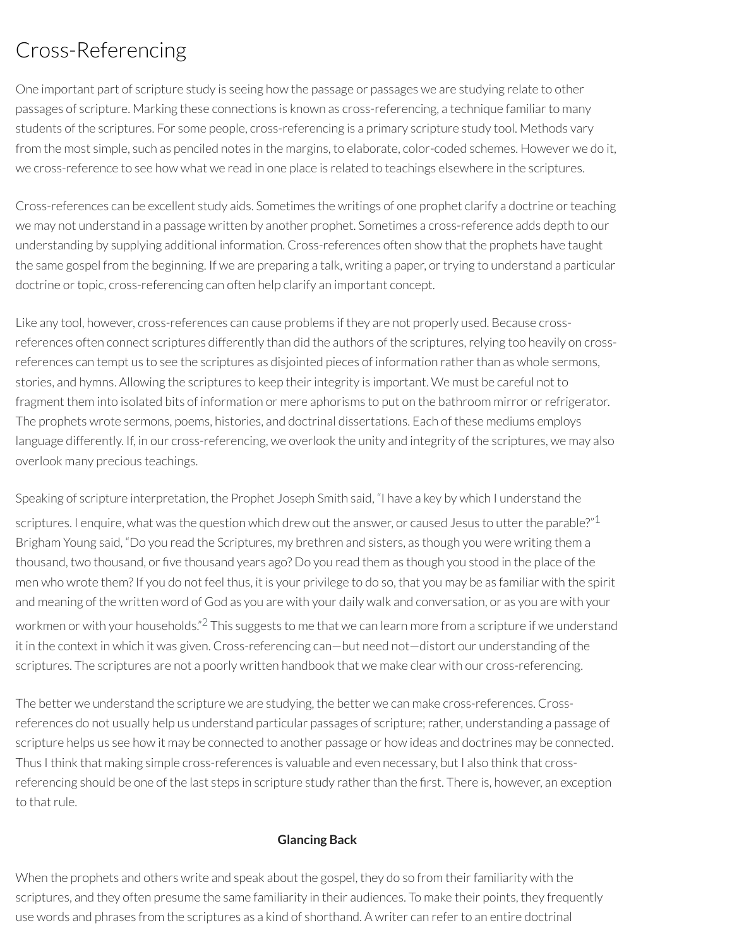## Cross-Referencing

One important part of scripture study is seeing how the passage or passages we are studying relate to other passages of scripture. Marking these connections is known as cross-referencing, a technique familiar to many students of the scriptures. For some people, cross-referencing is a primary scripture study tool. Methods vary from the most simple, such as penciled notes in the margins, to elaborate, color-coded schemes. However we do it, we cross-reference to see how what we read in one place is related to teachings elsewhere in the scriptures.

Cross-references can be excellent study aids. Sometimes the writings of one prophet clarify a doctrine orteaching we may not understand in a passage written by another prophet. Sometimes a cross-reference adds depth to our understanding by supplying additional information. Cross-references often show that the prophets have taught the same gospel from the beginning. If we are preparing a talk, writing a paper, or trying to understand a particular doctrine or topic, cross-referencing can often help clarify an important concept.

Like any tool, however, cross-references can cause problems if they are not properly used. Because crossreferences often connect scriptures differently than did the authors of the scriptures,relying too heavily on crossreferences can tempt us to see the scriptures as disjointed pieces of information rather than as whole sermons, stories, and hymns. Allowing the scriptures to keep theirintegrity is important. We must be careful not to fragment them into isolated bits of information or mere aphorisms to put on the bathroom mirror orrefrigerator. The prophets wrote sermons, poems, histories, and doctrinal dissertations. Each of these mediums employs language differently. If, in our cross-referencing, we overlook the unity and integrity of the scriptures, we may also overlook many precious teachings.

Speaking of scripture interpretation, the Prophet Joseph Smith said, "I have a key by which I understand the scriptures. I enquire, what was the question which drew out the answer, or caused Jesus to utter the parable?" $^{\rm 1}$  $^{\rm 1}$  $^{\rm 1}$ Brigham Young said, "Do you read the Scriptures, my brethren and sisters, as though you were writing them a thousand, two thousand, or five thousand years ago? Do you read them as though you stood in the place of the men who wrote them? If you do not feel thus, it is your privilege to do so, that you may be as familiar with the spirit and meaning of the written word of God as you are with your daily walk and conversation, or as you are with your workmen or with your households."<sup>[2](#page-38-1)</sup> This suggests to me that we can learn more from a scripture if we understand it in the context in which it was given. Cross-referencing can—but need not—distort our understanding of the scriptures. The scriptures are not a poorly written handbook that we make clear with our cross-referencing.

The better we understand the scripture we are studying, the better we can make cross-references. Crossreferences do not usually help us understand particular passages of scripture; rather, understanding a passage of scripture helps us see how it may be connected to another passage or how ideas and doctrines may be connected. Thus I think that making simple cross-references is valuable and even necessary, but I also think that crossreferencing should be one of the last steps in scripture study rather than the first. There is, however, an exception to that rule.

## **Glancing Back**

When the prophets and others write and speak about the gospel, they do so from their familiarity with the scriptures, and they often presume the same familiarity in their audiences. To make their points, they frequently use words and phrases from the scriptures as a kind of shorthand. A writer can referto an entire doctrinal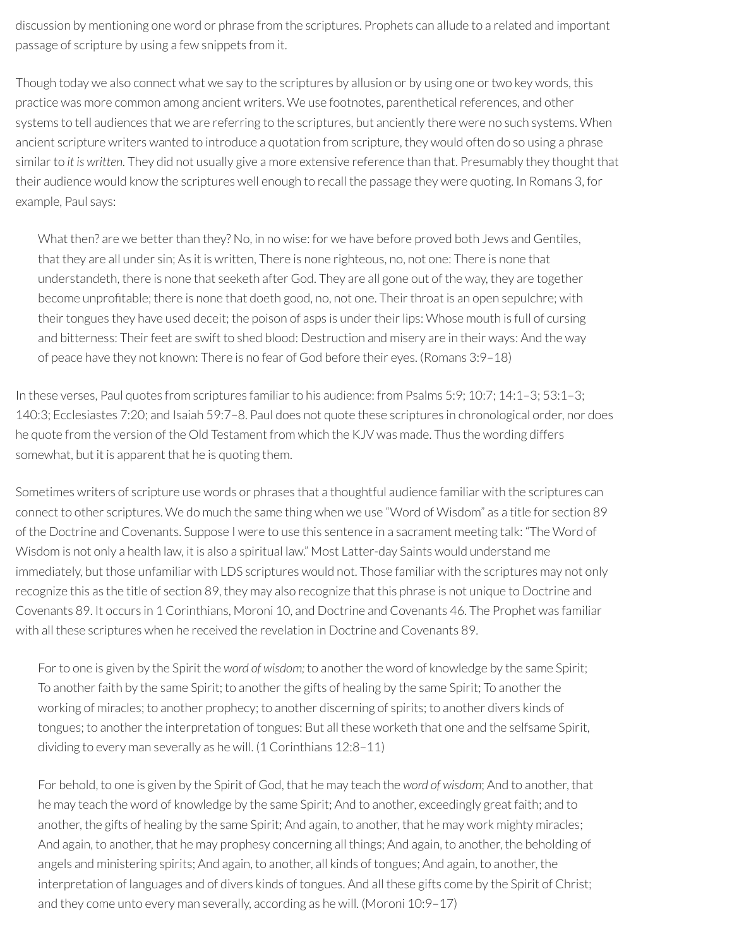discussion by mentioning one word or phrase from the scriptures. Prophets can allude to a related and important passage of scripture by using a few snippets from it.

Though today we also connect what we say to the scriptures by allusion or by using one ortwo key words, this practice was more common among ancient writers. We use footnotes, parenthetical references, and other systems to tell audiences that we are referring to the scriptures, but anciently there were no such systems. When ancient scripture writers wanted to introduce a quotation from scripture, they would often do so using a phrase similar to *it* is written. They did not usually give a more extensive reference than that. Presumably they thought that their audience would know the scriptures well enough to recall the passage they were quoting. In Romans 3, for example, Paul says:

What then? are we better than they? No, in no wise: for we have before proved both Jews and Gentiles, that they are all under sin; As it is written, There is none righteous, no, not one: There is none that understandeth, there is none that seeketh after God. They are all gone out of the way, they are together become unprofitable; there is none that doeth good, no, not one. Their throat is an open sepulchre; with their tongues they have used deceit; the poison of asps is under their lips: Whose mouth is full of cursing and bitterness: Their feet are swift to shed blood: Destruction and misery are in their ways: And the way of peace have they not known: There is no fear of God before their eyes. (Romans 3:9–18)

In these verses, Paul quotes from scriptures familiarto his audience: from Psalms 5:9; 10:7; 14:1–3; 53:1–3; 140:3; Ecclesiastes 7:20; and Isaiah 59:7–8. Paul does not quote these scriptures in chronological order, nor does he quote from the version of the Old Testament from which the KJV was made. Thus the wording differs somewhat, but it is apparent that he is quoting them.

Sometimes writers of scripture use words or phrases that a thoughtful audience familiar with the scriptures can connect to other scriptures. We do much the same thing when we use "Word of Wisdom" as a title for section 89 of the Doctrine and Covenants. Suppose I were to use this sentence in a sacrament meeting talk: "The Word of Wisdom is not only a health law, it is also a spiritual law." Most Latter-day Saints would understand me immediately, but those unfamiliar with LDS scriptures would not. Those familiar with the scriptures may not only recognize this as the title of section 89, they may also recognize that this phrase is not unique to Doctrine and Covenants 89. It occurs in 1 Corinthians, Moroni 10, and Doctrine and Covenants 46. The Prophet was familiar with all these scriptures when he received the revelation in Doctrine and Covenants 89.

For to one is given by the Spirit the *word* of *wisdom*; to another the word of knowledge by the same Spirit; To another faith by the same Spirit; to another the gifts of healing by the same Spirit; To another the working of miracles; to another prophecy; to another discerning of spirits; to another divers kinds of tongues; to another the interpretation of tongues: But all these worketh that one and the selfsame Spirit, dividing to every man severally as he will. (1 Corinthians 12:8–11)

For behold, to one is given by the Spirit of God, that he may teach the *word of wisdom*; And to another, that he may teach the word of knowledge by the same Spirit; And to another, exceedingly great faith; and to another, the gifts of healing by the same Spirit; And again, to another, that he may work mighty miracles; And again, to another, that he may prophesy concerning all things; And again, to another, the beholding of angels and ministering spirits; And again, to another, all kinds of tongues; And again, to another, the interpretation of languages and of divers kinds of tongues. And all these gifts come by the Spirit of Christ; and they come unto every man severally, according as he will. (Moroni 10:9–17)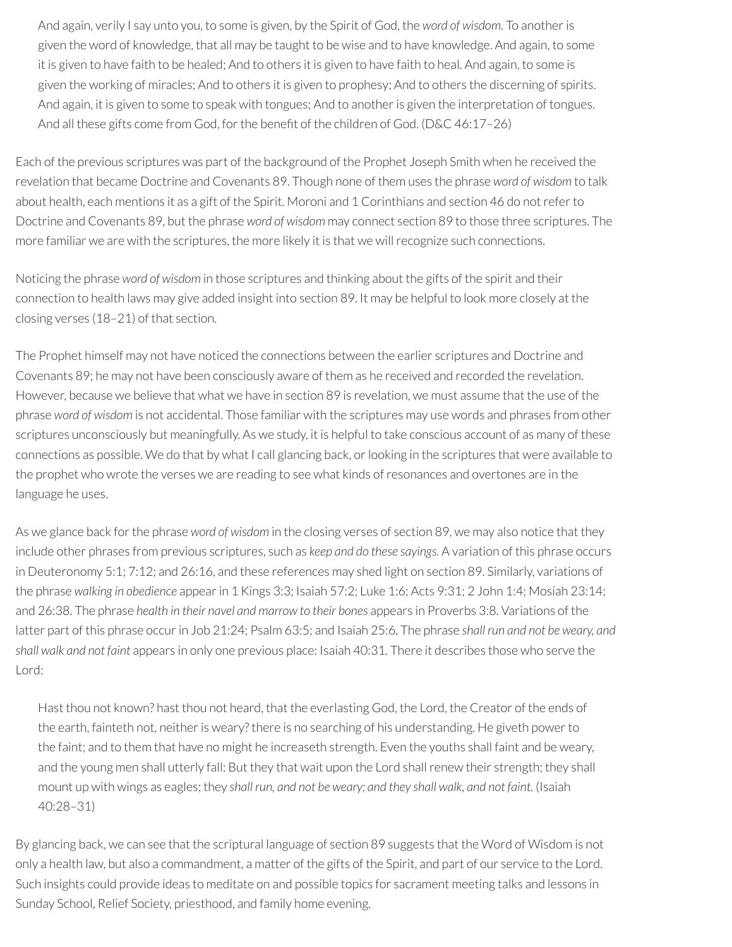And again, verily I say unto you, to some is given, by the Spirit of God, the *word of wisdom*. To anotheris given the word of knowledge, that all may be taught to be wise and to have knowledge. And again, to some it is given to have faith to be healed; And to others it is given to have faith to heal. And again, to some is given the working of miracles; And to others it is given to prophesy; And to others the discerning of spirits. And again, it is given to some to speak with tongues; And to another is given the interpretation of tongues. And all these gifts come from God, for the benefit of the children of God. (D&C 46:17-26)

Each of the previous scriptures was part of the background of the Prophet Joseph Smith when he received the revelation that became Doctrine and Covenants 89. Though none of them uses the phrase *word of wisdom* to talk about health, each mentions it as a gift of the Spirit. Moroni and 1 Corinthians and section 46 do not refer to Doctrine and Covenants 89, but the phrase *word of wisdom* may connect section 89 to those three scriptures. The more familiar we are with the scriptures, the more likely it is that we will recognize such connections.

Noticing the phrase *word of wisdom* in those scriptures and thinking about the gifts of the spirit and their connection to health laws may give added insight into section 89. It may be helpful to look more closely at the closing verses (18–21) of that section.

The Prophet himself may not have noticed the connections between the earlier scriptures and Doctrine and Covenants 89; he may not have been consciously aware of them as he received and recorded the revelation. However, because we believe that what we have in section 89 is revelation, we must assume that the use of the phrase *word of wisdom* is not accidental. Those familiar with the scriptures may use words and phrases from other scriptures unconsciously but meaningfully. As we study, it is helpful to take conscious account of as many of these connections as possible. We do that by what I call glancing back, or looking in the scriptures that were available to the prophet who wrote the verses we are reading to see what kinds of resonances and overtones are in the language he uses.

As we glance back forthe phrase *word of wisdom* in the closing verses of section 89, we may also notice that they include other phrases from previous scriptures, such as *keep and do these sayings.* A variation of this phrase occurs in Deuteronomy 5:1; 7:12; and 26:16, and these references may shed light on section 89. Similarly, variations of the phrase *walking in obedience* appearin 1 Kings 3:3; Isaiah 57:2; Luke 1:6; Acts 9:31; 2 John 1:4; Mosiah 23:14; and 26:38. The phrase *health in their navel and marrow to their bones* appears in Proverbs 3:8. Variations of the latter part of this phrase occurin Job 21:24; Psalm 63:5; and Isaiah 25:6. The phrase *shall run and not be weary, and shall walk and not faint* appears in only one previous place: Isaiah 40:31. There it describes those who serve the Lord:

Hast thou not known? hast thou not heard, that the everlasting God, the Lord, the Creator of the ends of the earth, fainteth not, neither is weary? there is no searching of his understanding. He giveth power to the faint; and to them that have no might he increaseth strength. Even the youths shall faint and be weary, and the young men shall utterly fall: But they that wait upon the Lord shall renew their strength; they shall mount up with wings as eagles; they *shall run, and not be weary; and they shall walk, and not faint.* (Isaiah 40:28–31)

By glancing back, we can see that the scriptural language of section 89 suggests that the Word of Wisdom is not only a health law, but also a commandment, a matter of the gifts of the Spirit, and part of our service to the Lord. Such insights could provide ideas to meditate on and possible topics for sacrament meeting talks and lessons in Sunday School, Relief Society, priesthood, and family home evening.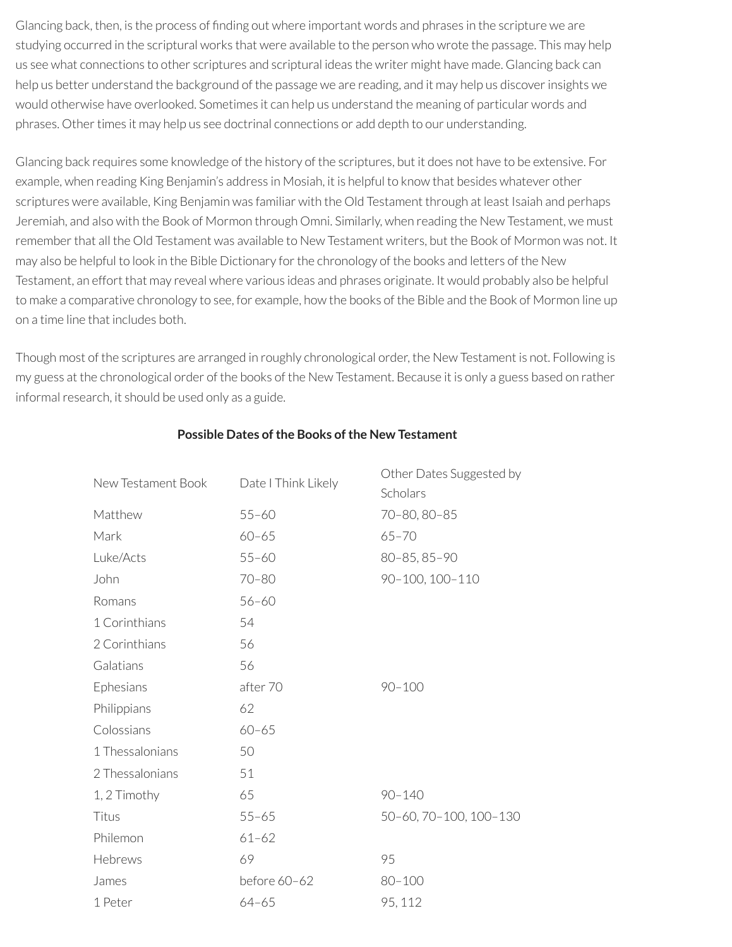Glancing back, then, is the process of finding out where important words and phrases in the scripture we are studying occurred in the scriptural works that were available to the person who wrote the passage. This may help us see what connections to other scriptures and scriptural ideas the writer might have made. Glancing back can help us better understand the background of the passage we are reading, and it may help us discover insights we would otherwise have overlooked. Sometimes it can help us understand the meaning of particular words and phrases. Other times it may help us see doctrinal connections or add depth to our understanding.

Glancing back requires some knowledge of the history of the scriptures, but it does not have to be extensive. For example, when reading King Benjamin's address in Mosiah, it is helpful to know that besides whatever other scriptures were available, King Benjamin was familiar with the Old Testament through at least Isaiah and perhaps Jeremiah, and also with the Book of Mormon through Omni. Similarly, when reading the New Testament, we must remember that all the Old Testament was available to New Testament writers, but the Book of Mormon was not. It may also be helpful to look in the Bible Dictionary for the chronology of the books and letters of the New Testament, an effort that may reveal where various ideas and phrases originate. It would probably also be helpful to make a comparative chronology to see, for example, how the books of the Bible and the Book of Mormon line up on a time line that includes both.

Though most of the scriptures are arranged in roughly chronological order, the New Testament is not. Following is my guess at the chronological order of the books of the New Testament. Because it is only a guess based on rather informal research, it should be used only as a guide.

| New Testament Book | Date I Think Likely | Other Dates Suggested by<br>Scholars |
|--------------------|---------------------|--------------------------------------|
| Matthew            | $55 - 60$           | 70-80, 80-85                         |
| Mark               | $60 - 65$           | $65 - 70$                            |
| Luke/Acts          | $55 - 60$           | 80-85, 85-90                         |
| John               | $70 - 80$           | 90-100, 100-110                      |
| Romans             | $56 - 60$           |                                      |
| 1 Corinthians      | 54                  |                                      |
| 2 Corinthians      | 56                  |                                      |
| Galatians          | 56                  |                                      |
| Ephesians          | after 70            | $90 - 100$                           |
| Philippians        | 62                  |                                      |
| Colossians         | $60 - 65$           |                                      |
| 1 Thessalonians    | 50                  |                                      |
| 2 Thessalonians    | 51                  |                                      |
| 1, 2 Timothy       | 65                  | $90 - 140$                           |
| Titus              | $55 - 65$           | 50-60, 70-100, 100-130               |
| Philemon           | $61 - 62$           |                                      |
| Hebrews            | 69                  | 95                                   |
| James              | before 60-62        | $80 - 100$                           |
| 1 Peter            | $64 - 65$           | 95, 112                              |

## **Possible Dates of the Books ofthe New Testament**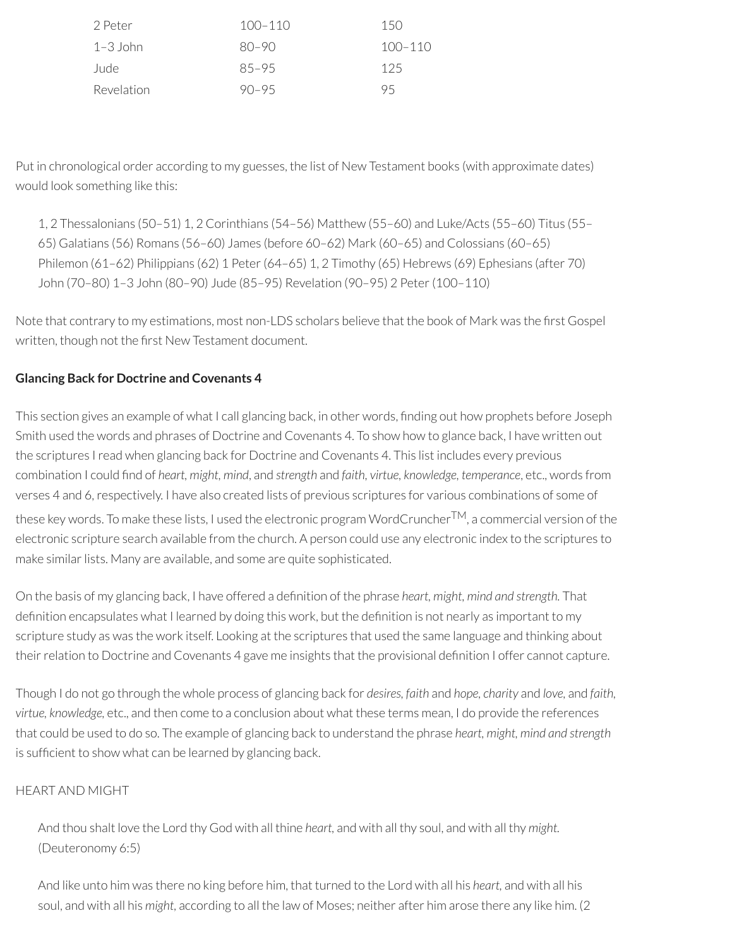| 2 Peter    | $100 - 110$ | 15()        |
|------------|-------------|-------------|
| $1-3$ John | $80 - 90$   | $100 - 110$ |
| Jude       | 85-95       | 125         |
| Revelation | $90 - 95$   | 95          |

Put in chronological order according to my guesses, the list of New Testament books (with approximate dates) would look something like this:

1, 2 Thessalonians (50–51) 1, 2 Corinthians (54–56) Matthew (55–60) and Luke/Acts (55–60) Titus (55– 65) Galatians (56) Romans (56–60) James (before 60–62) Mark (60–65) and Colossians (60–65) Philemon (61–62) Philippians (62) 1 Peter (64–65) 1, 2 Timothy (65) Hebrews (69) Ephesians (after 70) John (70–80) 1–3 John (80–90) Jude (85–95) Revelation (90–95) 2 Peter(100–110)

Note that contrary to my estimations, most non-LDS scholars believe that the book of Mark was the first Gospel written, though not the first New Testament document.

## **Glancing Back for Doctrine and Covenants 4**

This section gives an example of what I call glancing back, in other words, finding out how prophets before Joseph Smith used the words and phrases of Doctrine and Covenants 4. To show how to glance back, I have written out the scriptures Iread when glancing back for Doctrine and Covenants 4. This list includes every previous combination I could nd of *heart, might, mind*, and *strength* and *faith, virtue, knowledge, temperance*, etc., words from verses 4 and 6, respectively. I have also created lists of previous scriptures for various combinations of some of these key words. To make these lists, I used the electronic program WordCruncher TM, a commercial version of the electronic scripture search available from the church. A person could use any electronic index to the scriptures to make similar lists. Many are available, and some are quite sophisticated.

On the basis of my glancing back, I have offered a denition of the phrase *heart, might, mind and strength.* That definition encapsulates what I learned by doing this work, but the definition is not nearly as important to my scripture study as was the work itself. Looking at the scriptures that used the same language and thinking about their relation to Doctrine and Covenants 4 gave me insights that the provisional definition I offer cannot capture.

Though I do not go through the whole process of glancing back for *desires, faith* and *hope, charity* and *love,* and *faith, virtue, knowledge,* etc., and then come to a conclusion about what these terms mean, I do provide the references that could be used to do so. The example of glancing back to understand the phrase *heart, might, mind and strength* is sufficient to show what can be learned by glancing back.

## HEART AND MIGHT

And thou shalt love the Lord thy God with all thine *heart,* and with all thy soul, and with all thy *might.* (Deuteronomy 6:5)

And like unto him was there no king before him, that turned to the Lord with all his *heart,* and with all his soul, and with all his *might,* according to all the law of Moses; neither after him arose there any like him. (2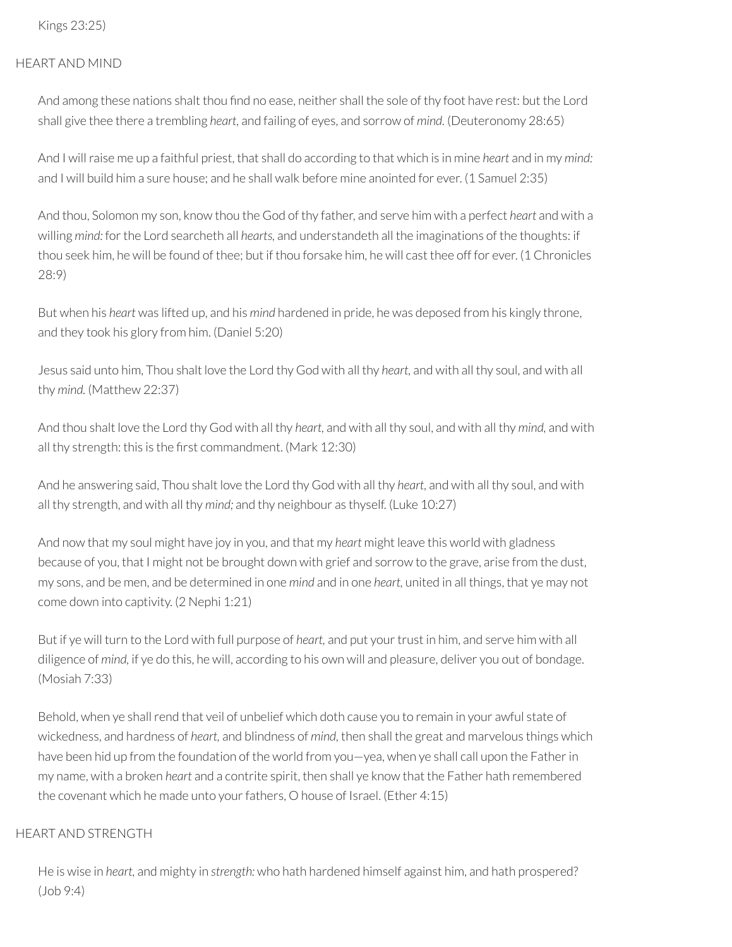```
Kings 23:25)
```
#### HEART AND MIND

And among these nations shalt thou find no ease, neither shall the sole of thy foot have rest: but the Lord shall give thee there a trembling *heart,* and failing of eyes, and sorrow of *mind.* (Deuteronomy 28:65)

And I willraise me up a faithful priest, that shall do according to that which is in mine *heart* and in my *mind:* and I will build him a sure house; and he shall walk before mine anointed for ever. (1 Samuel 2:35)

And thou, Solomon my son, know thou the God of thy father, and serve him with a perfect *heart* and with a willing *mind:* forthe Lord searcheth all *hearts,* and understandeth all the imaginations of the thoughts: if thou seek him, he will be found of thee; but if thou forsake him, he will cast thee off for ever. (1 Chronicles 28:9)

But when his *heart* was lifted up, and his *mind* hardened in pride, he was deposed from his kingly throne, and they took his glory from him. (Daniel 5:20)

Jesus said unto him, Thou shalt love the Lord thy God with all thy *heart,* and with all thy soul, and with all thy *mind.* (Matthew 22:37)

And thou shalt love the Lord thy God with all thy *heart,* and with all thy soul, and with all thy *mind,* and with all thy strength: this is the first commandment. (Mark  $12:30$ )

And he answering said, Thou shalt love the Lord thy God with all thy *heart,* and with all thy soul, and with all thy strength, and with all thy *mind;* and thy neighbour as thyself. (Luke 10:27)

And now that my soul might have joy in you, and that my *heart* might leave this world with gladness because of you, that I might not be brought down with grief and sorrow to the grave, arise from the dust, my sons, and be men, and be determined in one *mind* and in one *heart,* united in all things, that ye may not come down into captivity. (2 Nephi 1:21)

But if ye will turn to the Lord with full purpose of *heart*, and put your trust in him, and serve him with all diligence of *mind,* if ye do this, he will, according to his own will and pleasure, deliver you out of bondage. (Mosiah 7:33)

Behold, when ye shall rend that veil of unbelief which doth cause you to remain in your awful state of wickedness, and hardness of *heart,* and blindness of *mind,* then shall the great and marvelous things which have been hid up from the foundation of the world from you-yea, when ye shall call upon the Father in my name, with a broken *heart* and a contrite spirit, then shall ye know that the Father hath remembered the covenant which he made unto your fathers, O house of Israel. (Ether 4:15)

### HEART AND STRENGTH

He is wise in *heart,* and mighty in *strength:* who hath hardened himself against him, and hath prospered? (Job 9:4)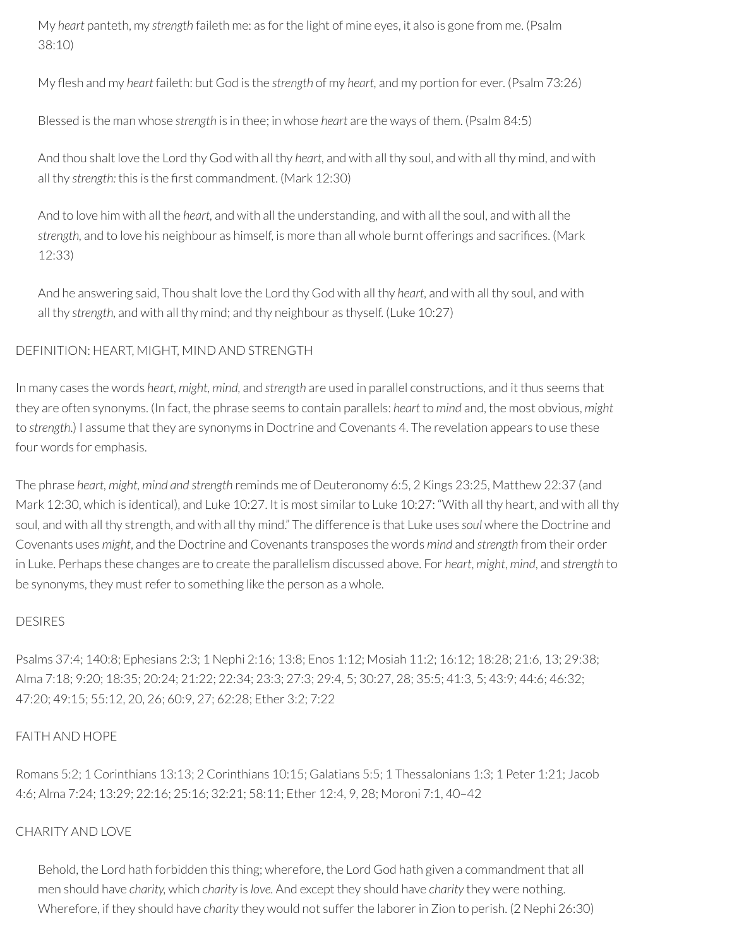My *heart* panteth, my *strength* faileth me: as forthe light of mine eyes, it also is gone from me. (Psalm 38:10)

My flesh and my *heart* faileth: but God is the *strength* of my *heart*, and my portion for ever. (Psalm 73:26)

Blessed is the man whose *strength* is in thee; in whose *heart* are the ways of them. (Psalm 84:5)

And thou shalt love the Lord thy God with all thy *heart,* and with all thy soul, and with all thy mind, and with all thy *strength:* this is the first commandment. (Mark 12:30)

And to love him with all the *heart,* and with all the understanding, and with all the soul, and with all the strength, and to love his neighbour as himself, is more than all whole burnt offerings and sacrifices. (Mark 12:33)

And he answering said, Thou shalt love the Lord thy God with all thy *heart,* and with all thy soul, and with all thy *strength,* and with all thy mind; and thy neighbour as thyself. (Luke 10:27)

## DEFINITION: HEART, MIGHT, MIND AND STRENGTH

In many cases the words *heart, might, mind,* and *strength* are used in parallel constructions, and it thus seems that they are often synonyms. (In fact, the phrase seems to contain parallels: *heart* to *mind* and, the most obvious, *might* to *strength*.) I assume that they are synonyms in Doctrine and Covenants 4. The revelation appears to use these four words for emphasis.

The phrase *heart, might, mind and strength* reminds me of Deuteronomy 6:5, 2 Kings 23:25, Matthew 22:37 (and Mark 12:30, which is identical), and Luke 10:27. It is most similarto Luke 10:27: "With all thy heart, and with all thy soul, and with all thy strength, and with all thy mind." The difference is that Luke uses *soul* where the Doctrine and Covenants uses *might*, and the Doctrine and Covenants transposes the words *mind* and *strength* from their order in Luke. Perhaps these changes are to create the parallelism discussed above. For *heart*, *might*, *mind*, and *strength* to be synonyms, they must refer to something like the person as a whole.

## DESIRES

Psalms 37:4; 140:8; Ephesians 2:3; 1 Nephi 2:16; 13:8; Enos 1:12; Mosiah 11:2; 16:12; 18:28; 21:6, 13; 29:38; Alma 7:18; 9:20; 18:35; 20:24; 21:22; 22:34; 23:3; 27:3; 29:4, 5; 30:27, 28; 35:5; 41:3, 5; 43:9; 44:6; 46:32; 47:20; 49:15; 55:12, 20, 26; 60:9, 27; 62:28; Ether 3:2; 7:22

## FAITH AND HOPE

Romans 5:2; 1 Corinthians 13:13; 2 Corinthians 10:15; Galatians 5:5; 1 Thessalonians 1:3; 1 Peter 1:21; Jacob 4:6; Alma 7:24; 13:29; 22:16; 25:16; 32:21; 58:11; Ether 12:4, 9, 28; Moroni 7:1, 40–42

## CHARITY AND LOVE

Behold, the Lord hath forbidden this thing; wherefore, the Lord God hath given a commandment that all men should have *charity,* which *charity* is *love.* And except they should have *charity* they were nothing. Wherefore, if they should have *charity* they would not suffer the laborer in Zion to perish. (2 Nephi 26:30)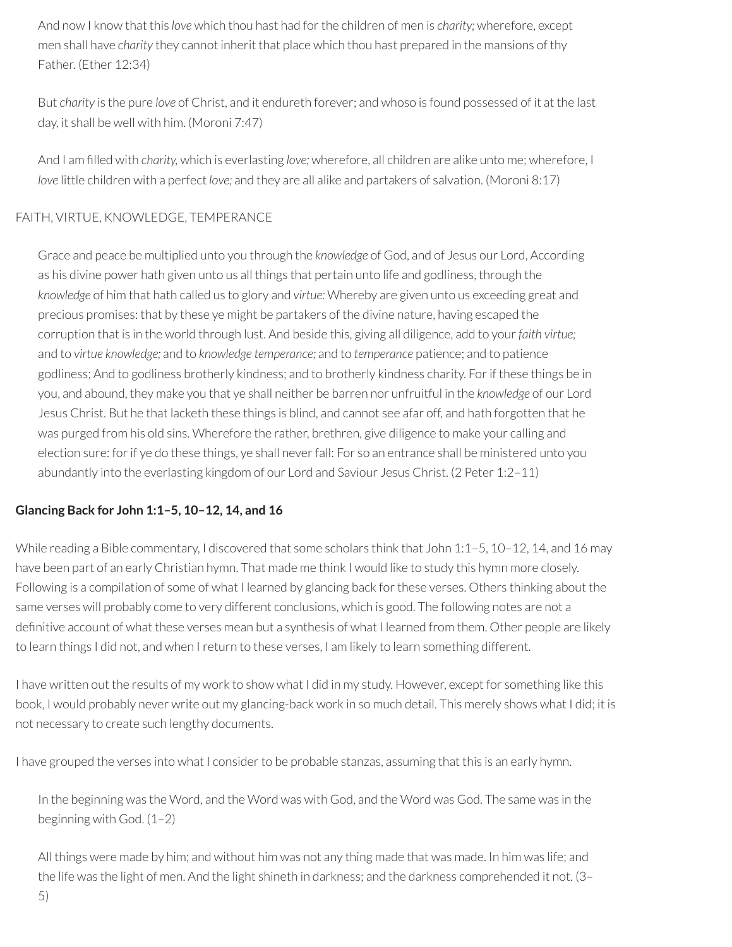And now I know that this *love* which thou hast had for the children of men is *charity*; wherefore, except men shall have *charity* they cannot inherit that place which thou hast prepared in the mansions of thy Father. (Ether 12:34)

But *charity* is the pure *love* of Christ, and it endureth forever; and whoso is found possessed of it at the last day, it shall be well with him. (Moroni 7:47)

And I am lled with *charity,* which is everlasting *love;* wherefore, all children are alike unto me; wherefore, I *love* little children with a perfect *love;* and they are all alike and partakers of salvation. (Moroni 8:17)

## FAITH, VIRTUE, KNOWLEDGE, TEMPERANCE

Grace and peace be multiplied unto you through the *knowledge* of God, and of Jesus our Lord, According as his divine power hath given unto us all things that pertain unto life and godliness, through the *knowledge* of him that hath called us to glory and *virtue:* Whereby are given unto us exceeding great and precious promises: that by these ye might be partakers of the divine nature, having escaped the corruption that is in the world through lust. And beside this, giving all diligence, add to your*faith virtue;* and to *virtue knowledge;* and to *knowledge temperance;* and to *temperance* patience; and to patience godliness; And to godliness brotherly kindness; and to brotherly kindness charity. Forif these things be in you, and abound, they make you that ye shall neither be barren nor unfruitful in the *knowledge* of our Lord Jesus Christ. But he that lacketh these things is blind, and cannot see afar off, and hath forgotten that he was purged from his old sins. Wherefore the rather, brethren, give diligence to make your calling and election sure: for if ye do these things, ye shall never fall: For so an entrance shall be ministered unto you abundantly into the everlasting kingdom of our Lord and Saviour Jesus Christ. (2 Peter 1:2–11)

## **Glancing Back for John 1:1–5, 10–12, 14, and 16**

While reading a Bible commentary, I discovered that some scholars think that John 1:1–5, 10–12, 14, and 16 may have been part of an early Christian hymn. That made me think I would like to study this hymn more closely. Following is a compilation of some of what I learned by glancing back for these verses. Others thinking about the same verses will probably come to very different conclusions, which is good. The following notes are not a definitive account of what these verses mean but a synthesis of what I learned from them. Other people are likely to learn things I did not, and when Ireturn to these verses, I am likely to learn something different.

I have written out the results of my work to show what I did in my study. However, except for something like this book, I would probably never write out my glancing-back work in so much detail. This merely shows what I did; it is not necessary to create such lengthy documents.

I have grouped the verses into what I consider to be probable stanzas, assuming that this is an early hymn.

In the beginning was the Word, and the Word was with God, and the Word was God. The same was in the beginning with God. (1–2)

All things were made by him; and without him was not any thing made that was made. In him was life; and the life was the light of men. And the light shineth in darkness; and the darkness comprehended it not. (3–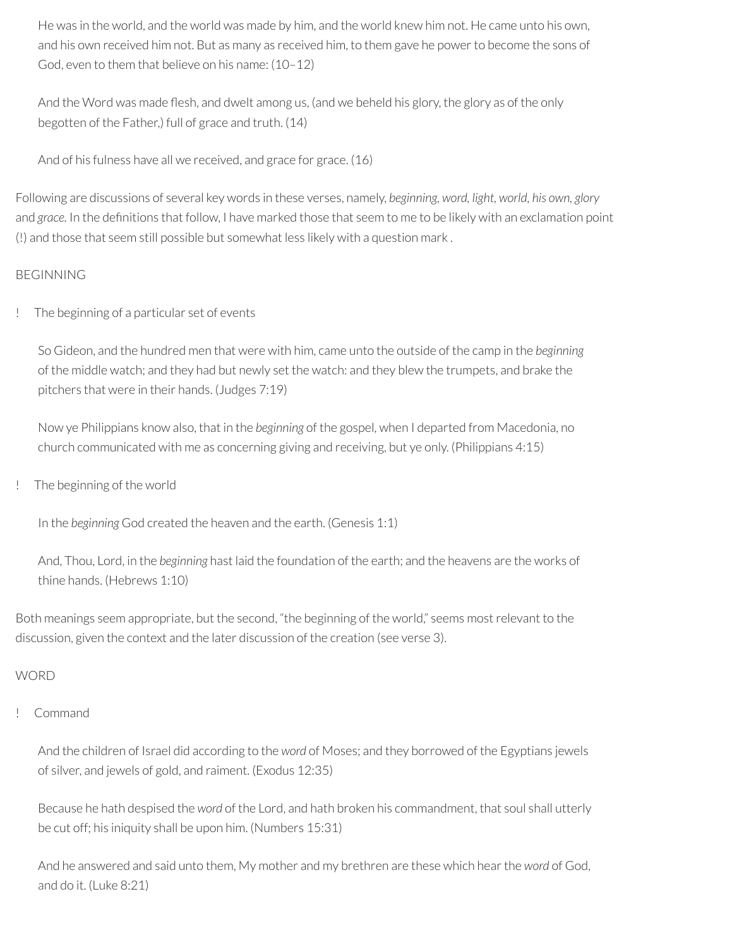He was in the world, and the world was made by him, and the world knew him not. He came unto his own, and his own received him not. But as many as received him, to them gave he power to become the sons of God, even to them that believe on his name: (10–12)

And the Word was made flesh, and dwelt among us, (and we beheld his glory, the glory as of the only begotten of the Father,) full of grace and truth. (14)

And of his fulness have all we received, and grace for grace. (16)

Following are discussions of several key words in these verses, namely, *beginning, word, light, world, his own, glory* and *grace*. In the definitions that follow, I have marked those that seem to me to be likely with an exclamation point (!) and those that seem still possible but somewhat less likely with a question mark .

## BEGINNING

! The beginning of a particular set of events

So Gideon, and the hundred men that were with him, came unto the outside of the camp in the *beginning* of the middle watch; and they had but newly set the watch: and they blew the trumpets, and brake the pitchers that were in their hands. (Judges 7:19)

Now ye Philippians know also, that in the *beginning* of the gospel, when I departed from Macedonia, no church communicated with me as concerning giving and receiving, but ye only. (Philippians 4:15)

! The beginning of the world

In the *beginning* God created the heaven and the earth. (Genesis 1:1)

And, Thou, Lord, in the *beginning* hast laid the foundation of the earth; and the heavens are the works of thine hands. (Hebrews 1:10)

Both meanings seem appropriate, but the second, "the beginning of the world," seems mostrelevant to the discussion, given the context and the later discussion of the creation (see verse 3).

## **WORD**

! Command

And the children of Israel did according to the *word* of Moses; and they borrowed of the Egyptians jewels of silver, and jewels of gold, and raiment. (Exodus 12:35)

Because he hath despised the *word* of the Lord, and hath broken his commandment, that soul shall utterly be cut off; his iniquity shall be upon him. (Numbers 15:31)

And he answered and said unto them, My mother and my brethren are these which hearthe *word* of God, and do it. (Luke 8:21)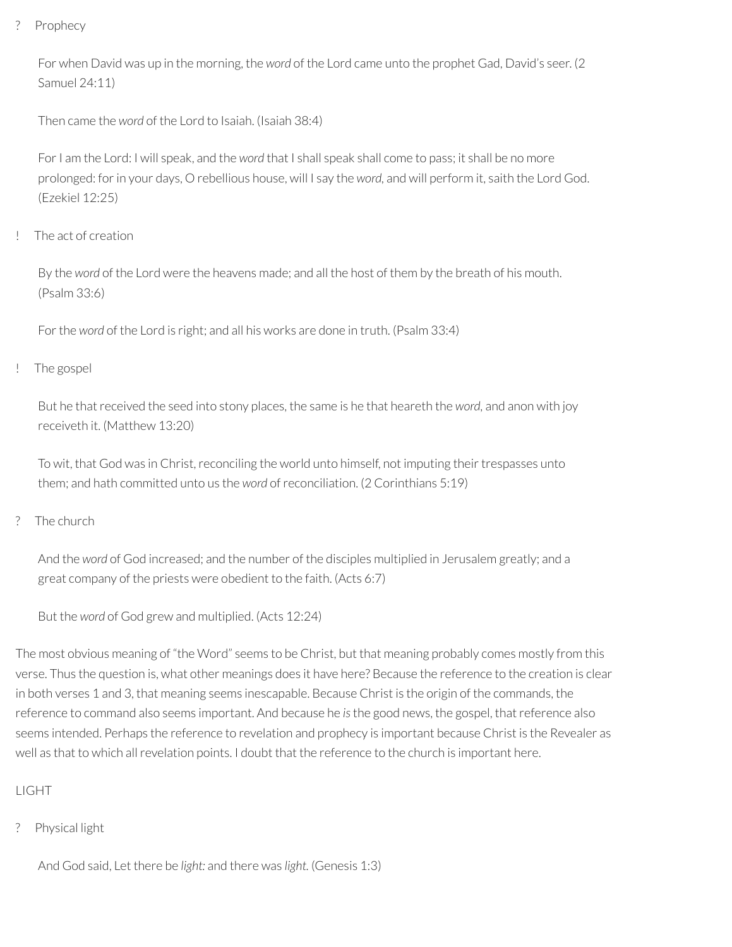**Prophecy** 

For when David was up in the morning, the *word* of the Lord came unto the prophet Gad, David's seer. (2 Samuel 24:11)

Then came the *word* of the Lord to Isaiah. (Isaiah 38:4)

ForI am the Lord: I will speak, and the *word* that I shall speak shall come to pass; it shall be no more prolonged: forin your days, O rebellious house, will I say the *word,* and will perform it, saith the Lord God. (Ezekiel 12:25)

! The act of creation

By the *word* of the Lord were the heavens made; and all the host of them by the breath of his mouth. (Psalm 33:6)

Forthe *word* of the Lord is right; and all his works are done in truth. (Psalm 33:4)

! The gospel

But he that received the seed into stony places, the same is he that heareth the *word*, and anon with joy receiveth it. (Matthew 13:20)

To wit, that God was in Christ, reconciling the world unto himself, not imputing their trespasses unto them; and hath committed unto us the *word* of reconciliation. (2 Corinthians 5:19)

? The church

And the *word* of God increased; and the number of the disciples multiplied in Jerusalem greatly; and a great company of the priests were obedient to the faith. (Acts 6:7)

But the *word* of God grew and multiplied. (Acts 12:24)

The most obvious meaning of "the Word" seems to be Christ, but that meaning probably comes mostly from this verse. Thus the question is, what other meanings does it have here? Because the reference to the creation is clear in both verses 1 and 3, that meaning seems inescapable. Because Christ is the origin of the commands, the reference to command also seems important. And because he *is*the good news, the gospel, thatreference also seems intended. Perhaps the reference to revelation and prophecy is important because Christ is the Revealer as well as that to which all revelation points. I doubt that the reference to the church is important here.

LIGHT

? Physical light

And God said, Let there be *light:* and there was *light.* (Genesis 1:3)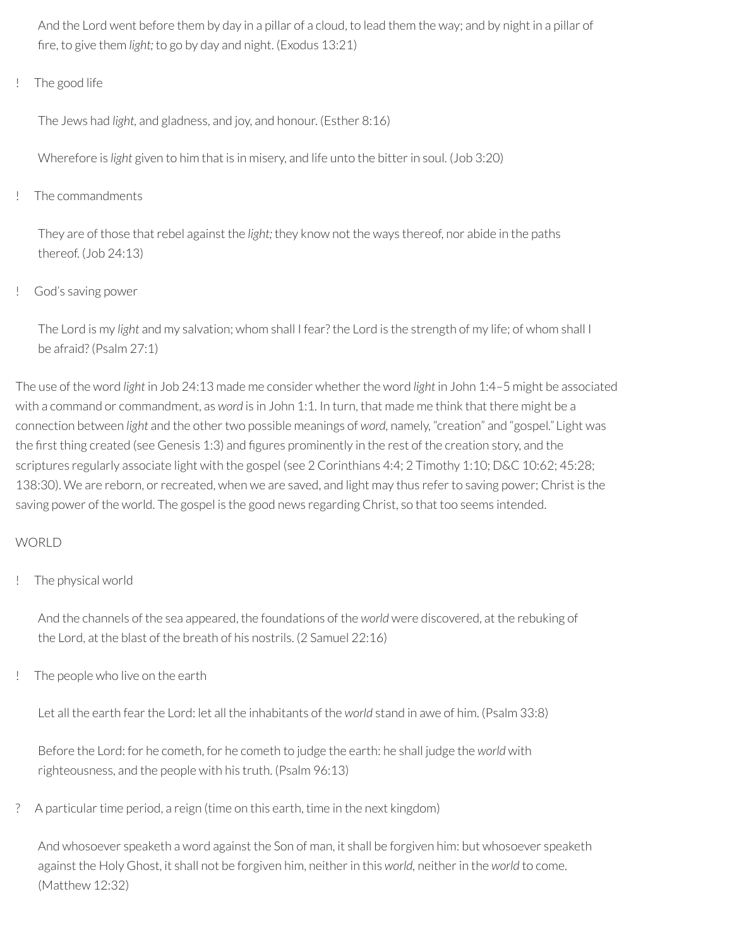And the Lord went before them by day in a pillar of a cloud, to lead them the way; and by night in a pillar of re, to give them *light;* to go by day and night. (Exodus 13:21)

## ! The good life

The Jews had *light,* and gladness, and joy, and honour. (Esther 8:16)

Wherefore is *light* given to him that is in misery, and life unto the bitterin soul. (Job 3:20)

### ! The commandments

They are of those that rebel against the *light*; they know not the ways thereof, nor abide in the paths thereof. (Job 24:13)

## ! God's saving power

The Lord is my *light* and my salvation; whom shall I fear? the Lord is the strength of my life; of whom shall I be afraid? (Psalm 27:1)

The use of the word *light* in Job 24:13 made me consider whether the word *light* in John 1:4–5 might be associated with a command or commandment, as *word* is in John 1:1. In turn, that made me think that there might be a connection between *light* and the othertwo possible meanings of *word,* namely, "creation" and "gospel*."* Light was the first thing created (see Genesis 1:3) and figures prominently in the rest of the creation story, and the scriptures regularly associate light with the gospel (see 2 Corinthians 4:4; 2 Timothy 1:10; D&C 10:62; 45:28; 138:30). We are reborn, orrecreated, when we are saved, and light may thus referto saving power; Christ is the saving power of the world. The gospel is the good news regarding Christ, so that too seems intended.

## WORLD.

## ! The physical world

And the channels of the sea appeared, the foundations of the *world* were discovered, at the rebuking of the Lord, at the blast of the breath of his nostrils. (2 Samuel 22:16)

! The people who live on the earth

Let all the earth fearthe Lord: let all the inhabitants of the *world* stand in awe of him. (Psalm 33:8)

Before the Lord: for he cometh, for he cometh to judge the earth: he shall judge the *world* with righteousness, and the people with his truth. (Psalm 96:13)

? A particular time period, a reign (time on this earth, time in the next kingdom)

And whosoever speaketh a word against the Son of man, it shall be forgiven him: but whosoever speaketh against the Holy Ghost, it shall not be forgiven him, neither in this *world*, neither in the *world* to come. (Matthew 12:32)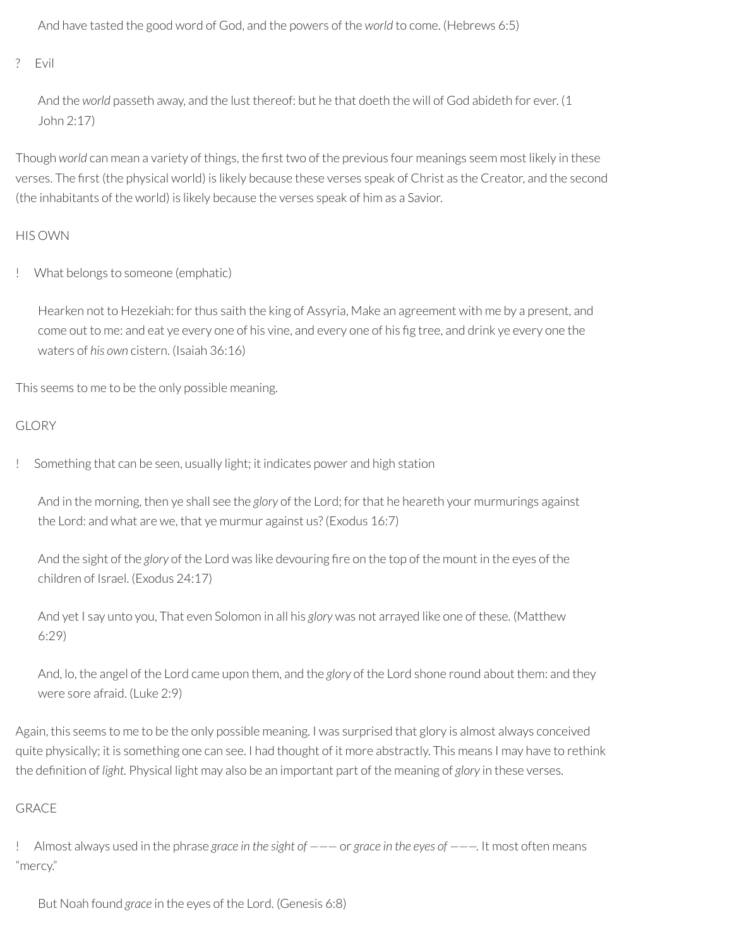And have tasted the good word of God, and the powers of the *world* to come. (Hebrews 6:5)

? Evil

And the *world* passeth away, and the lust thereof: but he that doeth the will of God abideth for ever. (1 John 2:17)

Though *world* can mean a variety of things, the first two of the previous four meanings seem most likely in these verses. The first (the physical world) is likely because these verses speak of Christ as the Creator, and the second (the inhabitants of the world) is likely because the verses speak of him as a Savior.

## HIS OWN

! What belongs to someone (emphatic)

Hearken not to Hezekiah: for thus saith the king of Assyria, Make an agreement with me by a present, and come out to me: and eat ye every one of his vine, and every one of his fig tree, and drink ye every one the waters of *his own* cistern. (Isaiah 36:16)

This seems to me to be the only possible meaning.

## GLORY

! Something that can be seen, usually light; it indicates power and high station

And in the morning, then ye shall see the *glory* of the Lord; for that he heareth your murmurings against the Lord: and what are we, that ye murmur against us? (Exodus 16:7)

And the sight of the *glory* of the Lord was like devouring fire on the top of the mount in the eyes of the children of Israel. (Exodus 24:17)

And yet I say unto you, That even Solomon in all his *glory* was not arrayed like one of these. (Matthew 6:29)

And, lo, the angel of the Lord came upon them, and the *glory* of the Lord shone round about them: and they were sore afraid. (Luke 2:9)

Again, this seems to me to be the only possible meaning. I was surprised that glory is almost always conceived quite physically; it is something one can see. I had thought of it more abstractly. This means I may have to rethink the definition of *light*. Physical light may also be an important part of the meaning of *glory* in these verses.

## GRACE

! Almost always used in the phrase *grace in the sight of ———* or *grace in the eyes of ———.* It most often means "mercy."

But Noah found *grace* in the eyes of the Lord. (Genesis 6:8)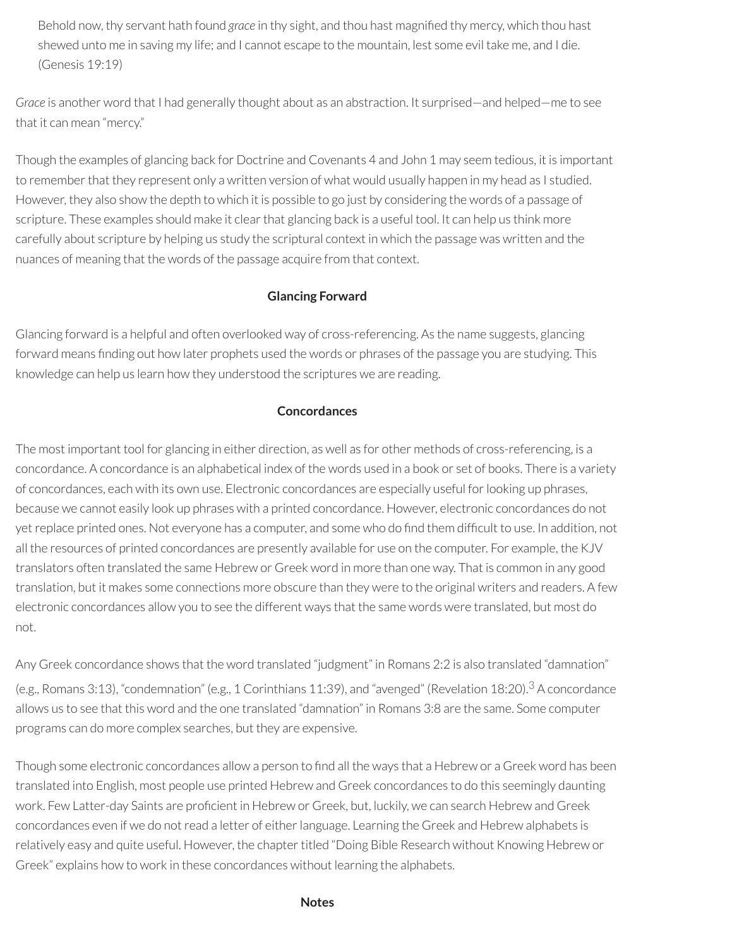Behold now, thy servant hath found *grace* in thy sight, and thou hast magnied thy mercy, which thou hast shewed unto me in saving my life; and I cannot escape to the mountain, lest some evil take me, and I die. (Genesis 19:19)

*Grace* is another word that I had generally thought about as an abstraction. It surprised—and helped—me to see that it can mean "mercy."

Though the examples of glancing back for Doctrine and Covenants 4 and John 1 may seem tedious, it is important to remember that they represent only a written version of what would usually happen in my head as I studied. However, they also show the depth to which it is possible to go just by considering the words of a passage of scripture. These examples should make it clear that glancing back is a useful tool. It can help us think more carefully about scripture by helping us study the scriptural context in which the passage was written and the nuances of meaning that the words of the passage acquire from that context.

#### **Glancing Forward**

Glancing forward is a helpful and often overlooked way of cross-referencing. As the name suggests, glancing forward means finding out how later prophets used the words or phrases of the passage you are studying. This knowledge can help us learn how they understood the scriptures we are reading.

#### <span id="page-37-0"></span>**Concordances**

The most important tool for glancing in either direction, as well as for other methods of cross-referencing, is a concordance. A concordance is an alphabetical index of the words used in a book or set of books. There is a variety of concordances, each with its own use. Electronic concordances are especially useful forlooking up phrases, because we cannot easily look up phrases with a printed concordance. However, electronic concordances do not yet replace printed ones. Not everyone has a computer, and some who do find them difficult to use. In addition, not all the resources of printed concordances are presently available for use on the computer. For example, the KJV translators often translated the same Hebrew or Greek word in more than one way. That is common in any good translation, but it makes some connections more obscure than they were to the original writers and readers. A few electronic concordances allow you to see the different ways that the same words were translated, but most do not.

Any Greek concordance shows that the word translated "judgment" in Romans 2:2 is also translated "damnation" (e.g., Romans [3](#page-38-0):13), "condemnation" (e.g., 1 Corinthians 11:39), and "avenged" (Revelation 18:20). $^3$  A concordance allows us to see that this word and the one translated "damnation" in Romans 3:8 are the same. Some computer programs can do more complex searches, but they are expensive.

Though some electronic concordances allow a person to find all the ways that a Hebrew or a Greek word has been translated into English, most people use printed Hebrew and Greek concordances to do this seemingly daunting work. Few Latter-day Saints are proficient in Hebrew or Greek, but, luckily, we can search Hebrew and Greek concordances even if we do not read a letter of either language. Learning the Greek and Hebrew alphabets is relatively easy and quite useful. However, the chapter titled "Doing Bible Research without Knowing Hebrew or Greek" explains how to work in these concordances without learning the alphabets.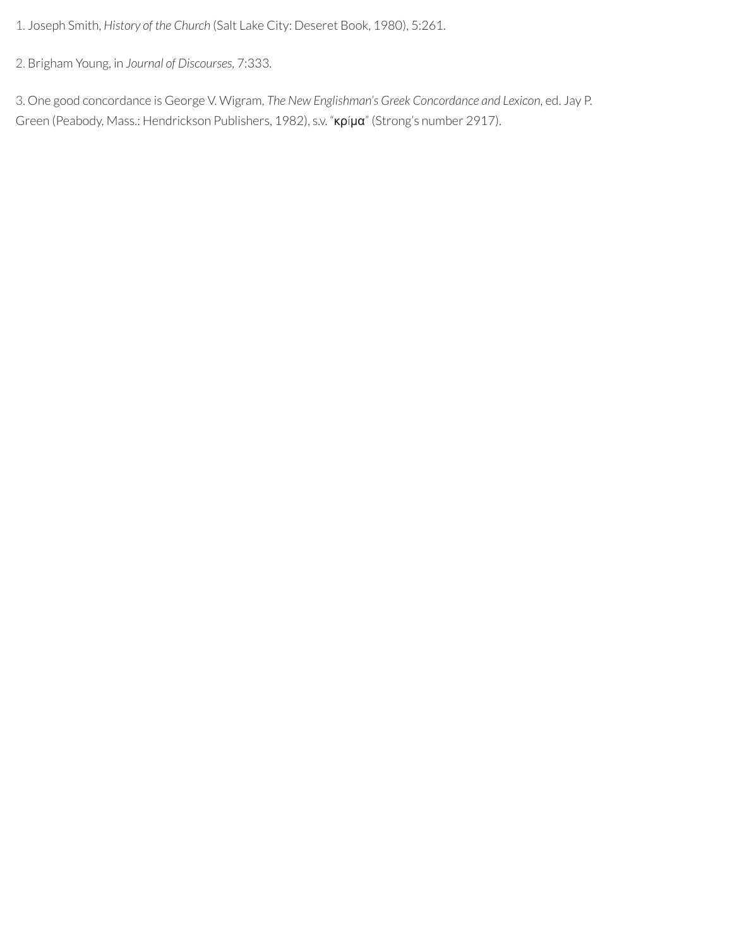[1.](#page-25-0) Joseph Smith, *History of the Church* (Salt Lake City: Deseret Book, 1980), 5:261.

[2.](#page-25-1) Brigham Young, in *Journal of Discourses,* 7:333.

<span id="page-38-0"></span>[3.](#page-37-0) One good concordance is George V. Wigram, *The New Englishman's Greek Concordance and Lexicon,* ed. Jay P. Green (Peabody, Mass.: Hendrickson Publishers, 1982), s.v. "κρíμα" (Strong's number 2917).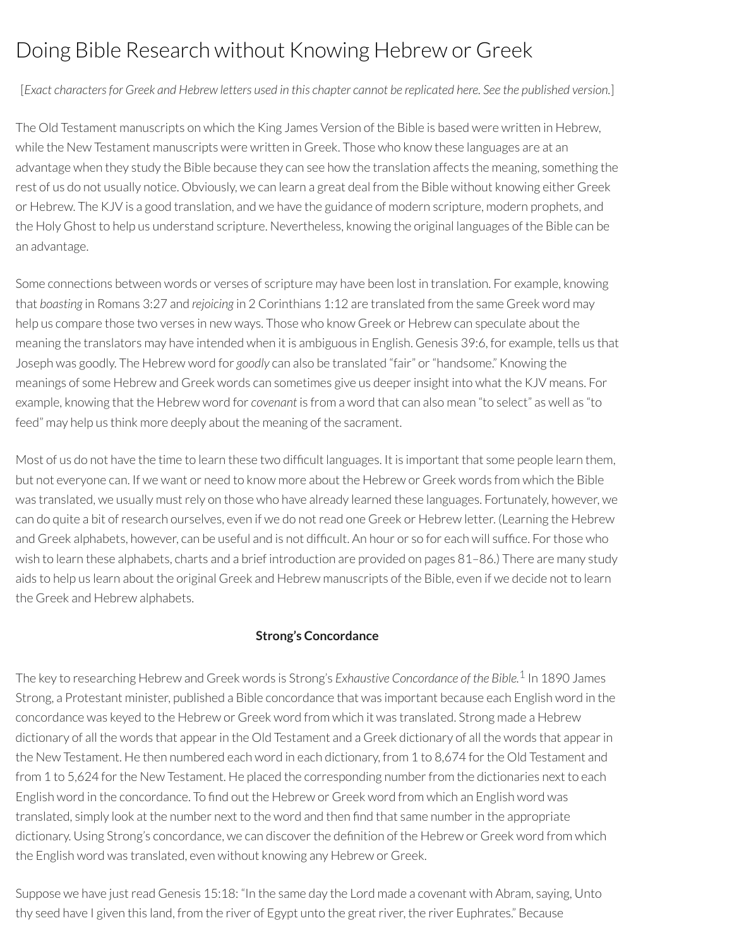# Doing Bible Research without Knowing Hebrew or Greek

[Exact characters for Greek and Hebrew letters used in this chapter cannot be replicated here. See the published version.]

The Old Testament manuscripts on which the King James Version of the Bible is based were written in Hebrew, while the New Testament manuscripts were written in Greek. Those who know these languages are at an advantage when they study the Bible because they can see how the translation affects the meaning, something the rest of us do not usually notice. Obviously, we can learn a great deal from the Bible without knowing either Greek or Hebrew. The KJV is a good translation, and we have the guidance of modern scripture, modern prophets, and the Holy Ghost to help us understand scripture. Nevertheless, knowing the original languages of the Bible can be an advantage.

Some connections between words or verses of scripture may have been lost in translation. For example, knowing that *boasting* in Romans 3:27 and *rejoicing* in 2 Corinthians 1:12 are translated from the same Greek word may help us compare those two verses in new ways. Those who know Greek or Hebrew can speculate about the meaning the translators may have intended when it is ambiguous in English. Genesis 39:6, for example, tells us that Joseph was goodly. The Hebrew word for *goodly* can also be translated "fair" or"handsome." Knowing the meanings of some Hebrew and Greek words can sometimes give us deeperinsight into what the KJV means. For example, knowing that the Hebrew word for *covenant* is from a word that can also mean "to select" as well as "to feed" may help us think more deeply about the meaning of the sacrament.

Most of us do not have the time to learn these two difficult languages. It is important that some people learn them, but not everyone can. If we want or need to know more about the Hebrew or Greek words from which the Bible was translated, we usually must rely on those who have already learned these languages. Fortunately, however, we can do quite a bit ofresearch ourselves, even if we do notread one Greek or Hebrew letter. (Learning the Hebrew and Greek alphabets, however, can be useful and is not difficult. An hour or so for each will suffice. For those who wish to learn these alphabets, charts and a brief introduction are provided on pages 81–86.) There are many study aids to help us learn about the original Greek and Hebrew manuscripts of the Bible, even if we decide not to learn the Greek and Hebrew alphabets.

### <span id="page-39-0"></span>**Strong's Concordance**

The key to researching Hebrew and Greek words is Strong's *Exhaustive Concordance of the Bible.* [1](#page-45-0) In 1890 James Strong, a Protestant minister, published a Bible concordance that was important because each English word in the concordance was keyed to the Hebrew or Greek word from which it was translated. Strong made a Hebrew dictionary of all the words that appear in the Old Testament and a Greek dictionary of all the words that appear in the New Testament. He then numbered each word in each dictionary, from 1 to 8,674 for the Old Testament and from 1 to 5,624 for the New Testament. He placed the corresponding number from the dictionaries next to each English word in the concordance. To find out the Hebrew or Greek word from which an English word was translated, simply look at the number next to the word and then find that same number in the appropriate dictionary. Using Strong's concordance, we can discover the definition of the Hebrew or Greek word from which the English word was translated, even without knowing any Hebrew or Greek.

Suppose we have just read Genesis 15:18: "In the same day the Lord made a covenant with Abram, saying, Unto thy seed have I given this land, from the river of Egypt unto the great river, the river Euphrates." Because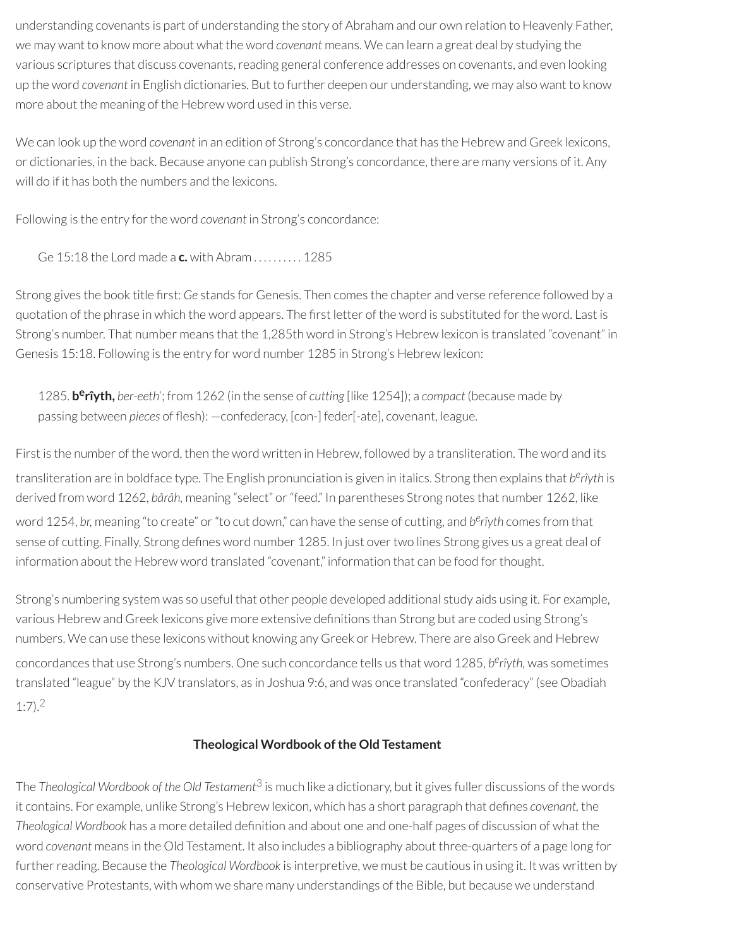understanding covenants is part of understanding the story of Abraham and our own relation to Heavenly Father, we may want to know more about what the word *covenant* means. We can learn a great deal by studying the various scriptures that discuss covenants, reading general conference addresses on covenants, and even looking up the word *covenant* in English dictionaries. But to further deepen our understanding, we may also want to know more about the meaning of the Hebrew word used in this verse.

We can look up the word *covenant* in an edition of Strong's concordance that has the Hebrew and Greek lexicons, or dictionaries, in the back. Because anyone can publish Strong's concordance, there are many versions of it. Any will do if it has both the numbers and the lexicons.

Following is the entry for the word *covenant* in Strong's concordance:

Ge 15:18 the Lord made a **c.** with Abram . . . . . . . . . . 1285

Strong gives the book title first: *Ge* stands for Genesis. Then comes the chapter and verse reference followed by a quotation of the phrase in which the word appears. The first letter of the word is substituted for the word. Last is Strong's number. That number means that the 1,285th word in Strong's Hebrew lexicon is translated "covenant" in Genesis 15:18. Following is the entry for word number 1285 in Strong's Hebrew lexicon:

1285. **b e rîyth,** *ber-eeth*'; from 1262 (in the sense of *cutting* [like 1254]); a *compact* (because made by passing between *pieces* of flesh):  $-$ confederacy, [con-] feder[-ate], covenant, league.

First is the number of the word, then the word written in Hebrew, followed by a transliteration. The word and its transliteration are in boldface type. The English pronunciation is given in italics. Strong then explains that *b e rîyth* is derived from word 1262, *bârâh,* meaning "select" or"feed." In parentheses Strong notes that number 1262, like word 1254, br, meaning "to create" or "to cut down," can have the sense of cutting, and b<sup>e</sup>rîyth comes from that sense of cutting. Finally, Strong defines word number 1285. In just over two lines Strong gives us a great deal of information about the Hebrew word translated "covenant," information that can be food for thought.

Strong's numbering system was so useful that other people developed additional study aids using it. For example, various Hebrew and Greek lexicons give more extensive definitions than Strong but are coded using Strong's numbers. We can use these lexicons without knowing any Greek or Hebrew. There are also Greek and Hebrew concordances that use Strong's numbers. One such concordance tells us that word 1285, *b e rîyth,* was sometimes translated "league" by the KJV translators, as in Joshua 9:6, and was once translated "confederacy" (see Obadiah  $1:7$ ).<sup>[2](#page-45-1)</sup>

### <span id="page-40-1"></span>**Theological Wordbook of the Old Testament**

<span id="page-40-0"></span>The *Theological Wordbook of the Old Testament* [3](#page-45-2) is much like a dictionary, but it gives fuller discussions of the words it contains. For example, unlike Strong's Hebrew lexicon, which has a short paragraph that defines *covenant*, the *Theological Wordbook* has a more detailed denition and about one and one-half pages of discussion of what the word *covenant* means in the Old Testament. It also includes a bibliography about three-quarters of a page long for further reading. Because the *Theological Wordbook* is interpretive, we must be cautious in using it. It was written by conservative Protestants, with whom we share many understandings of the Bible, but because we understand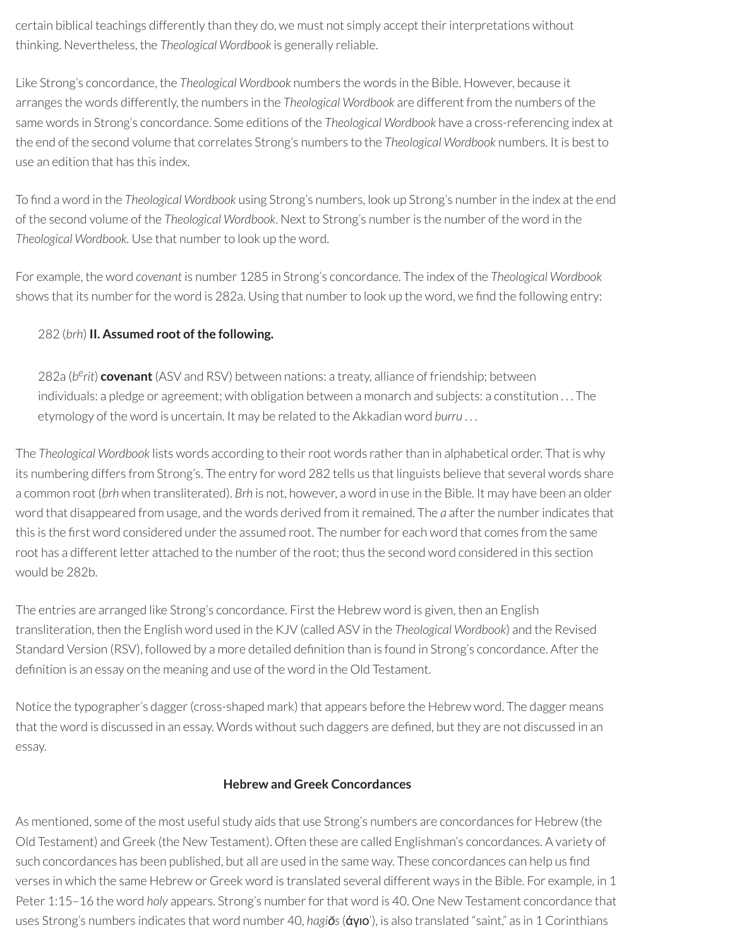certain biblical teachings differently than they do, we must not simply accept their interpretations without thinking. Nevertheless, the *Theological Wordbook* is generally reliable.

Like Strong's concordance, the *Theological Wordbook* numbers the words in the Bible. However, because it arranges the words differently, the numbers in the *Theological Wordbook* are different from the numbers of the same words in Strong's concordance. Some editions of the *Theological Wordbook* have a cross-referencing index at the end of the second volume that correlates Strong's numbers to the *Theological Wordbook* numbers. It is best to use an edition that has this index.

To find a word in the *Theological Wordbook* using Strong's numbers, look up Strong's number in the index at the end of the second volume of the *Theological Wordbook*. Next to Strong's numberis the number of the word in the *Theological Wordbook.* Use that numberto look up the word.

For example, the word *covenant* is number 1285 in Strong's concordance. The index of the *Theological Wordbook* shows that its number for the word is 282a. Using that number to look up the word, we find the following entry:

## 282 (*brh*) **II. Assumed root ofthe following.**

282a (b<sup>e</sup>rit) **covenant** (ASV and RSV) between nations: a treaty, alliance of friendship; between individuals: a pledge or agreement; with obligation between a monarch and subjects: a constitution . . . The etymology of the word is uncertain. It may be related to the Akkadian word *burru* . . .

The *Theological Wordbook* lists words according to theirroot words ratherthan in alphabetical order. That is why its numbering differs from Strong's. The entry for word 282 tells us that linguists believe that several words share a common root (*brh* when transliterated). *Brh* is not, however, a word in use in the Bible. It may have been an older word that disappeared from usage, and the words derived from it remained. The *a* after the number indicates that this is the first word considered under the assumed root. The number for each word that comes from the same root has a different letter attached to the number of the root; thus the second word considered in this section would be 282b.

The entries are arranged like Strong's concordance. First the Hebrew word is given, then an English transliteration, then the English word used in the KJV (called ASV in the *Theological Wordbook*) and the Revised Standard Version (RSV), followed by a more detailed definition than is found in Strong's concordance. After the definition is an essay on the meaning and use of the word in the Old Testament.

Notice the typographer's dagger (cross-shaped mark) that appears before the Hebrew word. The dagger means that the word is discussed in an essay. Words without such daggers are dened, but they are not discussed in an essay.

### **Hebrew and Greek Concordances**

As mentioned, some of the most useful study aids that use Strong's numbers are concordances for Hebrew (the Old Testament) and Greek (the New Testament). Often these are called Englishman's concordances. A variety of such concordances has been published, but all are used in the same way. These concordances can help us find verses in which the same Hebrew or Greek word is translated several different ways in the Bible. For example, in 1 Peter 1:15-16 the word *holy* appears. Strong's number for that word is 40. One New Testament concordance that uses Strong's numbers indicates that word number 40, *hagiŏs*(άγιο'), is also translated "saint," as in 1 Corinthians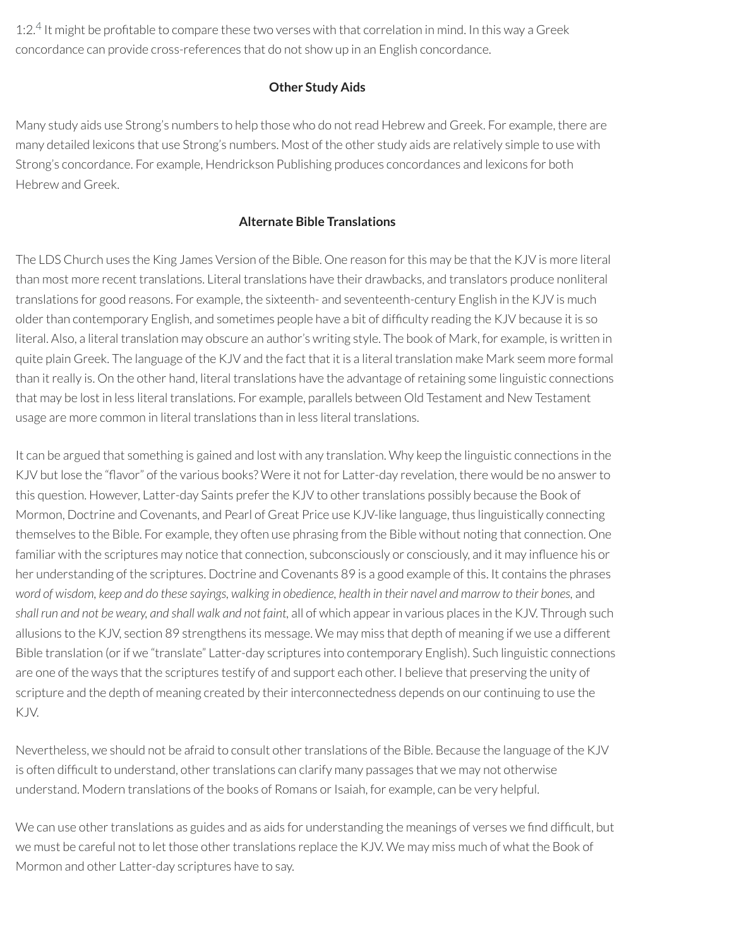<span id="page-42-0"></span>1:2.<sup>[4](#page-46-0)</sup> It might be profitable to compare these two verses with that correlation in mind. In this way a Greek concordance can provide cross-references that do not show up in an English concordance.

## **Other Study Aids**

Many study aids use Strong's numbers to help those who do notread Hebrew and Greek. For example, there are many detailed lexicons that use Strong's numbers. Most of the other study aids are relatively simple to use with Strong's concordance. For example, Hendrickson Publishing produces concordances and lexicons for both Hebrew and Greek.

## **Alternate Bible Translations**

The LDS Church uses the King James Version of the Bible. One reason forthis may be that the KJV is more literal than most more recent translations. Literal translations have their drawbacks, and translators produce nonliteral translations for good reasons. For example, the sixteenth- and seventeenth-century English in the KJV is much older than contemporary English, and sometimes people have a bit of difficulty reading the KJV because it is so literal. Also, a literal translation may obscure an author's writing style. The book of Mark, for example, is written in quite plain Greek. The language of the KJV and the fact that it is a literal translation make Mark seem more formal than it really is. On the other hand, literal translations have the advantage of retaining some linguistic connections that may be lost in less literal translations. For example, parallels between Old Testament and New Testament usage are more common in literal translations than in less literal translations.

It can be argued that something is gained and lost with any translation. Why keep the linguistic connections in the KJV but lose the "flavor" of the various books? Were it not for Latter-day revelation, there would be no answer to this question. However, Latter-day Saints prefer the KJV to other translations possibly because the Book of Mormon, Doctrine and Covenants, and Pearl of Great Price use KJV-like language, thus linguistically connecting themselves to the Bible. For example, they often use phrasing from the Bible without noting that connection. One familiar with the scriptures may notice that connection, subconsciously or consciously, and it may influence his or her understanding of the scriptures. Doctrine and Covenants 89 is a good example of this. It contains the phrases word of wisdom, keep and do these sayings, walking in obedience, health in their navel and marrow to their bones, and *shall run and not be weary, and shall walk and not faint,* all of which appearin various places in the KJV. Through such allusions to the KJV, section 89 strengthens its message. We may miss that depth of meaning if we use a different Bible translation (orif we "translate" Latter-day scriptures into contemporary English). Such linguistic connections are one of the ways that the scriptures testify of and support each other. I believe that preserving the unity of scripture and the depth of meaning created by their interconnectedness depends on our continuing to use the KJV.

Nevertheless, we should not be afraid to consult other translations of the Bible. Because the language of the KJV is often difficult to understand, other translations can clarify many passages that we may not otherwise understand. Modern translations of the books of Romans or Isaiah, for example, can be very helpful.

We can use other translations as guides and as aids for understanding the meanings of verses we find difficult, but we must be careful not to let those other translations replace the KJV. We may miss much of what the Book of Mormon and other Latter-day scriptures have to say.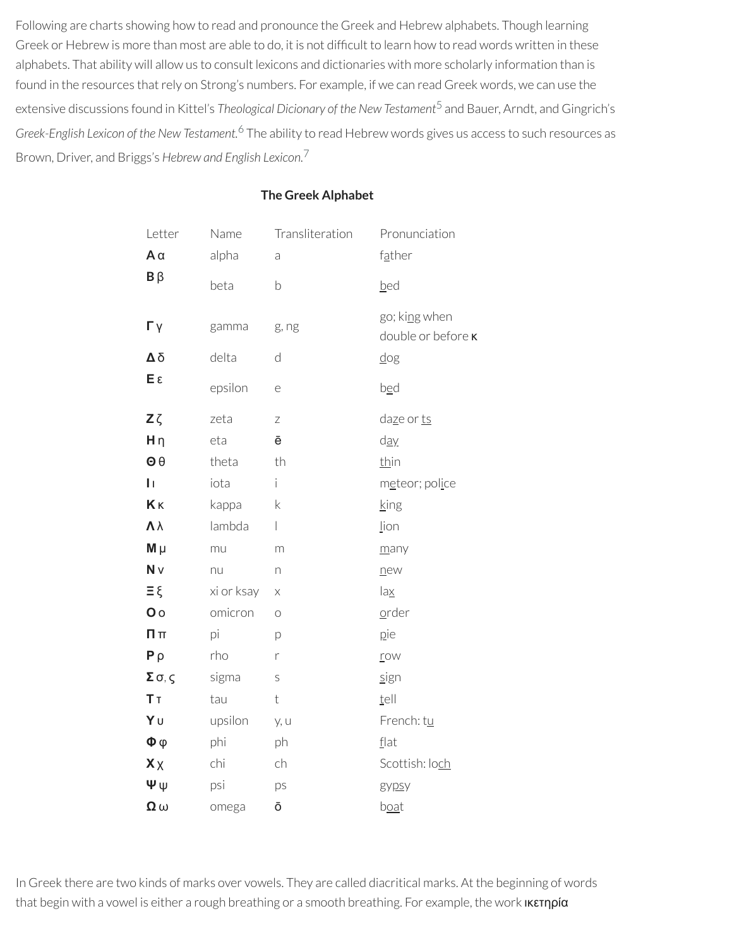Following are charts showing how to read and pronounce the Greek and Hebrew alphabets. Though learning Greek or Hebrew is more than most are able to do, it is not difficult to learn how to read words written in these alphabets. That ability will allow us to consult lexicons and dictionaries with more scholarly information than is found in the resources that rely on Strong's numbers. For example, if we can read Greek words, we can use the extensive discussions found in Kittel's *Theological Dicionary of the New Testament* [5](#page-46-1) and Bauer, Arndt, and Gingrich's *Greek-English Lexicon of the New Testament.* [6](#page-46-2) The ability to read Hebrew words gives us access to such resources as Brown, Driver, and Briggs's *Hebrew and English Lexicon.* [7](#page-46-3)

## Letter Name Transliteration Pronunciation **A** α alpha a father **B** β beta b bed **Γ** γ gamma g, ng go; king when double or before κ **Δ** δ delta d dog **Ε** ε epsilon e bed **Ζ**ζ zeta z daze or ts **Ηη** eta ē d<u>ay</u> **Θθ** theta th thin **Ι** ι iota i meteor; pol<u>i</u>ce **Κ** κ kappa k king **Λλ** lambda l lion **M** μ mu m <u>many</u> **N** v nu n new **Ξ** ξ xi or ksay x lax **Ο ο** omicron o **order Π**π pi p <u>p</u>ie **Ρρ** rho r <u>r</u>ow  $\Sigma \sigma, \varsigma$  sigma s sign **Τ**τ tau t <u>t</u>ell **Υ** υ upsilon y, u French: tu **Φ** φ phi ph flat **Χ** χ chi ch Scottish: loch **Ψ** ψ psi ps gypsy **Ω** ω omega ō boat

## <span id="page-43-2"></span><span id="page-43-1"></span><span id="page-43-0"></span>**The Greek Alphabet**

In Greek there are two kinds of marks over vowels. They are called diacritical marks. At the beginning of words that begin with a vowel is either a rough breathing or a smooth breathing. For example, the work **ικετηρία**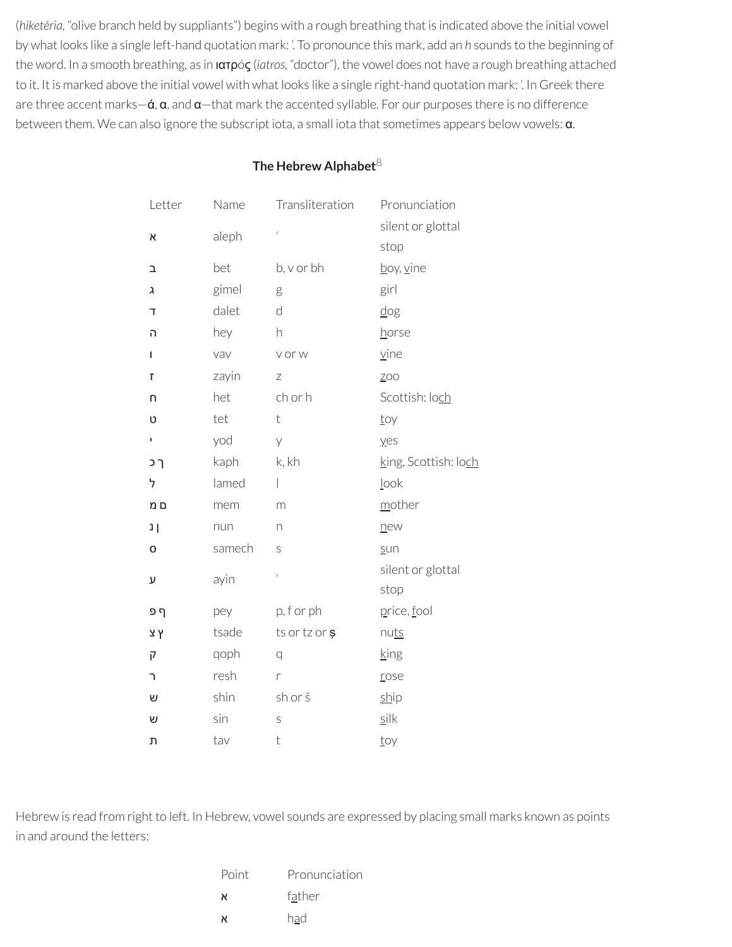(*hiketéria,* "olive branch held by suppliants") begins with a rough breathing that is indicated above the initial vowel by what looks like a single left-hand quotation mark: '. To pronounce this mark, add an *h* sounds to the beginning of the word. In a smooth breathing, as in ιατρóς (*iatros,* "doctor"), the vowel does not have a rough breathing attached to it. It is marked above the initial vowel with what looks like a single right-hand quotation mark: '. In Greek there are three accent marks $-\dot{\alpha}$ ,  $\alpha$ , and  $\alpha$ -that mark the accented syllable. For our purposes there is no difference between them. We can also ignore the subscript iota, a small iota that sometimes appears below vowels: α.

## <span id="page-44-0"></span>**The Hebrew Alphabet** [8](#page-46-4)

| Letter | Name   | Transliteration | Pronunciation        |
|--------|--------|-----------------|----------------------|
|        |        | $\epsilon$      | silent or glottal    |
| א      | aleph  |                 | stop                 |
| ב      | bet    | b, v or bh      | boy, vine            |
| λ      | gimel  | g               | girl                 |
| T      | dalet  | d               | $\underline{dog}$    |
| ה      | hey    | h               | horse                |
| T      | vav    | v or w          | $\nu$ ine            |
| T      | zayin  | Ζ               | ZOO                  |
| n      | het    | ch or h         | Scottish: loch       |
| U      | tet    | t               | toy                  |
| ٠      | yod    | y               | yes                  |
| ך כ    | kaph   | k, kh           | king, Scottish: loch |
| ל      | lamed  | T               | look                 |
| ם מ    | mem    | m               | mother               |
| ן נ    | nun    | n               | new                  |
| o      | samech | S               | sun                  |
| ע      | ayin   | $\bar{\ell}$    | silent or glottal    |
|        |        |                 | stop                 |
| ף פ    | pey    | p, f or ph      | price, fool          |
| ץ צ    | tsade  | ts or tz or \$  | nuts                 |
| ק      | qoph   | $\overline{q}$  | king                 |
| ٦      | resh   | r               | rose                 |
| ש      | shin   | sh or š         | ship                 |
| ŋ      | sin    | S               | silk                 |
| ת      | tav    | t               | toy                  |

Hebrew is read from right to left. In Hebrew, vowel sounds are expressed by placing small marks known as points in and around the letters:

| Point | Pronunciation |
|-------|---------------|
| א     | father        |
| א     | had           |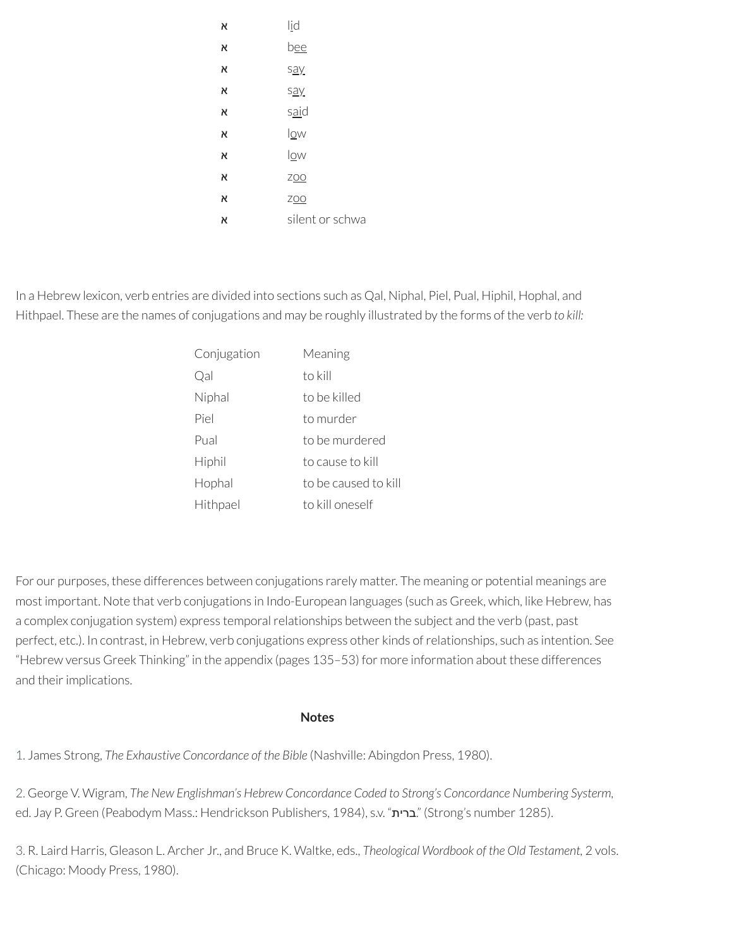| א | l <u>i</u> d    |
|---|-----------------|
| K | <u>bee</u>      |
| א | say.            |
| א | say.            |
| K | said            |
| א | low             |
| א | low             |
| א | Z00             |
| א | <b>ZOO</b>      |
| א | silent or schwa |

In a Hebrew lexicon, verb entries are divided into sections such as Qal, Niphal, Piel, Pual, Hiphil, Hophal, and Hithpael. These are the names of conjugations and may be roughly illustrated by the forms of the verb *to kill:*

| Conjugation | Meaning              |
|-------------|----------------------|
| Qal         | to kill              |
| Niphal      | to be killed         |
| Piel        | to murder            |
| Pual        | to be murdered       |
| Hiphil      | to cause to kill     |
| Hophal      | to be caused to kill |
| Hithpael    | to kill oneself      |

For our purposes, these differences between conjugations rarely matter. The meaning or potential meanings are most important. Note that verb conjugations in Indo-European languages (such as Greek, which, like Hebrew, has a complex conjugation system) express temporal relationships between the subject and the verb (past, past perfect, etc.). In contrast, in Hebrew, verb conjugations express other kinds of relationships, such as intention. See "Hebrew versus Greek Thinking" in the appendix (pages 135–53) for more information about these differences and their implications.

#### **Notes**

<span id="page-45-0"></span>[1.](#page-39-0) James Strong, *The Exhaustive Concordance of the Bible* (Nashville: Abingdon Press, 1980).

<span id="page-45-1"></span>[2.](#page-40-0) George V. Wigram, *The New Englishman's Hebrew Concordance Coded to Strong's Concordance Numbering Systerm,* ed. Jay P. Green (Peabodym Mass.: Hendrickson Publishers, 1984), s.v. "ברית." (Strong's number 1285).

<span id="page-45-2"></span>[3.](#page-40-1) R. Laird Harris, Gleason L. Archer Jr., and Bruce K. Waltke, eds., *Theological Wordbook of the Old Testament,* 2 vols. (Chicago: Moody Press, 1980).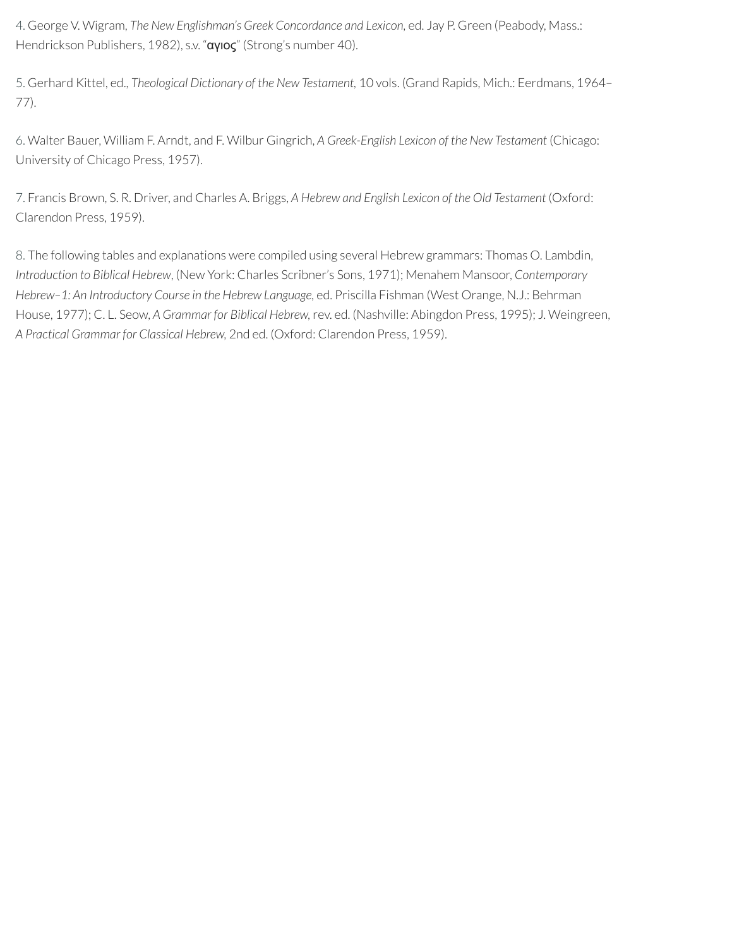<span id="page-46-0"></span>[4.](#page-42-0) George V. Wigram, *The New Englishman's Greek Concordance and Lexicon,* ed. Jay P. Green (Peabody, Mass.: Hendrickson Publishers, 1982), s.v. "αγιος" (Strong's number 40).

<span id="page-46-1"></span>[5.](#page-43-0) Gerhard Kittel, ed., *Theological Dictionary of the New Testament,* 10 vols. (Grand Rapids, Mich.: Eerdmans, 1964– 77).

<span id="page-46-2"></span>[6.](#page-43-1) Walter Bauer, William F. Arndt, and F. Wilbur Gingrich, *A Greek-English Lexicon of the New Testament* (Chicago: University of Chicago Press, 1957).

<span id="page-46-3"></span>[7.](#page-43-2) Francis Brown, S. R. Driver, and Charles A. Briggs, *A Hebrew and English Lexicon of the Old Testament* (Oxford: Clarendon Press, 1959).

<span id="page-46-4"></span>[8.](#page-44-0) The following tables and explanations were compiled using several Hebrew grammars: Thomas O. Lambdin, *Introduction to Biblical Hebrew*, (New York: Charles Scribner's Sons, 1971); Menahem Mansoor, *Contemporary Hebrew–1: An Introductory Course in the Hebrew Language,* ed. Priscilla Fishman (West Orange, N.J.: Behrman House, 1977); C. L. Seow, *A Grammar for Biblical Hebrew,*rev. ed. (Nashville: Abingdon Press, 1995); J. Weingreen, *A Practical Grammar for Classical Hebrew,* 2nd ed. (Oxford: Clarendon Press, 1959).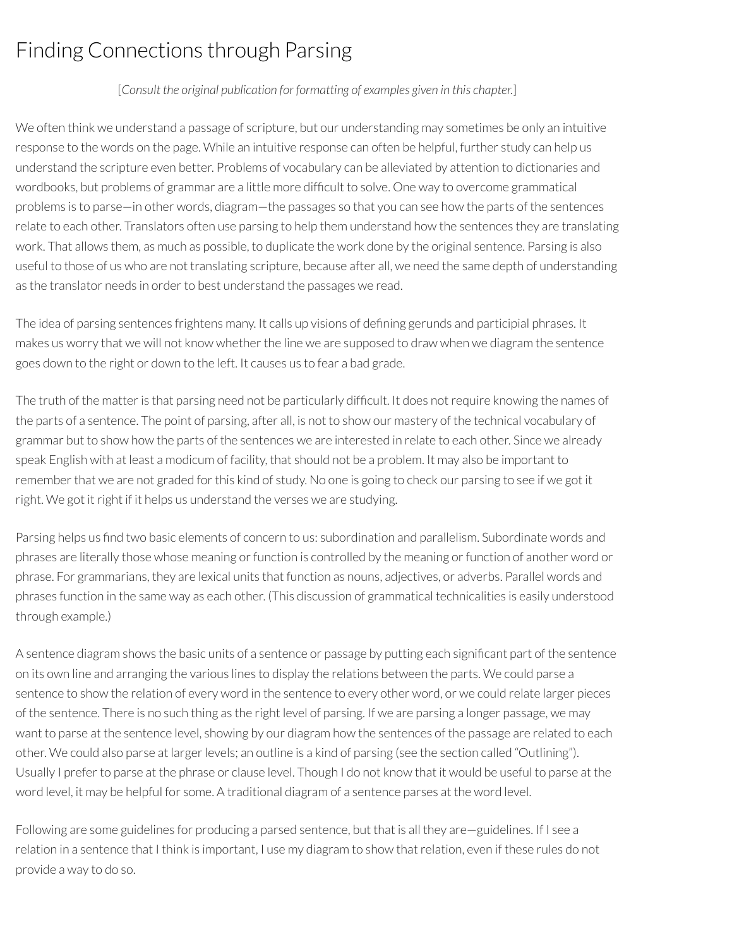# Finding Connections through Parsing

## [*Consult the original publication for formatting of examples given in this chapter.*]

We often think we understand a passage of scripture, but our understanding may sometimes be only an intuitive response to the words on the page. While an intuitive response can often be helpful, further study can help us understand the scripture even better. Problems of vocabulary can be alleviated by attention to dictionaries and wordbooks, but problems of grammar are a little more difficult to solve. One way to overcome grammatical problems is to parse—in other words, diagram—the passages so that you can see how the parts of the sentences relate to each other. Translators often use parsing to help them understand how the sentences they are translating work. That allows them, as much as possible, to duplicate the work done by the original sentence. Parsing is also useful to those of us who are not translating scripture, because after all, we need the same depth of understanding as the translator needs in order to best understand the passages we read.

The idea of parsing sentences frightens many. It calls up visions of dening gerunds and participial phrases. It makes us worry that we will not know whether the line we are supposed to draw when we diagram the sentence goes down to the right or down to the left. It causes us to fear a bad grade.

The truth of the matter is that parsing need not be particularly difficult. It does not require knowing the names of the parts of a sentence. The point of parsing, after all, is not to show our mastery of the technical vocabulary of grammar but to show how the parts of the sentences we are interested in relate to each other. Since we already speak English with at least a modicum of facility, that should not be a problem. It may also be important to rememberthat we are not graded forthis kind of study. No one is going to check our parsing to see if we got it right. We got it right if it helps us understand the verses we are studying.

Parsing helps us find two basic elements of concern to us: subordination and parallelism. Subordinate words and phrases are literally those whose meaning or function is controlled by the meaning or function of another word or phrase. For grammarians, they are lexical units that function as nouns, adjectives, or adverbs. Parallel words and phrases function in the same way as each other. (This discussion of grammatical technicalities is easily understood through example.)

A sentence diagram shows the basic units of a sentence or passage by putting each significant part of the sentence on its own line and arranging the various lines to display the relations between the parts. We could parse a sentence to show the relation of every word in the sentence to every other word, or we could relate larger pieces of the sentence. There is no such thing as the right level of parsing. If we are parsing a longer passage, we may want to parse at the sentence level, showing by our diagram how the sentences of the passage are related to each other. We could also parse at largerlevels; an outline is a kind of parsing (see the section called "Outlining"). Usually I prefer to parse at the phrase or clause level. Though I do not know that it would be useful to parse at the word level, it may be helpful for some. A traditional diagram of a sentence parses at the word level.

Following are some guidelines for producing a parsed sentence, but that is all they are—guidelines. If I see a relation in a sentence that I think is important, I use my diagram to show thatrelation, even if these rules do not provide a way to do so.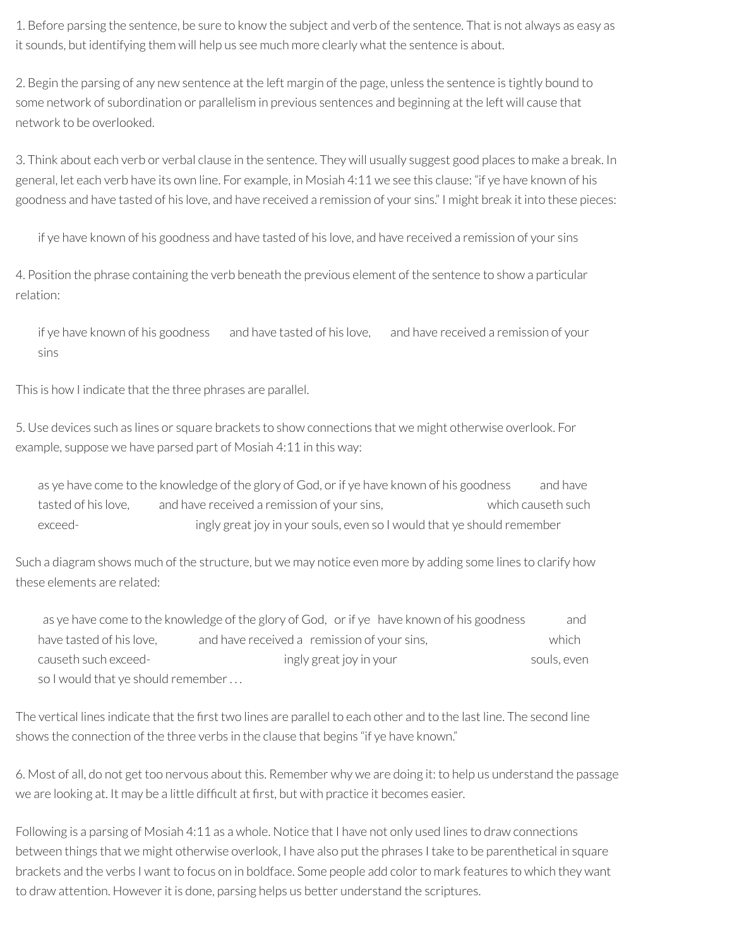1. Before parsing the sentence, be sure to know the subject and verb of the sentence. That is not always as easy as it sounds, but identifying them will help us see much more clearly what the sentence is about.

2. Begin the parsing of any new sentence at the left margin of the page, unless the sentence is tightly bound to some network of subordination or parallelism in previous sentences and beginning at the left will cause that network to be overlooked.

3. Think about each verb or verbal clause in the sentence. They will usually suggest good places to make a break. In general, let each verb have its own line. For example, in Mosiah 4:11 we see this clause: "if ye have known of his goodness and have tasted of his love, and have received a remission of your sins." I might break it into these pieces:

if ye have known of his goodness and have tasted of his love, and have received a remission of your sins

4. Position the phrase containing the verb beneath the previous element of the sentence to show a particular relation:

if ye have known of his goodness and have tasted of his love, and have received a remission of your sins

This is how I indicate that the three phrases are parallel.

5. Use devices such as lines or square brackets to show connections that we might otherwise overlook. For example, suppose we have parsed part of Mosiah 4:11 in this way:

|                     | as ye have come to the knowledge of the glory of God, or if ye have known of his goodness | and have           |
|---------------------|-------------------------------------------------------------------------------------------|--------------------|
| tasted of his love. | and have received a remission of your sins,                                               | which causeth such |
| exceed-             | ingly great joy in your souls, even so I would that ye should remember                    |                    |

Such a diagram shows much of the structure, but we may notice even more by adding some lines to clarify how these elements are related:

|                                    | as ye have come to the knowledge of the glory of God, or if ye have known of his goodness | and         |
|------------------------------------|-------------------------------------------------------------------------------------------|-------------|
| have tasted of his love.           | and have received a remission of your sins,                                               | which       |
| causeth such exceed-               | ingly great joy in your                                                                   | souls, even |
| so I would that ye should remember |                                                                                           |             |

The vertical lines indicate that the first two lines are parallel to each other and to the last line. The second line shows the connection of the three verbs in the clause that begins "if ye have known."

6. Most of all, do not get too nervous about this. Remember why we are doing it: to help us understand the passage we are looking at. It may be a little difficult at first, but with practice it becomes easier.

Following is a parsing of Mosiah 4:11 as a whole. Notice that I have not only used lines to draw connections between things that we might otherwise overlook, I have also put the phrases I take to be parenthetical in square brackets and the verbs I want to focus on in boldface. Some people add colorto mark features to which they want to draw attention. However it is done, parsing helps us better understand the scriptures.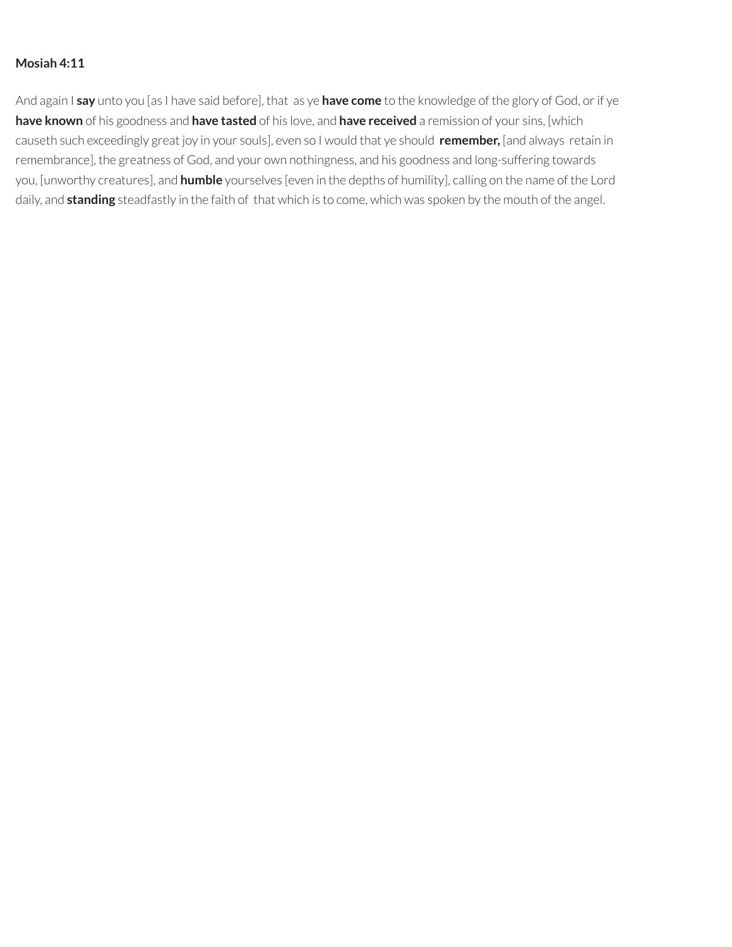#### **Mosiah 4:11**

And again I **say** unto you [as I have said before], that as ye **have come** to the knowledge of the glory of God, orif ye **have known** of his goodness and **have tasted** of his love, and **have received** a remission of your sins, [which causeth such exceedingly great joy in your souls], even so I would that ye should **remember,** [and always retain in remembrance], the greatness of God, and your own nothingness, and his goodness and long-suffering towards you, [unworthy creatures], and **humble** yourselves [even in the depths of humility], calling on the name of the Lord daily, and **standing** steadfastly in the faith of that which is to come, which was spoken by the mouth of the angel.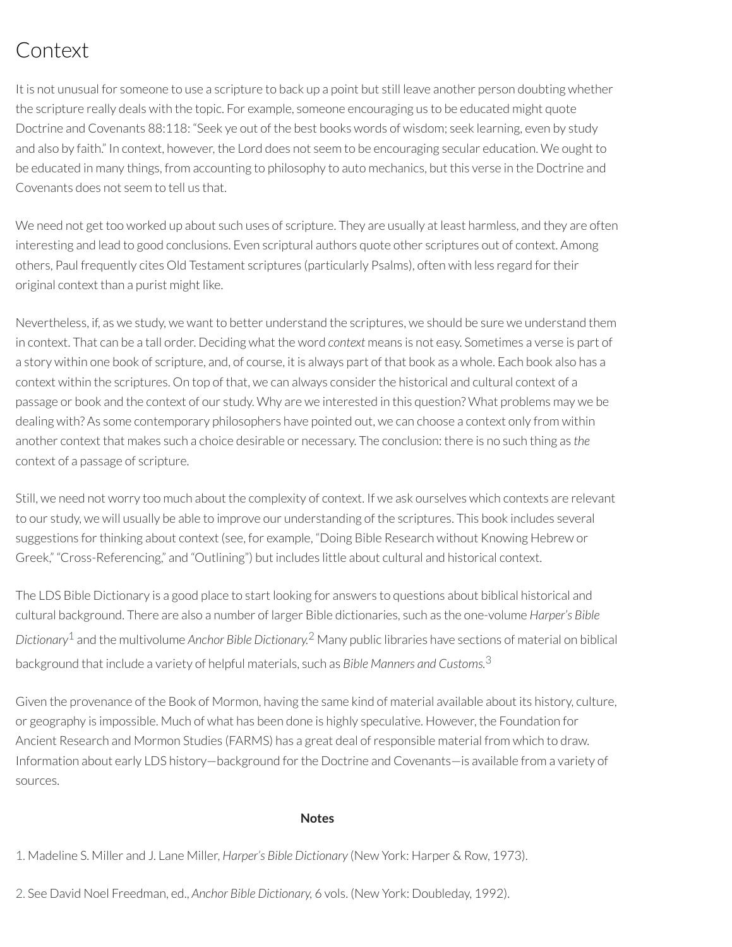# **Context**

It is not unusual for someone to use a scripture to back up a point but still leave another person doubting whether the scripture really deals with the topic. For example, someone encouraging us to be educated might quote Doctrine and Covenants 88:118: "Seek ye out of the best books words of wisdom; seek learning, even by study and also by faith." In context, however, the Lord does not seem to be encouraging secular education. We ought to be educated in many things, from accounting to philosophy to auto mechanics, but this verse in the Doctrine and Covenants does not seem to tell us that.

We need not get too worked up about such uses of scripture. They are usually at least harmless, and they are often interesting and lead to good conclusions. Even scriptural authors quote other scriptures out of context. Among others, Paul frequently cites Old Testament scriptures (particularly Psalms), often with less regard fortheir original context than a purist might like.

Nevertheless, if, as we study, we want to better understand the scriptures, we should be sure we understand them in context. That can be a tall order. Deciding what the word *context* means is not easy. Sometimes a verse is part of a story within one book of scripture, and, of course, it is always part of that book as a whole. Each book also has a context within the scriptures. On top of that, we can always considerthe historical and cultural context of a passage or book and the context of our study. Why are we interested in this question? What problems may we be dealing with? As some contemporary philosophers have pointed out, we can choose a context only from within another context that makes such a choice desirable or necessary. The conclusion: there is no such thing as *the* context of a passage of scripture.

Still, we need not worry too much about the complexity of context. If we ask ourselves which contexts are relevant to our study, we will usually be able to improve our understanding of the scriptures. This book includes several suggestions forthinking about context (see, for example, "Doing Bible Research without Knowing Hebrew or Greek," "Cross-Referencing," and "Outlining") but includes little about cultural and historical context.

<span id="page-50-2"></span>The LDS Bible Dictionary is a good place to start looking for answers to questions about biblical historical and cultural background. There are also a number of larger Bible dictionaries, such as the one-volume *Harper's Bible Dictionary* [1](#page-50-0) and the multivolume *Anchor Bible Dictionary.* [2](#page-50-1) Many public libraries have sections of material on biblical background that include a variety of helpful materials, such as *Bible Manners and Customs.* [3](#page-51-0)

Given the provenance of the Book of Mormon, having the same kind of material available about its history, culture, or geography is impossible. Much of what has been done is highly speculative. However, the Foundation for Ancient Research and Mormon Studies (FARMS) has a great deal ofresponsible material from which to draw. Information about early LDS history—background forthe Doctrine and Covenants—is available from a variety of sources.

#### <span id="page-50-4"></span><span id="page-50-3"></span>**Notes**

<span id="page-50-0"></span>[1.](#page-50-2) Madeline S. Miller and J. Lane Miller, *Harper's Bible Dictionary* (New York: Harper & Row, 1973).

<span id="page-50-1"></span>[2.](#page-50-3) See David Noel Freedman, ed., *Anchor Bible Dictionary,* 6 vols. (New York: Doubleday, 1992).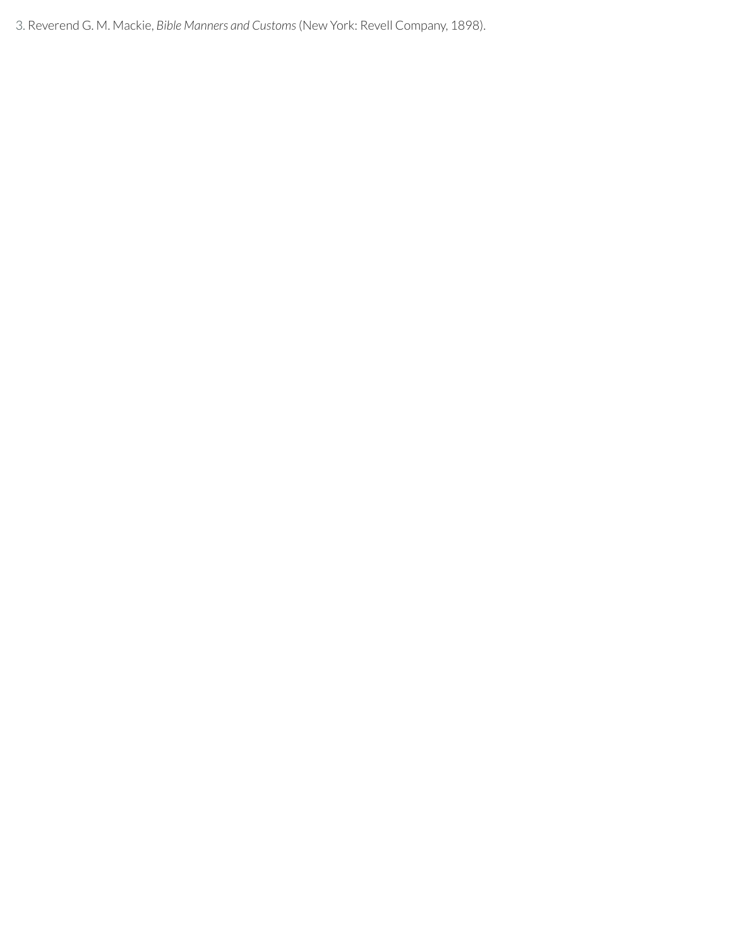<span id="page-51-0"></span>[3.](#page-50-4) Reverend G. M. Mackie, *Bible Manners and Customs*(New York: Revell Company, 1898).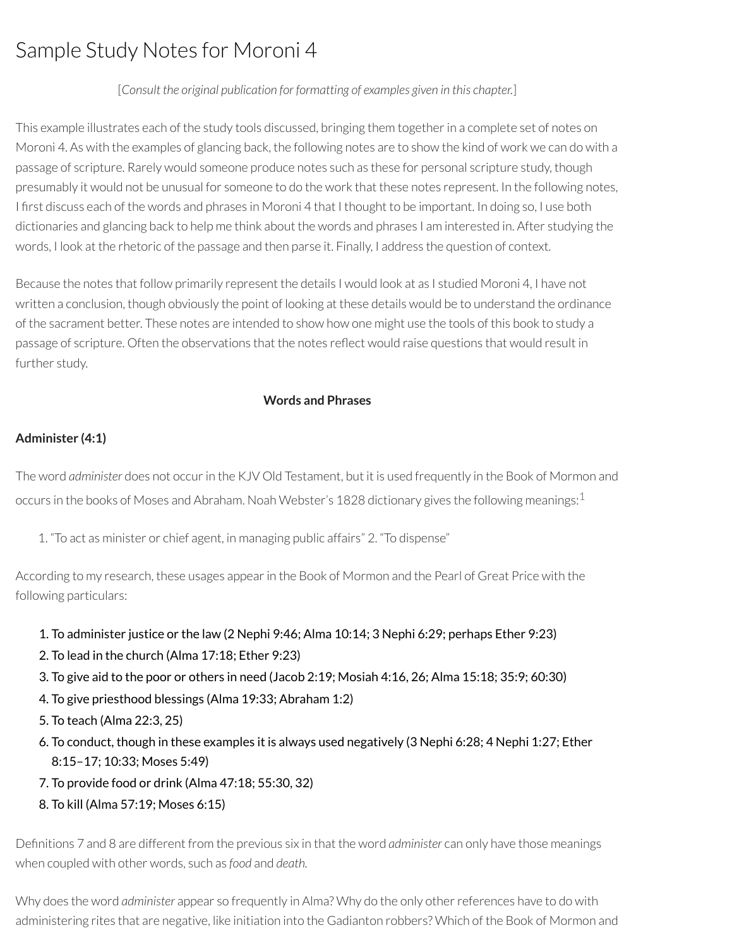## Sample Study Notes for Moroni 4

## [*Consult the original publication for formatting of examples given in this chapter.*]

This example illustrates each of the study tools discussed, bringing them together in a complete set of notes on Moroni 4. As with the examples of glancing back, the following notes are to show the kind of work we can do with a passage of scripture. Rarely would someone produce notes such as these for personal scripture study, though presumably it would not be unusual for someone to do the work that these notes represent. In the following notes, I first discuss each of the words and phrases in Moroni 4 that I thought to be important. In doing so, I use both dictionaries and glancing back to help me think about the words and phrases I am interested in. After studying the words, I look at the rhetoric of the passage and then parse it. Finally, I address the question of context.

Because the notes that follow primarily represent the details I would look at as I studied Moroni 4, I have not written a conclusion, though obviously the point of looking at these details would be to understand the ordinance of the sacrament better. These notes are intended to show how one might use the tools of this book to study a passage of scripture. Often the observations that the notes reflect would raise questions that would result in further study.

#### <span id="page-52-0"></span>**Words and Phrases**

### **Administer (4:1)**

The word *administer* does not occur in the KJV Old Testament, but it is used frequently in the Book of Mormon and occurs in the books of Moses and Abraham. Noah Webster's [1](#page-58-0)828 dictionary gives the following meanings:  $^1$ 

1. "To act as minister or chief agent, in managing public affairs" 2. "To dispense"

According to my research, these usages appearin the Book of Mormon and the Pearl of Great Price with the following particulars:

- 1. To administer justice or the law (2 Nephi 9:46; Alma 10:14; 3 Nephi 6:29; perhaps Ether 9:23)
- 2. To lead in the church (Alma 17:18; Ether 9:23)
- 3. To give aid to the poor or others in need (Jacob 2:19; Mosiah 4:16, 26; Alma 15:18; 35:9; 60:30)
- 4. To give priesthood blessings (Alma 19:33; Abraham 1:2)
- 5. To teach (Alma 22:3, 25)
- 6. To conduct, though in these examples it is always used negatively (3 Nephi 6:28; 4 Nephi 1:27; Ether 8:15–17; 10:33; Moses 5:49)
- 7. To provide food or drink (Alma 47:18; 55:30, 32)
- 8. To kill (Alma 57:19; Moses 6:15)

Definitions 7 and 8 are different from the previous six in that the word *administer* can only have those meanings when coupled with other words, such as *food* and *death.*

Why does the word *administer* appear so frequently in Alma? Why do the only otherreferences have to do with administering rites that are negative, like initiation into the Gadianton robbers? Which of the Book of Mormon and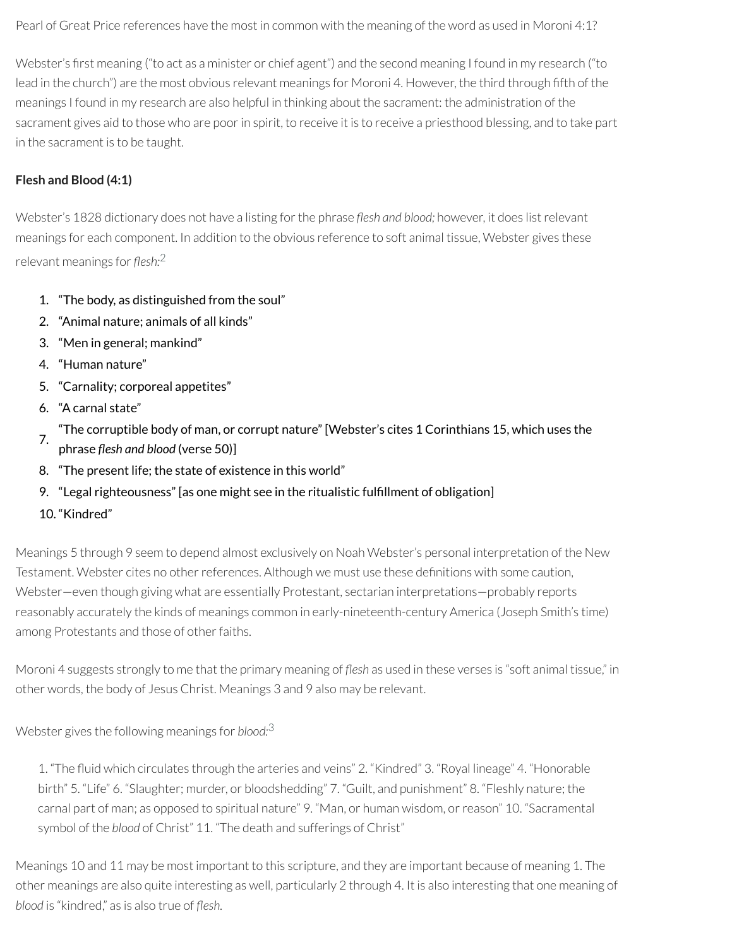Pearl of Great Price references have the most in common with the meaning of the word as used in Moroni 4:1?

Webster's first meaning ("to act as a minister or chief agent") and the second meaning I found in my research ("to lead in the church") are the most obvious relevant meanings for Moroni 4. However, the third through fth of the meanings I found in my research are also helpful in thinking about the sacrament: the administration of the sacrament gives aid to those who are poor in spirit, to receive it is to receive a priesthood blessing, and to take part in the sacrament is to be taught.

## **Flesh and Blood (4:1)**

Webster's 1828 dictionary does not have a listing for the phrase *flesh and blood*; however, it does list relevant meanings for each component. In addition to the obvious reference to soft animal tissue, Webster gives these relevant meanings for *flesh*:<sup>[2](#page-58-1)</sup>

- <span id="page-53-0"></span>1. "The body, as distinguished from the soul"
- 2. "Animal nature; animals of all kinds"
- 3. "Men in general; mankind"
- 4. "Human nature"
- 5. "Carnality; corporeal appetites"
- 6. "A carnal state"
- 7. "The corruptible body of man, or corrupt nature" [Webster's cites 1 Corinthians 15, which uses the phrase *flesh* and *blood* (verse 50)]
- 8. "The present life; the state of existence in this world"
- 9. "Legal righteousness" [as one might see in the ritualistic fulfillment of obligation]
- 10. "Kindred"

Meanings 5 through 9 seem to depend almost exclusively on Noah Webster's personal interpretation of the New Testament. Webster cites no other references. Although we must use these definitions with some caution, Webster—even though giving what are essentially Protestant, sectarian interpretations—probably reports reasonably accurately the kinds of meanings common in early-nineteenth-century America (Joseph Smith's time) among Protestants and those of other faiths.

Moroni 4 suggests strongly to me that the primary meaning of flesh as used in these verses is "soft animal tissue," in other words, the body of Jesus Christ. Meanings 3 and 9 also may be relevant.

Webster gives the following meanings for *blood:* [3](#page-58-2)

<span id="page-53-1"></span>1. "The fluid which circulates through the arteries and veins" 2. "Kindred" 3. "Royal lineage" 4. "Honorable birth" 5. "Life" 6. "Slaughter; murder, or bloodshedding" 7. "Guilt, and punishment" 8. "Fleshly nature; the carnal part of man; as opposed to spiritual nature" 9. "Man, or human wisdom, or reason" 10. "Sacramental symbol of the *blood* of Christ" 11. "The death and sufferings of Christ"

Meanings 10 and 11 may be most important to this scripture, and they are important because of meaning 1. The other meanings are also quite interesting as well, particularly 2 through 4. It is also interesting that one meaning of *blood* is "kindred," as is also true of *flesh*.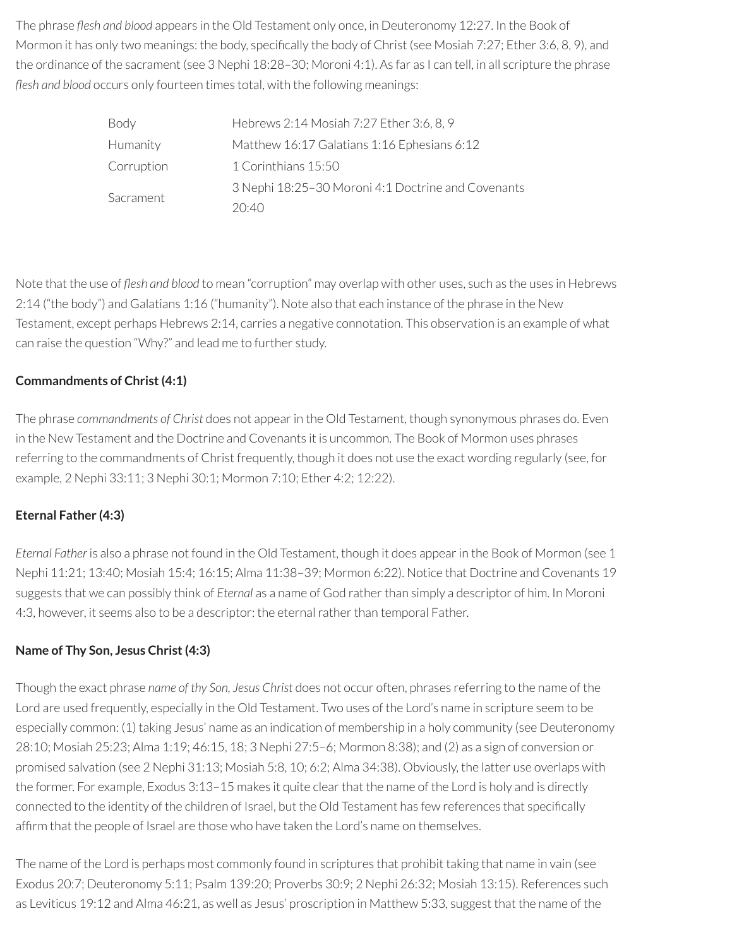The phrase *flesh and blood* appears in the Old Testament only once, in Deuteronomy 12:27. In the Book of Mormon it has only two meanings: the body, specifically the body of Christ (see Mosiah 7:27; Ether 3:6, 8, 9), and the ordinance of the sacrament (see 3 Nephi 18:28–30; Moroni 4:1). As far as I can tell, in all scripture the phrase *esh and blood* occurs only fourteen times total, with the following meanings:

| Body       | Hebrews 2:14 Mosiah 7:27 Ether 3:6, 8, 9           |
|------------|----------------------------------------------------|
| Humanity   | Matthew 16:17 Galatians 1:16 Ephesians 6:12        |
| Corruption | 1 Corinthians 15:50                                |
|            | 3 Nephi 18:25-30 Moroni 4:1 Doctrine and Covenants |
| Sacrament  | 20.40                                              |

Note that the use of flesh and blood to mean "corruption" may overlap with other uses, such as the uses in Hebrews 2:14 ("the body") and Galatians 1:16 ("humanity"). Note also that each instance of the phrase in the New Testament, except perhaps Hebrews 2:14, carries a negative connotation. This observation is an example of what can raise the question "Why?" and lead me to further study.

## **Commandments of Christ(4:1)**

The phrase *commandments of Christ* does not appearin the Old Testament, though synonymous phrases do. Even in the New Testament and the Doctrine and Covenants it is uncommon. The Book of Mormon uses phrases referring to the commandments of Christ frequently, though it does not use the exact wording regularly (see, for example, 2 Nephi 33:11; 3 Nephi 30:1; Mormon 7:10; Ether 4:2; 12:22).

## **Eternal Father (4:3)**

*Eternal Father* is also a phrase not found in the Old Testament, though it does appearin the Book of Mormon (see 1 Nephi 11:21; 13:40; Mosiah 15:4; 16:15; Alma 11:38–39; Mormon 6:22). Notice that Doctrine and Covenants 19 suggests that we can possibly think of *Eternal* as a name of God rather than simply a descriptor of him. In Moroni 4:3, however, it seems also to be a descriptor: the eternal rather than temporal Father.

## **Name of Thy Son, Jesus Christ(4:3)**

Though the exact phrase *name of thy Son, Jesus Christ* does not occur often, phrases referring to the name of the Lord are used frequently, especially in the Old Testament. Two uses of the Lord's name in scripture seem to be especially common: (1) taking Jesus' name as an indication of membership in a holy community (see Deuteronomy 28:10; Mosiah 25:23; Alma 1:19; 46:15, 18; 3 Nephi 27:5–6; Mormon 8:38); and (2) as a sign of conversion or promised salvation (see 2 Nephi 31:13; Mosiah 5:8, 10; 6:2; Alma 34:38). Obviously, the latter use overlaps with the former. For example, Exodus 3:13-15 makes it quite clear that the name of the Lord is holy and is directly connected to the identity of the children of Israel, but the Old Testament has few references that specifically afrm that the people of Israel are those who have taken the Lord's name on themselves.

The name of the Lord is perhaps most commonly found in scriptures that prohibit taking that name in vain (see Exodus 20:7; Deuteronomy 5:11; Psalm 139:20; Proverbs 30:9; 2 Nephi 26:32; Mosiah 13:15). References such as Leviticus 19:12 and Alma 46:21, as well as Jesus' proscription in Matthew 5:33, suggest that the name of the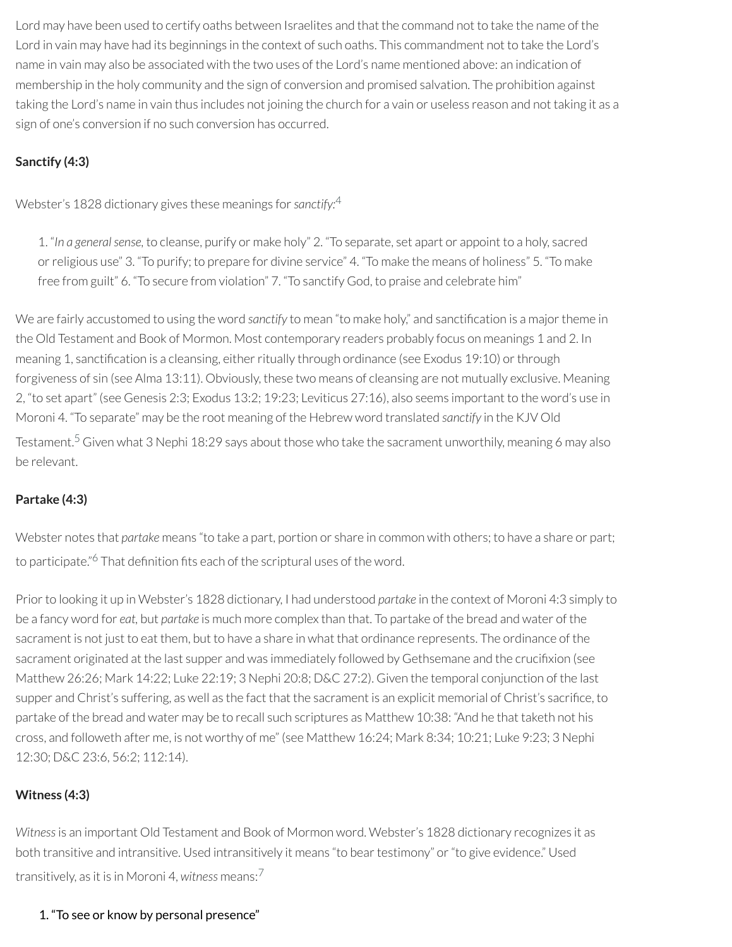Lord may have been used to certify oaths between Israelites and that the command not to take the name of the Lord in vain may have had its beginnings in the context of such oaths. This commandment not to take the Lord's name in vain may also be associated with the two uses of the Lord's name mentioned above: an indication of membership in the holy community and the sign of conversion and promised salvation. The prohibition against taking the Lord's name in vain thus includes not joining the church for a vain or useless reason and not taking it as a sign of one's conversion if no such conversion has occurred.

## **Sanctify (4:3)**

Webster's 1828 dictionary gives these meanings for*sanctify:* [4](#page-58-3)

<span id="page-55-0"></span>1. "*In a generalsense,* to cleanse, purify or make holy" 2. "To separate, set apart or appoint to a holy, sacred or religious use" 3. "To purify; to prepare for divine service" 4. "To make the means of holiness" 5. "To make free from guilt" 6. "To secure from violation" 7. "To sanctify God, to praise and celebrate him"

We are fairly accustomed to using the word *sanctify* to mean "to make holy," and sanctification is a major theme in the Old Testament and Book of Mormon. Most contemporary readers probably focus on meanings 1 and 2. In meaning 1, sanctification is a cleansing, either ritually through ordinance (see Exodus 19:10) or through forgiveness of sin (see Alma 13:11). Obviously, these two means of cleansing are not mutually exclusive. Meaning 2, "to set apart" (see Genesis 2:3; Exodus 13:2; 19:23; Leviticus 27:16), also seems important to the word's use in Moroni 4. "To separate" may be the root meaning of the Hebrew word translated *sanctify* in the KJV Old Testament. [5](#page-58-4) Given what 3 Nephi 18:29 says about those who take the sacrament unworthily, meaning 6 may also

## **Partake (4:3)**

<span id="page-55-1"></span>be relevant.

<span id="page-55-2"></span>Webster notes that *partake* means "to take a part, portion or share in common with others; to have a share or part; to participate."<sup>[6](#page-58-5)</sup> That definition fits each of the scriptural uses of the word.

Priorto looking it up in Webster's 1828 dictionary, I had understood *partake* in the context of Moroni 4:3 simply to be a fancy word for *eat,* but *partake* is much more complex than that. To partake of the bread and water of the sacrament is not just to eat them, but to have a share in what that ordinance represents. The ordinance of the sacrament originated at the last supper and was immediately followed by Gethsemane and the crucifixion (see Matthew 26:26; Mark 14:22; Luke 22:19; 3 Nephi 20:8; D&C 27:2). Given the temporal conjunction of the last supper and Christ's suffering, as well as the fact that the sacrament is an explicit memorial of Christ's sacrifice, to partake of the bread and water may be to recall such scriptures as Matthew 10:38: "And he that taketh not his cross, and followeth after me, is not worthy of me" (see Matthew 16:24; Mark 8:34; 10:21; Luke 9:23; 3 Nephi 12:30; D&C 23:6, 56:2; 112:14).

## **Witness (4:3)**

*Witness*is an important Old Testament and Book of Mormon word. Webster's 1828 dictionary recognizes it as both transitive and intransitive. Used intransitively it means "to bear testimony" or "to give evidence." Used transitively, as it is in Moroni 4, *witness* means: [7](#page-58-6)

### <span id="page-55-3"></span>1. "To see or know by personal presence"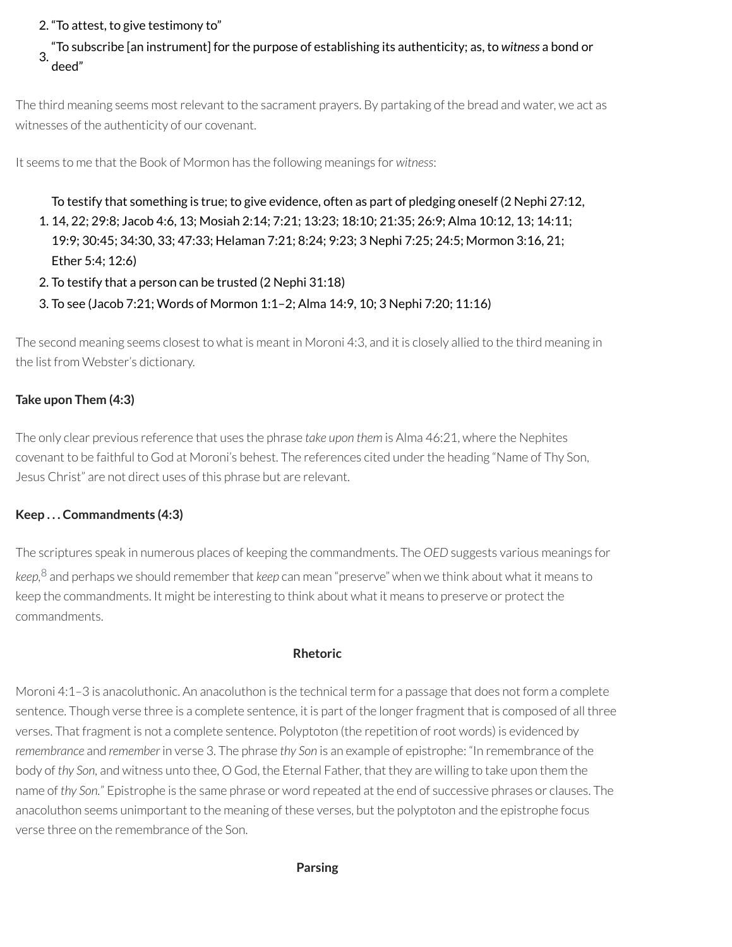## 2. "To attest, to give testimony to"

#### 3. "To subscribe [an instrument] for the purpose of establishing its authenticity; as, to *witness* a bond or deed"

The third meaning seems mostrelevant to the sacrament prayers. By partaking of the bread and water, we act as witnesses of the authenticity of our covenant.

It seems to me that the Book of Mormon has the following meanings for *witness*:

- 1. 14, 22; 29:8; Jacob 4:6, 13; Mosiah 2:14; 7:21; 13:23; 18:10; 21:35; 26:9; Alma 10:12, 13; 14:11; To testify that something is true; to give evidence, often as part of pledging oneself (2 Nephi 27:12, 19:9; 30:45; 34:30, 33; 47:33; Helaman 7:21; 8:24; 9:23; 3 Nephi 7:25; 24:5; Mormon 3:16, 21; Ether 5:4; 12:6)
- 2. To testify that a person can be trusted (2 Nephi 31:18)
- 3. To see (Jacob 7:21; Words of Mormon 1:1–2; Alma 14:9, 10; 3 Nephi 7:20; 11:16)

The second meaning seems closest to what is meant in Moroni 4:3, and it is closely allied to the third meaning in the list from Webster's dictionary.

## **Take upon Them (4:3)**

The only clear previous reference that uses the phrase *take upon them* is Alma 46:21, where the Nephites covenant to be faithful to God at Moroni's behest. The references cited under the heading "Name of Thy Son, Jesus Christ" are not direct uses of this phrase but are relevant.

### **Keep . . . Commandments (4:3)**

<span id="page-56-0"></span>The scriptures speak in numerous places of keeping the commandments. The *OED* suggests various meanings for *keep,* [8](#page-58-7) and perhaps we should rememberthat *keep* can mean "preserve" when we think about what it means to keep the commandments. It might be interesting to think about what it means to preserve or protect the commandments.

#### **Rhetoric**

Moroni 4:1–3 is anacoluthonic. An anacoluthon is the technical term for a passage that does not form a complete sentence. Though verse three is a complete sentence, it is part of the longer fragment that is composed of all three verses. That fragment is not a complete sentence. Polyptoton (the repetition ofroot words) is evidenced by *remembrance* and *remember* in verse 3. The phrase *thy Son* is an example of epistrophe: "In remembrance of the body of *thy Son,* and witness unto thee, O God, the Eternal Father, that they are willing to take upon them the name of *thy Son.*" Epistrophe is the same phrase or word repeated at the end of successive phrases or clauses. The anacoluthon seems unimportant to the meaning of these verses, but the polyptoton and the epistrophe focus verse three on the remembrance of the Son.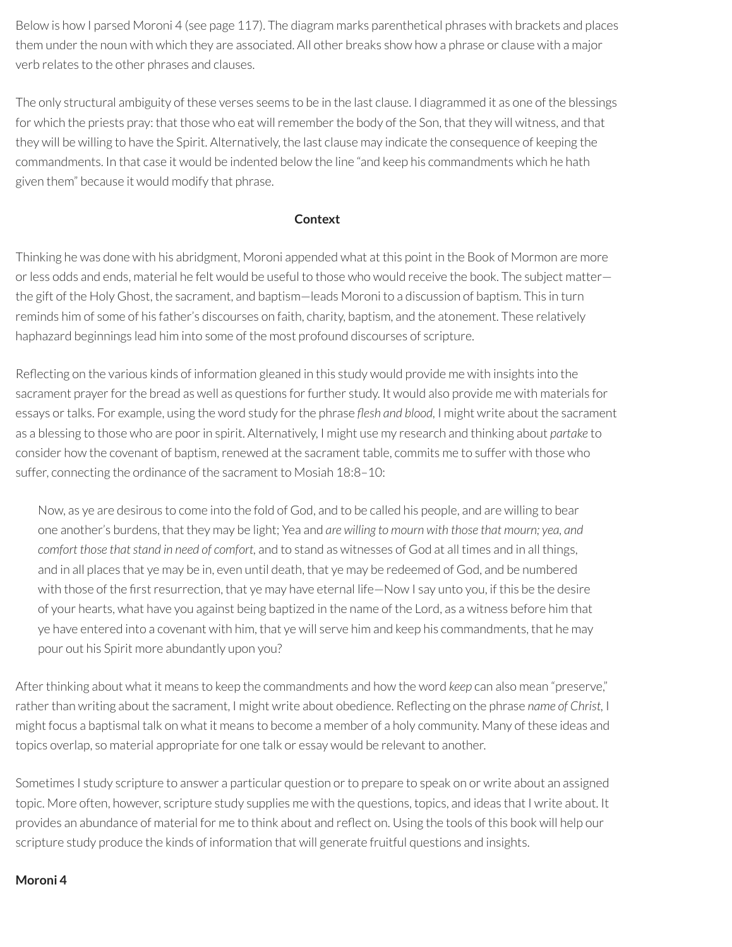Below is how I parsed Moroni 4 (see page 117). The diagram marks parenthetical phrases with brackets and places them under the noun with which they are associated. All other breaks show how a phrase or clause with a major verb relates to the other phrases and clauses.

The only structural ambiguity of these verses seems to be in the last clause. I diagrammed it as one of the blessings for which the priests pray: that those who eat will remember the body of the Son, that they will witness, and that they will be willing to have the Spirit. Alternatively, the last clause may indicate the consequence of keeping the commandments. In that case it would be indented below the line "and keep his commandments which he hath given them" because it would modify that phrase.

#### **Context**

Thinking he was done with his abridgment, Moroni appended what at this point in the Book of Mormon are more orless odds and ends, material he felt would be useful to those who would receive the book. The subject matter the gift of the Holy Ghost, the sacrament, and baptism—leads Moroni to a discussion of baptism. This in turn reminds him of some of his father's discourses on faith, charity, baptism, and the atonement. These relatively haphazard beginnings lead him into some of the most profound discourses of scripture.

Reflecting on the various kinds of information gleaned in this study would provide me with insights into the sacrament prayer for the bread as well as questions for further study. It would also provide me with materials for essays ortalks. For example, using the word study forthe phrase *esh and blood,* I might write about the sacrament as a blessing to those who are poorin spirit. Alternatively, I might use my research and thinking about *partake* to consider how the covenant of baptism, renewed at the sacrament table, commits me to suffer with those who suffer, connecting the ordinance of the sacrament to Mosiah 18:8–10:

Now, as ye are desirous to come into the fold of God, and to be called his people, and are willing to bear one another's burdens, that they may be light; Yea and *are willing to mourn with those that mourn; yea, and comfort those that stand in need of comfort*, and to stand as witnesses of God at all times and in all things, and in all places that ye may be in, even until death, that ye may be redeemed of God, and be numbered with those of the first resurrection, that ye may have eternal life—Now I say unto you, if this be the desire of your hearts, what have you against being baptized in the name of the Lord, as a witness before him that ye have entered into a covenant with him, that ye will serve him and keep his commandments, that he may pour out his Spirit more abundantly upon you?

After thinking about what it means to keep the commandments and how the word *keep* can also mean "preserve," rather than writing about the sacrament, I might write about obedience. Reflecting on the phrase *name* of Christ, I might focus a baptismal talk on what it means to become a member of a holy community. Many of these ideas and topics overlap, so material appropriate for one talk or essay would be relevant to another.

Sometimes I study scripture to answer a particular question or to prepare to speak on or write about an assigned topic. More often, however, scripture study supplies me with the questions, topics, and ideas that I write about. It provides an abundance of material for me to think about and reflect on. Using the tools of this book will help our scripture study produce the kinds of information that will generate fruitful questions and insights.

#### **Moroni 4**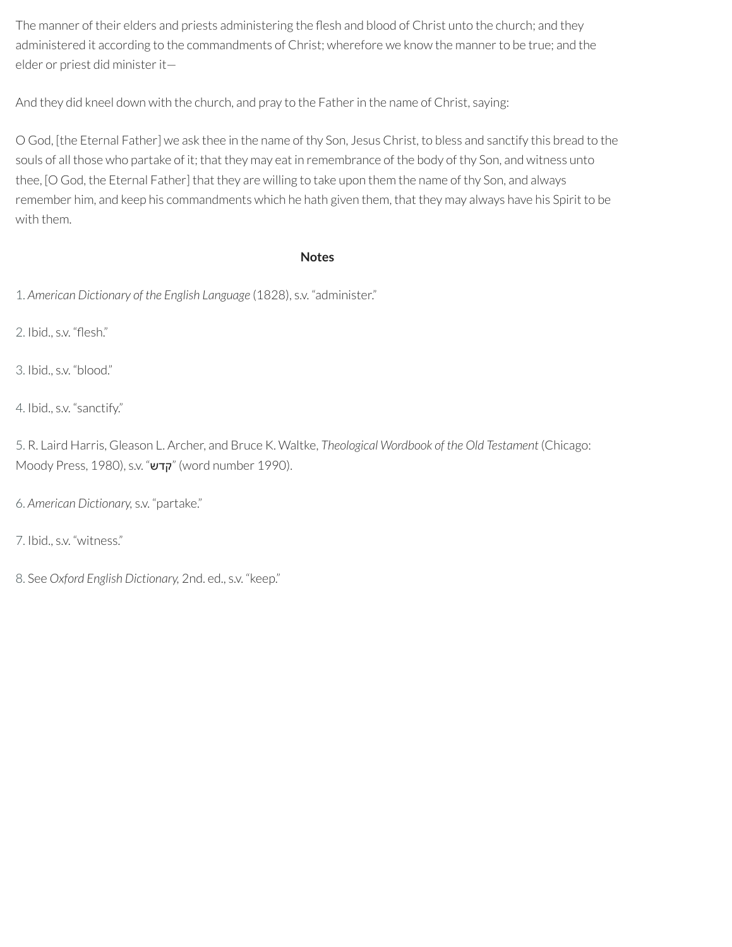The manner of their elders and priests administering the flesh and blood of Christ unto the church; and they administered it according to the commandments of Christ; wherefore we know the manner to be true; and the elder or priest did ministerit—

And they did kneel down with the church, and pray to the Father in the name of Christ, saying:

O God, [the Eternal Father] we ask thee in the name of thy Son, Jesus Christ, to bless and sanctify this bread to the souls of all those who partake of it; that they may eat in remembrance of the body of thy Son, and witness unto thee, [O God, the Eternal Father] that they are willing to take upon them the name of thy Son, and always remember him, and keep his commandments which he hath given them, that they may always have his Spirit to be with them.

#### **Notes**

<span id="page-58-0"></span>[1.](#page-52-0) *American Dictionary of the English Language* (1828), s.v. "administer."

<span id="page-58-1"></span>[2.](#page-53-0) Ibid., s.v. "flesh."

<span id="page-58-2"></span>[3.](#page-53-1) Ibid., s.v. "blood."

<span id="page-58-3"></span>[4.](#page-55-0) Ibid., s.v. "sanctify."

<span id="page-58-4"></span>[5.](#page-55-1) R. Laird Harris, Gleason L. Archer, and Bruce K. Waltke, *Theological Wordbook of the Old Testament* (Chicago: Moody Press, 1980), s.v. "קדש) (word number 1990).

<span id="page-58-5"></span>[6.](#page-55-2) *American Dictionary,* s.v. "partake."

<span id="page-58-6"></span>[7.](#page-55-3) Ibid., s.v. "witness."

<span id="page-58-7"></span>[8.](#page-56-0) See *Oxford English Dictionary,* 2nd. ed., s.v. "keep."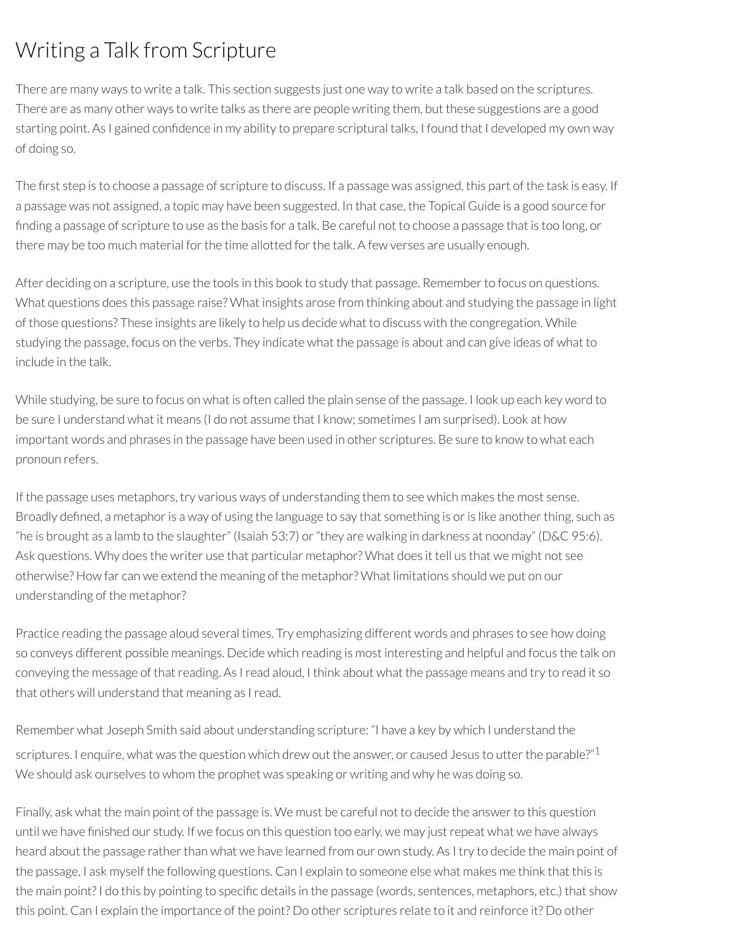# Writing a Talk from Scripture

There are many ways to write a talk. This section suggests just one way to write a talk based on the scriptures. There are as many other ways to write talks as there are people writing them, but these suggestions are a good starting point. As I gained confidence in my ability to prepare scriptural talks, I found that I developed my own way of doing so.

The first step is to choose a passage of scripture to discuss. If a passage was assigned, this part of the task is easy. If a passage was not assigned, a topic may have been suggested. In that case, the Topical Guide is a good source for finding a passage of scripture to use as the basis for a talk. Be careful not to choose a passage that is too long, or there may be too much material for the time allotted for the talk. A few verses are usually enough.

After deciding on a scripture, use the tools in this book to study that passage. Rememberto focus on questions. What questions does this passage raise? What insights arose from thinking about and studying the passage in light of those questions? These insights are likely to help us decide what to discuss with the congregation. While studying the passage, focus on the verbs. They indicate what the passage is about and can give ideas of what to include in the talk.

While studying, be sure to focus on what is often called the plain sense of the passage. I look up each key word to be sure I understand what it means (I do not assume that I know; sometimes I am surprised). Look at how important words and phrases in the passage have been used in other scriptures. Be sure to know to what each pronoun refers.

If the passage uses metaphors, try various ways of understanding them to see which makes the most sense. Broadly defined, a metaphor is a way of using the language to say that something is or is like another thing, such as "he is brought as a lamb to the slaughter" (Isaiah 53:7) or "they are walking in darkness at noonday" (D&C 95:6). Ask questions. Why does the writer use that particular metaphor? What does it tell us that we might not see otherwise? How far can we extend the meaning of the metaphor? What limitations should we put on our understanding of the metaphor?

Practice reading the passage aloud several times. Try emphasizing different words and phrases to see how doing so conveys different possible meanings. Decide which reading is most interesting and helpful and focus the talk on conveying the message of that reading. As I read aloud, I think about what the passage means and try to read it so that others will understand that meaning as Iread.

<span id="page-59-0"></span>Remember what Joseph Smith said about understanding scripture: "I have a key by which I understand the scriptures. I enquire, what was the question which drew out the answer, or caused Jesus to utter the parable?" $^{\rm 1}$  $^{\rm 1}$  $^{\rm 1}$ We should ask ourselves to whom the prophet was speaking or writing and why he was doing so.

Finally, ask what the main point of the passage is. We must be careful not to decide the answerto this question until we have finished our study. If we focus on this question too early, we may just repeat what we have always heard about the passage rather than what we have learned from our own study. As I try to decide the main point of the passage, I ask myself the following questions. Can I explain to someone else what makes me think that this is the main point? I do this by pointing to specific details in the passage (words, sentences, metaphors, etc.) that show this point. Can I explain the importance of the point? Do other scriptures relate to it and reinforce it? Do other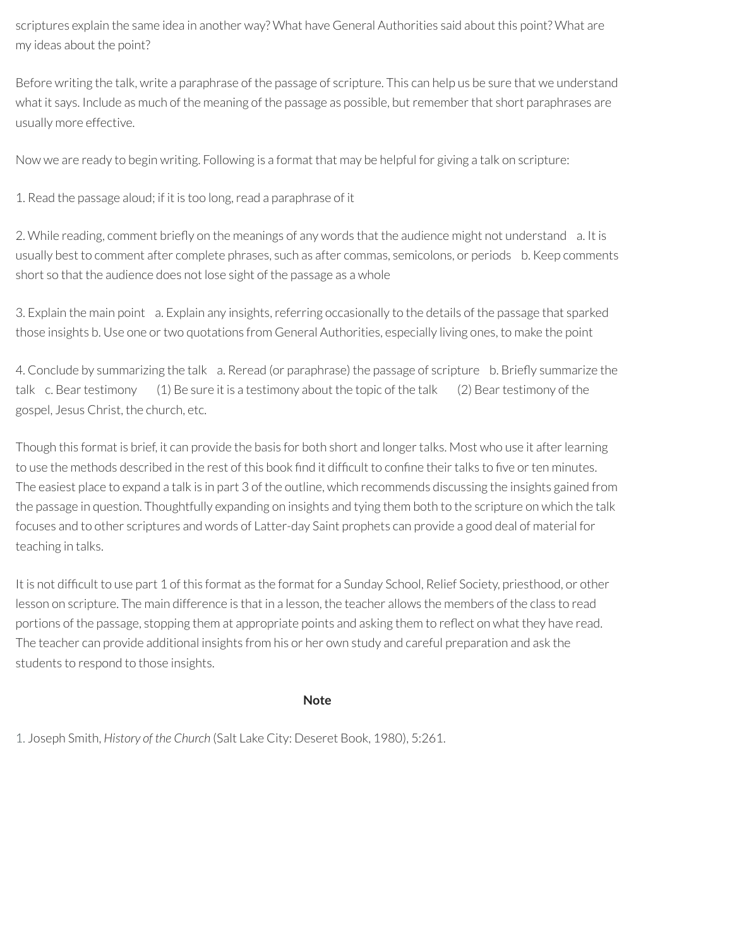scriptures explain the same idea in another way? What have General Authorities said about this point? What are my ideas about the point?

Before writing the talk, write a paraphrase of the passage of scripture. This can help us be sure that we understand what it says. Include as much of the meaning of the passage as possible, but remember that short paraphrases are usually more effective.

Now we are ready to begin writing. Following is a format that may be helpful for giving a talk on scripture:

1. Read the passage aloud; if it is too long, read a paraphrase of it

2. While reading, comment briefly on the meanings of any words that the audience might not understand a. It is usually best to comment after complete phrases, such as after commas, semicolons, or periods b. Keep comments short so that the audience does not lose sight of the passage as a whole

3. Explain the main point a. Explain any insights, referring occasionally to the details of the passage that sparked those insights b. Use one or two quotations from General Authorities, especially living ones, to make the point

4. Conclude by summarizing the talk a. Reread (or paraphrase) the passage of scripture b. Briefly summarize the talk c. Beartestimony (1) Be sure it is a testimony about the topic of the talk (2) Beartestimony of the gospel, Jesus Christ, the church, etc.

Though this format is brief, it can provide the basis for both short and longer talks. Most who use it after learning to use the methods described in the rest of this book find it difficult to confine their talks to five or ten minutes. The easiest place to expand a talk is in part 3 of the outline, which recommends discussing the insights gained from the passage in question. Thoughtfully expanding on insights and tying them both to the scripture on which the talk focuses and to other scriptures and words of Latter-day Saint prophets can provide a good deal of material for teaching in talks.

It is not difficult to use part 1 of this format as the format for a Sunday School, Relief Society, priesthood, or other lesson on scripture. The main difference is that in a lesson, the teacher allows the members of the class to read portions of the passage, stopping them at appropriate points and asking them to reflect on what they have read. The teacher can provide additional insights from his or her own study and careful preparation and ask the students to respond to those insights.

### **Note**

<span id="page-60-0"></span>[1.](#page-59-0) Joseph Smith, *History of the Church* (Salt Lake City: Deseret Book, 1980), 5:261.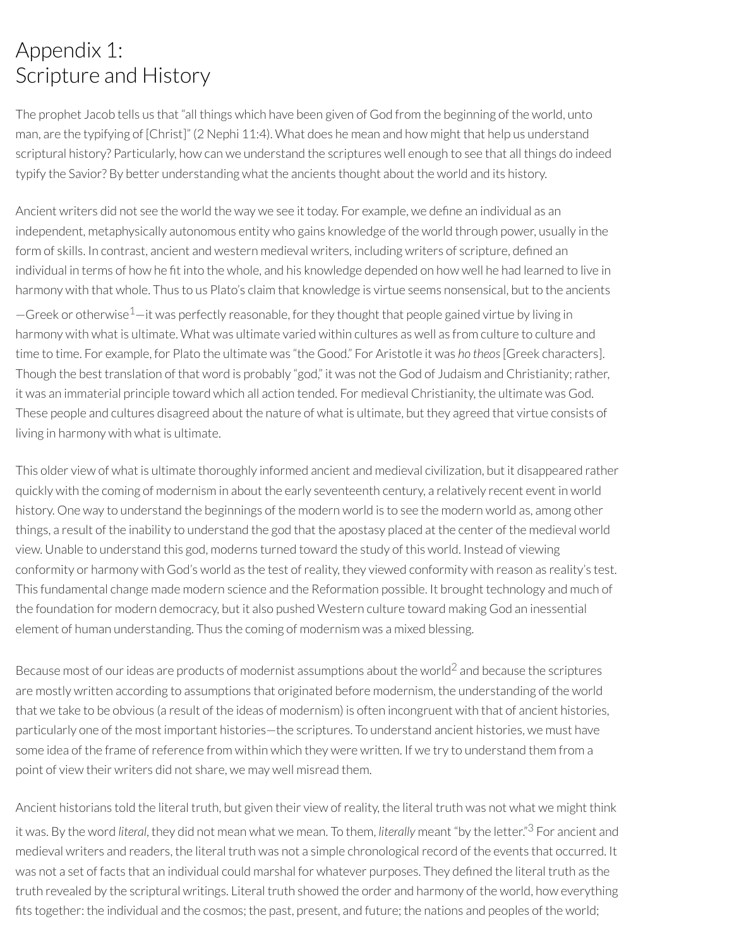# Appendix 1: Scripture and History

The prophet Jacob tells us that "all things which have been given of God from the beginning of the world, unto man, are the typifying of [Christ]" (2 Nephi 11:4). What does he mean and how might that help us understand scriptural history? Particularly, how can we understand the scriptures well enough to see that all things do indeed typify the Savior? By better understanding what the ancients thought about the world and its history.

<span id="page-61-0"></span>Ancient writers did not see the world the way we see it today. For example, we define an individual as an independent, metaphysically autonomous entity who gains knowledge of the world through power, usually in the form of skills. In contrast, ancient and western medieval writers, including writers of scripture, defined an individual in terms of how he fit into the whole, and his knowledge depended on how well he had learned to live in harmony with that whole. Thus to us Plato's claim that knowledge is virtue seems nonsensical, but to the ancients  $-$ Greek or otherwise $^{\rm 1} ^{\rm 1} ^{\rm 1}-$ it was perfectly reasonable, for they thought that people gained virtue by living in harmony with what is ultimate. What was ultimate varied within cultures as well as from culture to culture and time to time. For example, for Plato the ultimate was "the Good." For Aristotle it was *ho theos*[Greek characters]. Though the best translation of that word is probably "god," it was not the God of Judaism and Christianity;rather, it was an immaterial principle toward which all action tended. For medieval Christianity, the ultimate was God. These people and cultures disagreed about the nature of what is ultimate, but they agreed that virtue consists of living in harmony with what is ultimate.

This older view of what is ultimate thoroughly informed ancient and medieval civilization, but it disappeared rather quickly with the coming of modernism in about the early seventeenth century, a relatively recent event in world history. One way to understand the beginnings of the modern world is to see the modern world as, among other things, a result of the inability to understand the god that the apostasy placed at the center of the medieval world view. Unable to understand this god, moderns turned toward the study of this world. Instead of viewing conformity or harmony with God's world as the test ofreality, they viewed conformity with reason as reality's test. This fundamental change made modern science and the Reformation possible. It brought technology and much of the foundation for modern democracy, but it also pushed Western culture toward making God an inessential element of human understanding. Thus the coming of modernism was a mixed blessing.

<span id="page-61-1"></span>Because most of our ideas are products of modernist assumptions about the world<sup>[2](#page-64-1)</sup> and because the scriptures are mostly written according to assumptions that originated before modernism, the understanding of the world that we take to be obvious (a result of the ideas of modernism) is often incongruent with that of ancient histories, particularly one of the most important histories—the scriptures. To understand ancient histories, we must have some idea of the frame of reference from within which they were written. If we try to understand them from a point of view their writers did not share, we may well misread them.

<span id="page-61-2"></span>Ancient historians told the literal truth, but given their view of reality, the literal truth was not what we might think it was. By the word *literal*, they did not mean what we mean. To them, *literally* meant "by the letter." [3](#page-65-0) For ancient and medieval writers and readers, the literal truth was not a simple chronological record of the events that occurred. It was not a set of facts that an individual could marshal for whatever purposes. They defined the literal truth as the truth revealed by the scriptural writings. Literal truth showed the order and harmony of the world, how everything fits together: the individual and the cosmos; the past, present, and future; the nations and peoples of the world;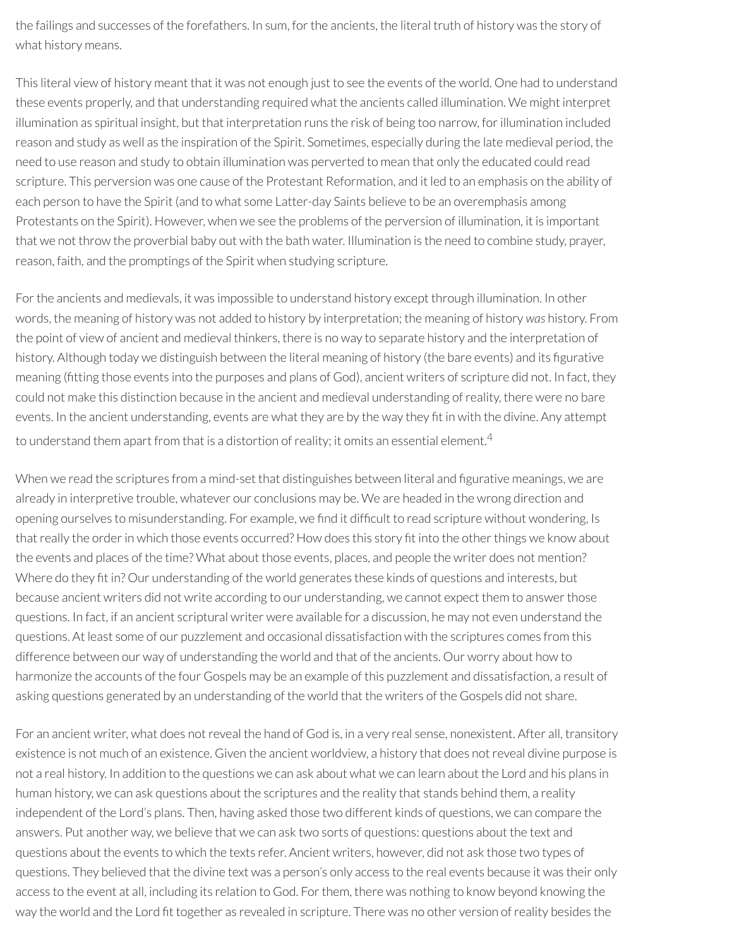the failings and successes of the forefathers. In sum, for the ancients, the literal truth of history was the story of what history means.

This literal view of history meant that it was not enough just to see the events of the world. One had to understand these events properly, and that understanding required what the ancients called illumination. We might interpret illumination as spiritual insight, but that interpretation runs the risk of being too narrow, forillumination included reason and study as well as the inspiration of the Spirit. Sometimes, especially during the late medieval period, the need to use reason and study to obtain illumination was perverted to mean that only the educated could read scripture. This perversion was one cause of the Protestant Reformation, and it led to an emphasis on the ability of each person to have the Spirit (and to what some Latter-day Saints believe to be an overemphasis among Protestants on the Spirit). However, when we see the problems of the perversion of illumination, it is important that we not throw the proverbial baby out with the bath water. Illumination is the need to combine study, prayer, reason, faith, and the promptings of the Spirit when studying scripture.

Forthe ancients and medievals, it was impossible to understand history except through illumination. In other words, the meaning of history was not added to history by interpretation; the meaning of history *was* history. From the point of view of ancient and medieval thinkers, there is no way to separate history and the interpretation of history. Although today we distinguish between the literal meaning of history (the bare events) and its figurative meaning (fitting those events into the purposes and plans of God), ancient writers of scripture did not. In fact, they could not make this distinction because in the ancient and medieval understanding ofreality, there were no bare events. In the ancient understanding, events are what they are by the way they fit in with the divine. Any attempt to understand them apart from that is a distortion of reality; it omits an essential element. $^{\rm 4}$  $^{\rm 4}$  $^{\rm 4}$ 

<span id="page-62-0"></span>When we read the scriptures from a mind-set that distinguishes between literal and figurative meanings, we are already in interpretive trouble, whatever our conclusions may be. We are headed in the wrong direction and opening ourselves to misunderstanding. For example, we find it difficult to read scripture without wondering, Is that really the order in which those events occurred? How does this story fit into the other things we know about the events and places of the time? What about those events, places, and people the writer does not mention? Where do they fit in? Our understanding of the world generates these kinds of questions and interests, but because ancient writers did not write according to our understanding, we cannot expect them to answerthose questions. In fact, if an ancient scriptural writer were available for a discussion, he may not even understand the questions. At least some of our puzzlement and occasional dissatisfaction with the scriptures comes from this difference between our way of understanding the world and that of the ancients. Our worry about how to harmonize the accounts of the four Gospels may be an example of this puzzlement and dissatisfaction, a result of asking questions generated by an understanding of the world that the writers of the Gospels did not share.

For an ancient writer, what does not reveal the hand of God is, in a very real sense, nonexistent. After all, transitory existence is not much of an existence. Given the ancient worldview, a history that does notreveal divine purpose is not a real history. In addition to the questions we can ask about what we can learn about the Lord and his plans in human history, we can ask questions about the scriptures and the reality that stands behind them, a reality independent of the Lord's plans. Then, having asked those two different kinds of questions, we can compare the answers. Put another way, we believe that we can ask two sorts of questions: questions about the text and questions about the events to which the texts refer. Ancient writers, however, did not ask those two types of questions. They believed that the divine text was a person's only access to the real events because it was their only access to the event at all, including its relation to God. For them, there was nothing to know beyond knowing the way the world and the Lord fit together as revealed in scripture. There was no other version of reality besides the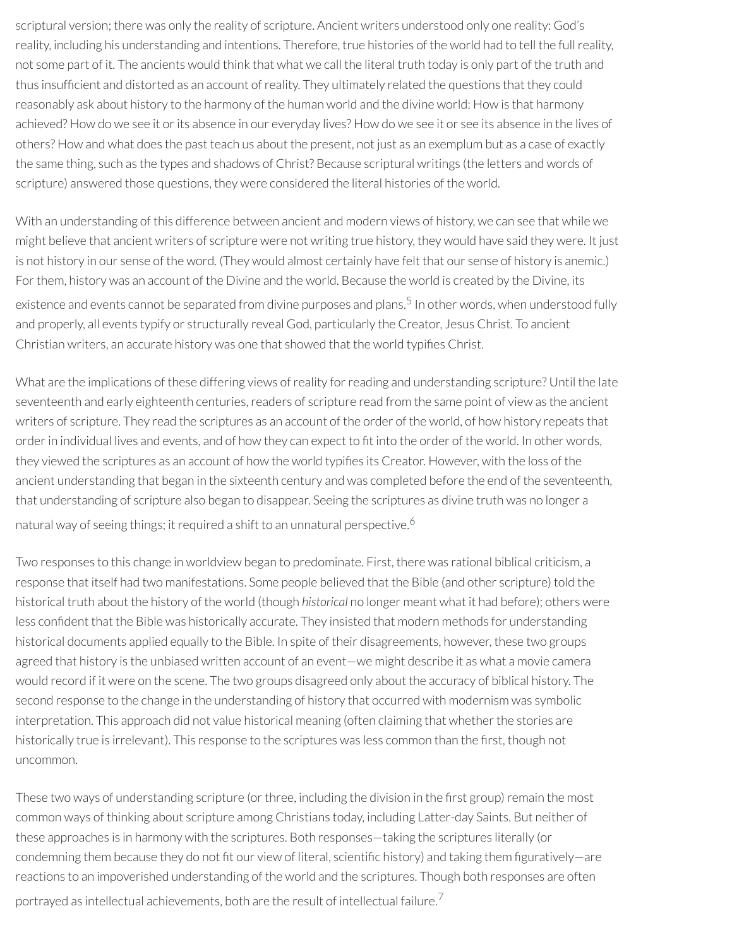scriptural version; there was only the reality of scripture. Ancient writers understood only one reality: God's reality, including his understanding and intentions. Therefore, true histories of the world had to tell the full reality, not some part of it. The ancients would think that what we call the literal truth today is only part of the truth and thus insufficient and distorted as an account of reality. They ultimately related the questions that they could reasonably ask about history to the harmony of the human world and the divine world: How is that harmony achieved? How do we see it or its absence in our everyday lives? How do we see it or see its absence in the lives of others? How and what does the past teach us about the present, not just as an exemplum but as a case of exactly the same thing, such as the types and shadows of Christ? Because scriptural writings (the letters and words of scripture) answered those questions, they were considered the literal histories of the world.

<span id="page-63-0"></span>With an understanding of this difference between ancient and modern views of history, we can see that while we might believe that ancient writers of scripture were not writing true history, they would have said they were. It just is not history in our sense of the word. (They would almost certainly have felt that our sense of history is anemic.) Forthem, history was an account of the Divine and the world. Because the world is created by the Divine, its existence and events cannot be separated from divine purposes and plans. [5](#page-65-2) In other words, when understood fully and properly, all events typify or structurally reveal God, particularly the Creator, Jesus Christ. To ancient Christian writers, an accurate history was one that showed that the world typifies Christ.

What are the implications of these differing views of reality for reading and understanding scripture? Until the late seventeenth and early eighteenth centuries, readers of scripture read from the same point of view as the ancient writers of scripture. They read the scriptures as an account of the order of the world, of how history repeats that order in individual lives and events, and of how they can expect to fit into the order of the world. In other words, they viewed the scriptures as an account of how the world typifies its Creator. However, with the loss of the ancient understanding that began in the sixteenth century and was completed before the end of the seventeenth, that understanding of scripture also began to disappear. Seeing the scriptures as divine truth was no longer a natural way of seeing things; it required a shift to an unnatural perspective.<sup>[6](#page-65-3)</sup>

<span id="page-63-1"></span>Two responses to this change in worldview began to predominate. First, there was rational biblical criticism, a response that itself had two manifestations. Some people believed that the Bible (and other scripture) told the historical truth about the history of the world (though *historical* no longer meant what it had before); others were less confident that the Bible was historically accurate. They insisted that modern methods for understanding historical documents applied equally to the Bible. In spite of their disagreements, however, these two groups agreed that history is the unbiased written account of an event—we might describe it as what a movie camera would record if it were on the scene. The two groups disagreed only about the accuracy of biblical history. The second response to the change in the understanding of history that occurred with modernism was symbolic interpretation. This approach did not value historical meaning (often claiming that whether the stories are historically true is irrelevant). This response to the scriptures was less common than the first, though not uncommon.

<span id="page-63-2"></span>These two ways of understanding scripture (or three, including the division in the first group) remain the most common ways of thinking about scripture among Christians today, including Latter-day Saints. But neither of these approaches is in harmony with the scriptures. Both responses—taking the scriptures literally (or condemning them because they do not fit our view of literal, scientific history) and taking them figuratively—are reactions to an impoverished understanding of the world and the scriptures. Though both responses are often portrayed as intellectual achievements, both are the result of intellectual failure. $^7$  $^7$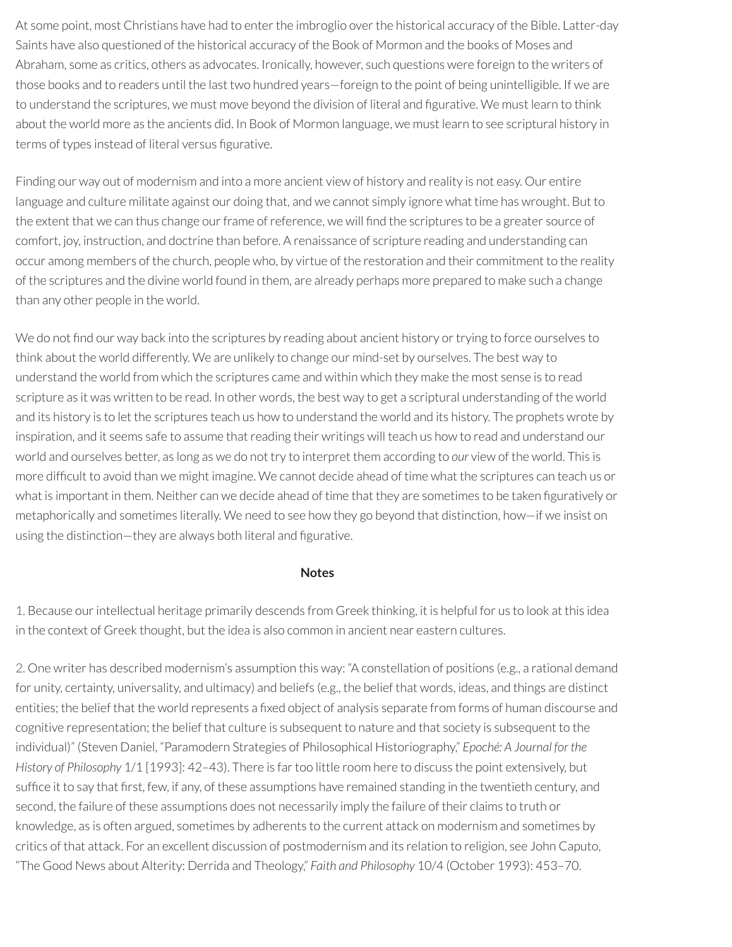At some point, most Christians have had to enter the imbroglio over the historical accuracy of the Bible. Latter-day Saints have also questioned of the historical accuracy of the Book of Mormon and the books of Moses and Abraham, some as critics, others as advocates. Ironically, however, such questions were foreign to the writers of those books and to readers until the last two hundred years—foreign to the point of being unintelligible. If we are to understand the scriptures, we must move beyond the division of literal and figurative. We must learn to think about the world more as the ancients did. In Book of Mormon language, we must learn to see scriptural history in terms of types instead of literal versus figurative.

Finding our way out of modernism and into a more ancient view of history and reality is not easy. Our entire language and culture militate against our doing that, and we cannot simply ignore what time has wrought. But to the extent that we can thus change our frame of reference, we will find the scriptures to be a greater source of comfort, joy, instruction, and doctrine than before. A renaissance of scripture reading and understanding can occur among members of the church, people who, by virtue of the restoration and their commitment to the reality of the scriptures and the divine world found in them, are already perhaps more prepared to make such a change than any other people in the world.

We do not find our way back into the scriptures by reading about ancient history or trying to force ourselves to think about the world differently. We are unlikely to change our mind-set by ourselves. The best way to understand the world from which the scriptures came and within which they make the most sense is to read scripture as it was written to be read. In other words, the best way to get a scriptural understanding of the world and its history is to let the scriptures teach us how to understand the world and its history. The prophets wrote by inspiration, and it seems safe to assume that reading their writings will teach us how to read and understand our world and ourselves better, as long as we do not try to interpret them according to *our* view of the world. This is more difficult to avoid than we might imagine. We cannot decide ahead of time what the scriptures can teach us or what is important in them. Neither can we decide ahead of time that they are sometimes to be taken figuratively or metaphorically and sometimes literally. We need to see how they go beyond that distinction, how—if we insist on using the distinction-they are always both literal and figurative.

#### **Notes**

<span id="page-64-0"></span>[1.](#page-61-0) Because ourintellectual heritage primarily descends from Greek thinking, it is helpful for us to look at this idea in the context of Greek thought, but the idea is also common in ancient near eastern cultures.

<span id="page-64-1"></span>[2.](#page-61-1) One writer has described modernism's assumption this way: "A constellation of positions (e.g., a rational demand for unity, certainty, universality, and ultimacy) and beliefs (e.g., the belief that words, ideas, and things are distinct entities; the belief that the world represents a fixed object of analysis separate from forms of human discourse and cognitive representation; the belief that culture is subsequent to nature and that society is subsequent to the individual)" (Steven Daniel, "Paramodern Strategies of Philosophical Historiography," *Epoché: A Journal for the History of Philosophy* 1/1 [1993]: 42–43). There is fartoo little room here to discuss the point extensively, but suffice it to say that first, few, if any, of these assumptions have remained standing in the twentieth century, and second, the failure of these assumptions does not necessarily imply the failure of their claims to truth or knowledge, as is often argued, sometimes by adherents to the current attack on modernism and sometimes by critics of that attack. For an excellent discussion of postmodernism and its relation to religion, see John Caputo, "The Good News about Alterity: Derrida and Theology," *Faith and Philosophy* 10/4 (October 1993): 453–70.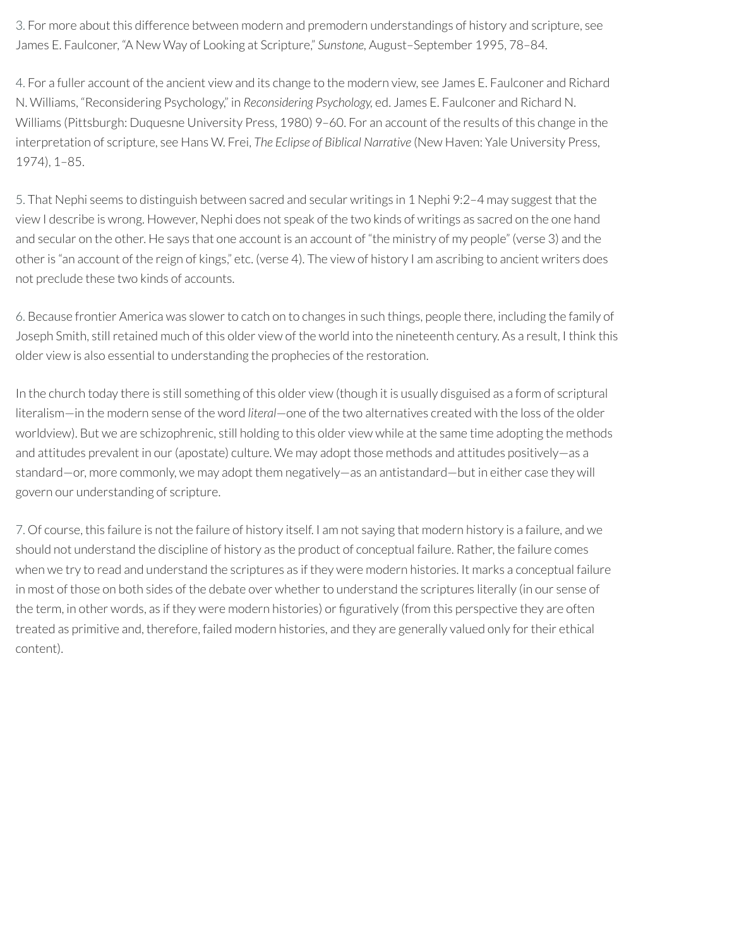<span id="page-65-0"></span>[3.](#page-61-2) For more about this difference between modern and premodern understandings of history and scripture, see James E. Faulconer, "A New Way of Looking at Scripture," *Sunstone,* August–September 1995, 78–84.

<span id="page-65-1"></span>[4.](#page-62-0) For a fuller account of the ancient view and its change to the modern view, see James E. Faulconer and Richard N. Williams, "Reconsidering Psychology," in *Reconsidering Psychology,* ed. James E. Faulconer and Richard N. Williams (Pittsburgh: Duquesne University Press, 1980) 9–60. For an account of the results of this change in the interpretation of scripture, see Hans W. Frei, *The Eclipse of Biblical Narrative* (New Haven: Yale University Press, 1974), 1–85.

<span id="page-65-2"></span>[5.](#page-63-0) That Nephi seems to distinguish between sacred and secular writings in 1 Nephi 9:2–4 may suggest that the view I describe is wrong. However, Nephi does not speak of the two kinds of writings as sacred on the one hand and secular on the other. He says that one account is an account of "the ministry of my people" (verse 3) and the otheris "an account of the reign of kings," etc. (verse 4). The view of history I am ascribing to ancient writers does not preclude these two kinds of accounts.

<span id="page-65-3"></span>[6.](#page-63-1) Because frontier America was slower to catch on to changes in such things, people there, including the family of Joseph Smith, stillretained much of this older view of the world into the nineteenth century. As a result, I think this older view is also essential to understanding the prophecies of the restoration.

In the church today there is still something of this older view (though it is usually disguised as a form of scriptural literalism—in the modern sense of the word *literal*—one of the two alternatives created with the loss of the older worldview). But we are schizophrenic, still holding to this older view while at the same time adopting the methods and attitudes prevalent in our(apostate) culture. We may adopt those methods and attitudes positively—as a standard—or, more commonly, we may adopt them negatively—as an antistandard—but in either case they will govern our understanding of scripture.

<span id="page-65-4"></span>[7.](#page-63-2) Of course, this failure is not the failure of history itself. I am not saying that modern history is a failure, and we should not understand the discipline of history as the product of conceptual failure. Rather, the failure comes when we try to read and understand the scriptures as if they were modern histories. It marks a conceptual failure in most of those on both sides of the debate over whether to understand the scriptures literally (in our sense of the term, in other words, as if they were modern histories) or figuratively (from this perspective they are often treated as primitive and, therefore, failed modern histories, and they are generally valued only for their ethical content).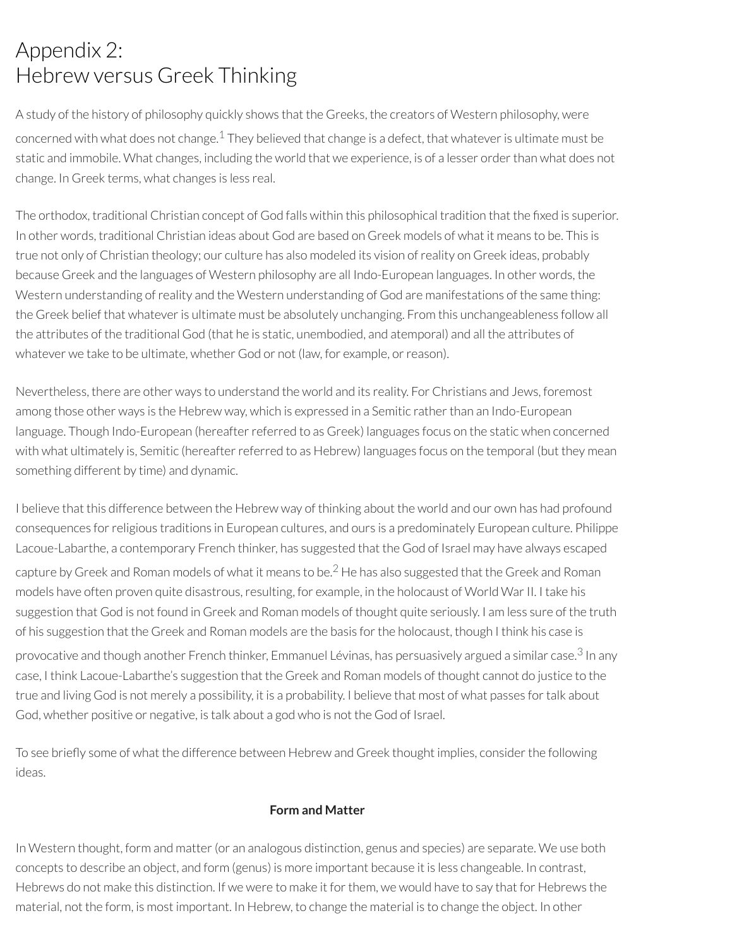## Appendix 2: Hebrew versus Greek Thinking

A study of the history of philosophy quickly shows that the Greeks, the creators of Western philosophy, were concerned with what does not change. $^1$  $^1$  They believed that change is a defect, that whatever is ultimate must be static and immobile. What changes, including the world that we experience, is of a lesser orderthan what does not change. In Greek terms, what changes is less real.

The orthodox, traditional Christian concept of God falls within this philosophical tradition that the fixed is superior. In other words, traditional Christian ideas about God are based on Greek models of what it means to be. This is true not only of Christian theology; our culture has also modeled its vision ofreality on Greek ideas, probably because Greek and the languages of Western philosophy are all Indo-European languages. In other words, the Western understanding of reality and the Western understanding of God are manifestations of the same thing: the Greek belief that whateveris ultimate must be absolutely unchanging. From this unchangeableness follow all the attributes of the traditional God (that he is static, unembodied, and atemporal) and all the attributes of whatever we take to be ultimate, whether God or not (law, for example, or reason).

Nevertheless, there are other ways to understand the world and its reality. For Christians and Jews, foremost among those other ways is the Hebrew way, which is expressed in a Semitic rather than an Indo-European language. Though Indo-European (hereafter referred to as Greek) languages focus on the static when concerned with what ultimately is, Semitic (hereafter referred to as Hebrew) languages focus on the temporal (but they mean something different by time) and dynamic.

I believe that this difference between the Hebrew way of thinking about the world and our own has had profound consequences forreligious traditions in European cultures, and ours is a predominately European culture. Philippe Lacoue-Labarthe, a contemporary French thinker, has suggested that the God of Israel may have always escaped

capture by Greek and Roman models of what it means to be. $^2$  $^2$  He has also suggested that the Greek and Roman models have often proven quite disastrous, resulting, for example, in the holocaust of World War II. I take his suggestion that God is not found in Greek and Roman models of thought quite seriously. I am less sure of the truth of his suggestion that the Greek and Roman models are the basis forthe holocaust, though I think his case is

provocative and though another French thinker, Emmanuel Lévinas, has persuasively argued a similar case.<sup>[3](#page-73-2)</sup> In any case, I think Lacoue-Labarthe's suggestion that the Greek and Roman models of thought cannot do justice to the true and living God is not merely a possibility, it is a probability. I believe that most of what passes fortalk about God, whether positive or negative, is talk about a god who is not the God of Israel.

To see briefly some of what the difference between Hebrew and Greek thought implies, consider the following ideas.

### **Form and Matter**

In Western thought, form and matter (or an analogous distinction, genus and species) are separate. We use both concepts to describe an object, and form (genus) is more important because it is less changeable. In contrast, Hebrews do not make this distinction. If we were to make it for them, we would have to say that for Hebrews the material, not the form, is most important. In Hebrew, to change the material is to change the object. In other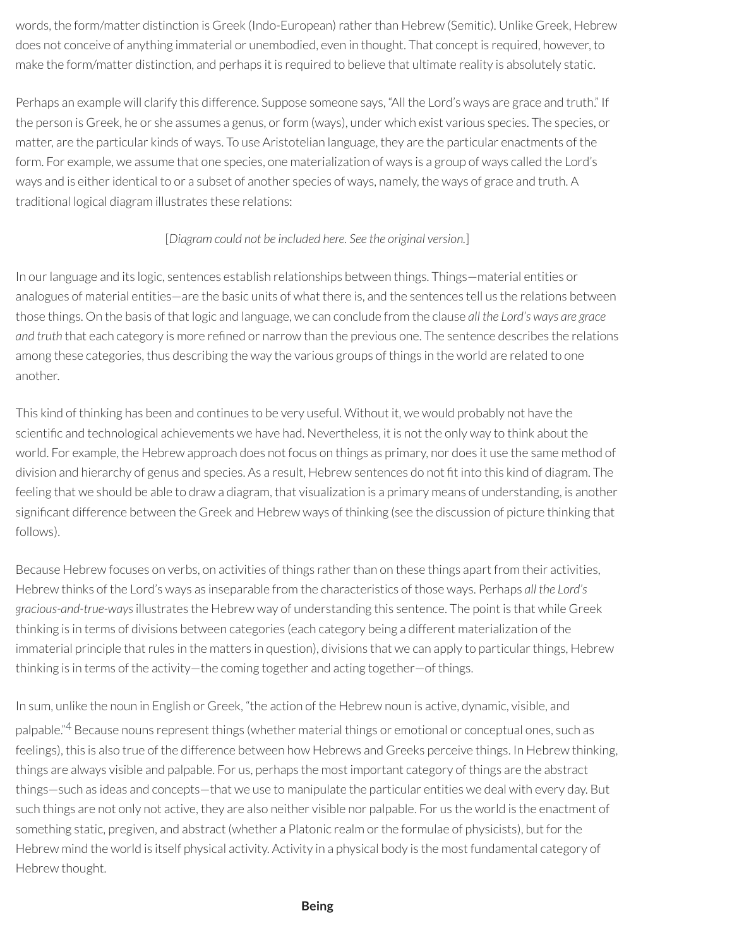words, the form/matter distinction is Greek (Indo-European) rather than Hebrew (Semitic). Unlike Greek, Hebrew does not conceive of anything immaterial or unembodied, even in thought. That concept is required, however, to make the form/matter distinction, and perhaps it is required to believe that ultimate reality is absolutely static.

Perhaps an example will clarify this difference. Suppose someone says, "All the Lord's ways are grace and truth." If the person is Greek, he or she assumes a genus, or form (ways), under which exist various species. The species, or matter, are the particular kinds of ways. To use Aristotelian language, they are the particular enactments of the form. For example, we assume that one species, one materialization of ways is a group of ways called the Lord's ways and is either identical to or a subset of another species of ways, namely, the ways of grace and truth. A traditional logical diagram illustrates these relations:

## [*Diagram could not be included here. See the original version.*]

In ourlanguage and its logic, sentences establish relationships between things. Things—material entities or analogues of material entities—are the basic units of what there is, and the sentences tell us the relations between those things. On the basis of that logic and language, we can conclude from the clause *all the Lord's ways are grace and truth* that each category is more refined or narrow than the previous one. The sentence describes the relations among these categories, thus describing the way the various groups of things in the world are related to one another.

This kind of thinking has been and continues to be very useful. Without it, we would probably not have the scientific and technological achievements we have had. Nevertheless, it is not the only way to think about the world. For example, the Hebrew approach does not focus on things as primary, nor does it use the same method of division and hierarchy of genus and species. As a result, Hebrew sentences do not fit into this kind of diagram. The feeling that we should be able to draw a diagram, that visualization is a primary means of understanding, is another significant difference between the Greek and Hebrew ways of thinking (see the discussion of picture thinking that follows).

Because Hebrew focuses on verbs, on activities of things rather than on these things apart from their activities, Hebrew thinks of the Lord's ways as inseparable from the characteristics of those ways. Perhaps *all the Lord's gracious-and-true-ways*illustrates the Hebrew way of understanding this sentence. The point is that while Greek thinking is in terms of divisions between categories (each category being a different materialization of the immaterial principle that rules in the matters in question), divisions that we can apply to particular things, Hebrew thinking is in terms of the activity—the coming together and acting together—of things.

In sum, unlike the noun in English or Greek, "the action of the Hebrew noun is active, dynamic, visible, and

palpable."<sup>[4](#page-73-3)</sup> Because nouns represent things (whether material things or emotional or conceptual ones, such as feelings), this is also true of the difference between how Hebrews and Greeks perceive things. In Hebrew thinking, things are always visible and palpable. For us, perhaps the most important category of things are the abstract things—such as ideas and concepts—that we use to manipulate the particular entities we deal with every day. But such things are not only not active, they are also neither visible nor palpable. For us the world is the enactment of something static, pregiven, and abstract (whether a Platonic realm or the formulae of physicists), but for the Hebrew mind the world is itself physical activity. Activity in a physical body is the most fundamental category of Hebrew thought.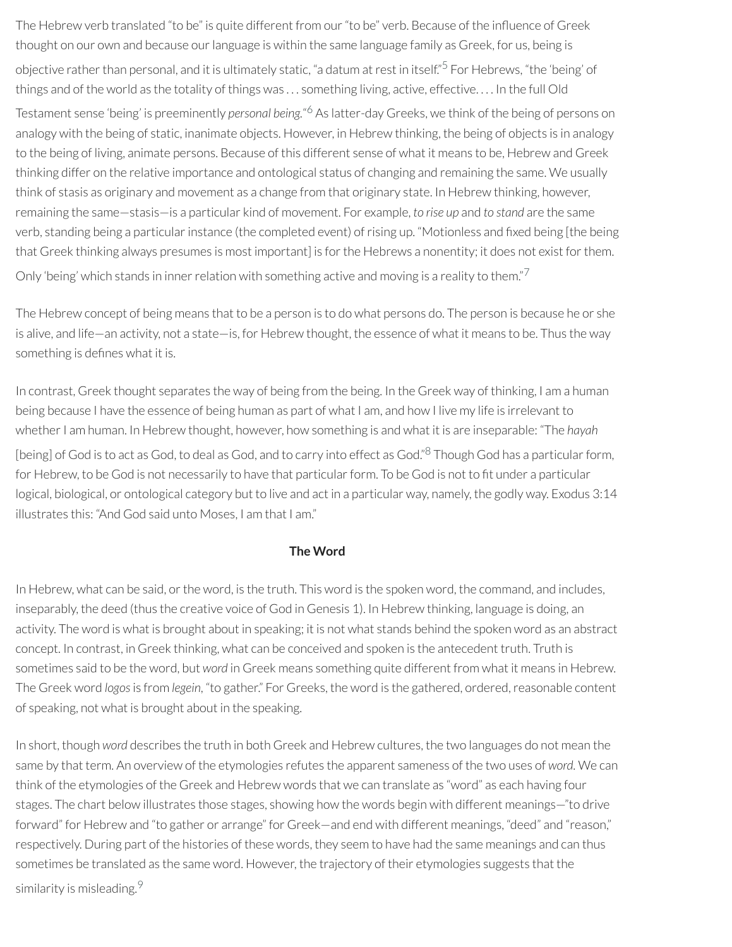The Hebrew verb translated "to be" is quite different from our "to be" verb. Because of the influence of Greek thought on our own and because our language is within the same language family as Greek, for us, being is objective rather than personal, and it is ultimately static, "a datum at rest in itself."<sup>[5](#page-73-4)</sup> For Hebrews, "the 'being' of things and of the world as the totality of things was . . . something living, active, effective. . . . In the full Old Testament sense 'being' is preeminently *personal being.*" [6](#page-73-5) As latter-day Greeks, we think of the being of persons on analogy with the being of static, inanimate objects. However, in Hebrew thinking, the being of objects is in analogy to the being of living, animate persons. Because of this different sense of what it means to be, Hebrew and Greek thinking differ on the relative importance and ontological status of changing and remaining the same. We usually think of stasis as originary and movement as a change from that originary state. In Hebrew thinking, however, remaining the same—stasis—is a particular kind of movement. For example, *to rise up* and *to stand* are the same verb, standing being a particular instance (the completed event) of rising up. "Motionless and fixed being [the being that Greek thinking always presumes is most important] is for the Hebrews a nonentity; it does not exist for them. Only 'being' which stands in inner relation with something active and moving is a reality to them."<sup>[7](#page-73-6)</sup>

The Hebrew concept of being means that to be a person is to do what persons do. The person is because he or she is alive, and life—an activity, not a state—is, for Hebrew thought, the essence of what it means to be. Thus the way something is defines what it is.

In contrast, Greek thought separates the way of being from the being. In the Greek way of thinking, I am a human being because I have the essence of being human as part of what I am, and how I live my life is irrelevant to whether I am human. In Hebrew thought, however, how something is and what it is are inseparable: "The *hayah* [being] of God is to act as God, to deal as God, and to carry into effect as God."<sup>[8](#page-73-7)</sup> Though God has a particular form, for Hebrew, to be God is not necessarily to have that particular form. To be God is not to fit under a particular logical, biological, or ontological category but to live and act in a particular way, namely, the godly way. Exodus 3:14 illustrates this: "And God said unto Moses, I am that I am."

#### **The Word**

In Hebrew, what can be said, or the word, is the truth. This word is the spoken word, the command, and includes, inseparably, the deed (thus the creative voice of God in Genesis 1). In Hebrew thinking, language is doing, an activity. The word is what is brought about in speaking; it is not what stands behind the spoken word as an abstract concept. In contrast, in Greek thinking, what can be conceived and spoken is the antecedent truth. Truth is sometimes said to be the word, but *word* in Greek means something quite different from what it means in Hebrew. The Greek word *logos* is from *legein*, "to gather." For Greeks, the word is the gathered, ordered, reasonable content of speaking, not what is brought about in the speaking.

In short, though *word* describes the truth in both Greek and Hebrew cultures, the two languages do not mean the same by that term. An overview of the etymologies refutes the apparent sameness of the two uses of *word.* We can think of the etymologies of the Greek and Hebrew words that we can translate as "word" as each having four stages. The chart below illustrates those stages, showing how the words begin with different meanings—"to drive forward" for Hebrew and "to gather or arrange" for Greek—and end with different meanings, "deed" and "reason," respectively. During part of the histories of these words, they seem to have had the same meanings and can thus sometimes be translated as the same word. However, the trajectory of their etymologies suggests that the similarity is misleading. [9](#page-73-8)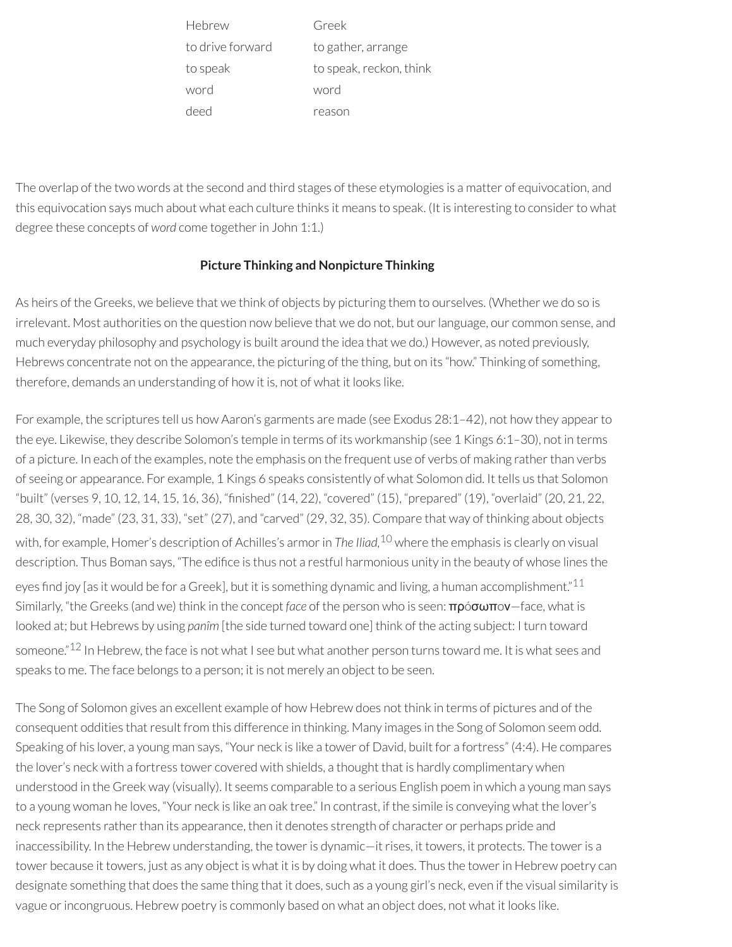Hebrew Greek to drive forward to gather, arrange to speak to speak, reckon, think word word deed reason

The overlap of the two words at the second and third stages of these etymologies is a matter of equivocation, and this equivocation says much about what each culture thinks it means to speak. (It is interesting to consider to what degree these concepts of *word* come together in John 1:1.)

#### **Picture Thinking and Nonpicture Thinking**

As heirs of the Greeks, we believe that we think of objects by picturing them to ourselves. (Whether we do so is irrelevant. Most authorities on the question now believe that we do not, but ourlanguage, our common sense, and much everyday philosophy and psychology is built around the idea that we do.) However, as noted previously, Hebrews concentrate not on the appearance, the picturing of the thing, but on its "how." Thinking of something, therefore, demands an understanding of how it is, not of what it looks like.

For example, the scriptures tell us how Aaron's garments are made (see Exodus 28:1–42), not how they appearto the eye. Likewise, they describe Solomon's temple in terms of its workmanship (see 1 Kings 6:1–30), not in terms of a picture. In each of the examples, note the emphasis on the frequent use of verbs of making ratherthan verbs of seeing or appearance. For example, 1 Kings 6 speaks consistently of what Solomon did. It tells us that Solomon "built" (verses 9, 10, 12, 14, 15, 16, 36), "nished" (14, 22), "covered" (15), "prepared" (19), "overlaid" (20, 21, 22, 28, 30, 32), "made" (23, 31, 33), "set" (27), and "carved" (29, 32, 35). Compare that way of thinking about objects with, for example, Homer's description of Achilles's armor in *The Iliad*, <sup>[10](#page-73-9)</sup> where the emphasis is clearly on visual description. Thus Boman says, "The edifice is thus not a restful harmonious unity in the beauty of whose lines the eyes find joy [as it would be for a Greek], but it is something dynamic and living, a human accomplishment." $^{11}$  $^{11}$  $^{11}$ Similarly, "the Greeks (and we) think in the concept *face* of the person who is seen: πρóσωπoν—face, what is looked at; but Hebrews by using *panîm* [the side turned toward one] think of the acting subject: I turn toward someone."<sup>[12](#page-74-1)</sup> In Hebrew, the face is not what I see but what another person turns toward me. It is what sees and speaks to me. The face belongs to a person; it is not merely an object to be seen.

The Song of Solomon gives an excellent example of how Hebrew does not think in terms of pictures and of the consequent oddities that result from this difference in thinking. Many images in the Song of Solomon seem odd. Speaking of his lover, a young man says, "Your neck is like a tower of David, built for a fortress" (4:4). He compares the lover's neck with a fortress tower covered with shields, a thought that is hardly complimentary when understood in the Greek way (visually). It seems comparable to a serious English poem in which a young man says to a young woman he loves, "Your neck is like an oak tree." In contrast, if the simile is conveying what the lover's neck represents rather than its appearance, then it denotes strength of character or perhaps pride and inaccessibility. In the Hebrew understanding, the tower is dynamic—it rises, it towers, it protects. The tower is a tower because it towers, just as any object is what it is by doing what it does. Thus the tower in Hebrew poetry can designate something that does the same thing that it does, such as a young girl's neck, even if the visual similarity is vague orincongruous. Hebrew poetry is commonly based on what an object does, not what it looks like.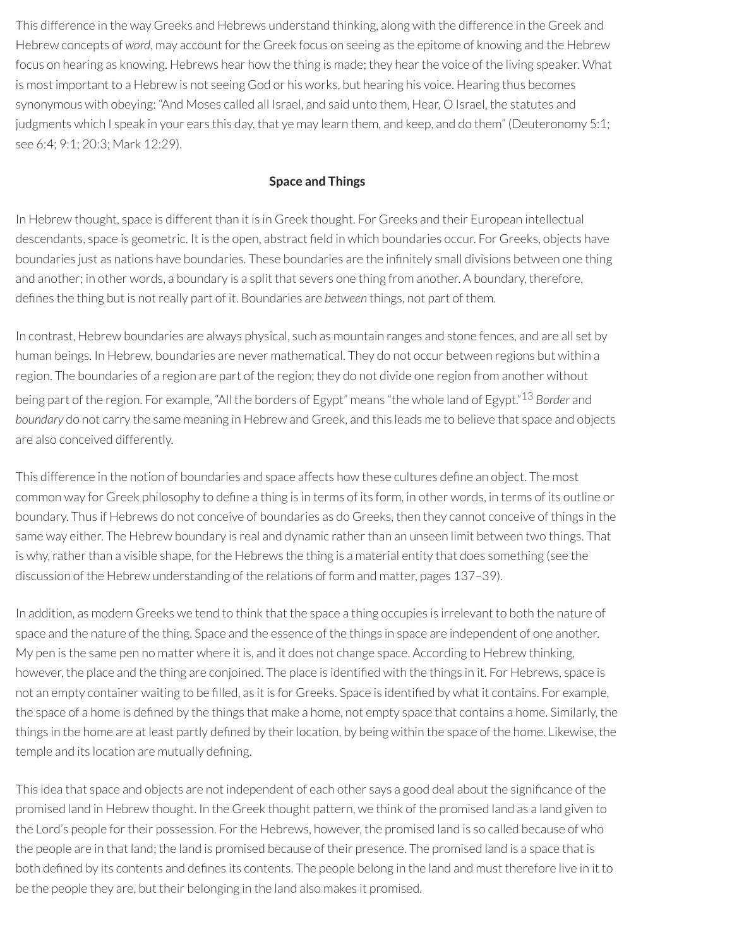This difference in the way Greeks and Hebrews understand thinking, along with the difference in the Greek and Hebrew concepts of *word*, may account for the Greek focus on seeing as the epitome of knowing and the Hebrew focus on hearing as knowing. Hebrews hear how the thing is made; they hear the voice of the living speaker. What is most important to a Hebrew is not seeing God or his works, but hearing his voice. Hearing thus becomes synonymous with obeying: "And Moses called all Israel, and said unto them, Hear, O Israel, the statutes and judgments which I speak in your ears this day, that ye may learn them, and keep, and do them" (Deuteronomy 5:1; see 6:4; 9:1; 20:3; Mark 12:29).

#### **Space and Things**

In Hebrew thought, space is different than it is in Greek thought. For Greeks and their European intellectual descendants, space is geometric. It is the open, abstract field in which boundaries occur. For Greeks, objects have boundaries just as nations have boundaries. These boundaries are the infinitely small divisions between one thing and another; in other words, a boundary is a split that severs one thing from another. A boundary, therefore, defines the thing but is not really part of it. Boundaries are *between* things, not part of them.

In contrast, Hebrew boundaries are always physical, such as mountain ranges and stone fences, and are all set by human beings. In Hebrew, boundaries are never mathematical. They do not occur between regions but within a region. The boundaries of a region are part of the region; they do not divide one region from another without being part of the region. For example, "All the borders of Egypt" means "the whole land of Egypt." [13](#page-74-2) *Border* and *boundary* do not carry the same meaning in Hebrew and Greek, and this leads me to believe that space and objects are also conceived differently.

This difference in the notion of boundaries and space affects how these cultures define an object. The most common way for Greek philosophy to define a thing is in terms of its form, in other words, in terms of its outline or boundary. Thus if Hebrews do not conceive of boundaries as do Greeks, then they cannot conceive of things in the same way either. The Hebrew boundary is real and dynamic rather than an unseen limit between two things. That is why, rather than a visible shape, for the Hebrews the thing is a material entity that does something (see the discussion of the Hebrew understanding of the relations of form and matter, pages 137–39).

In addition, as modern Greeks we tend to think that the space a thing occupies is irrelevant to both the nature of space and the nature of the thing. Space and the essence of the things in space are independent of one another. My pen is the same pen no matter where it is, and it does not change space. According to Hebrew thinking, however, the place and the thing are conjoined. The place is identified with the things in it. For Hebrews, space is not an empty container waiting to be filled, as it is for Greeks. Space is identified by what it contains. For example, the space of a home is defined by the things that make a home, not empty space that contains a home. Similarly, the things in the home are at least partly defined by their location, by being within the space of the home. Likewise, the temple and its location are mutually defining.

This idea that space and objects are not independent of each other says a good deal about the significance of the promised land in Hebrew thought. In the Greek thought pattern, we think of the promised land as a land given to the Lord's people for their possession. For the Hebrews, however, the promised land is so called because of who the people are in that land; the land is promised because of their presence. The promised land is a space that is both defined by its contents and defines its contents. The people belong in the land and must therefore live in it to be the people they are, but their belonging in the land also makes it promised.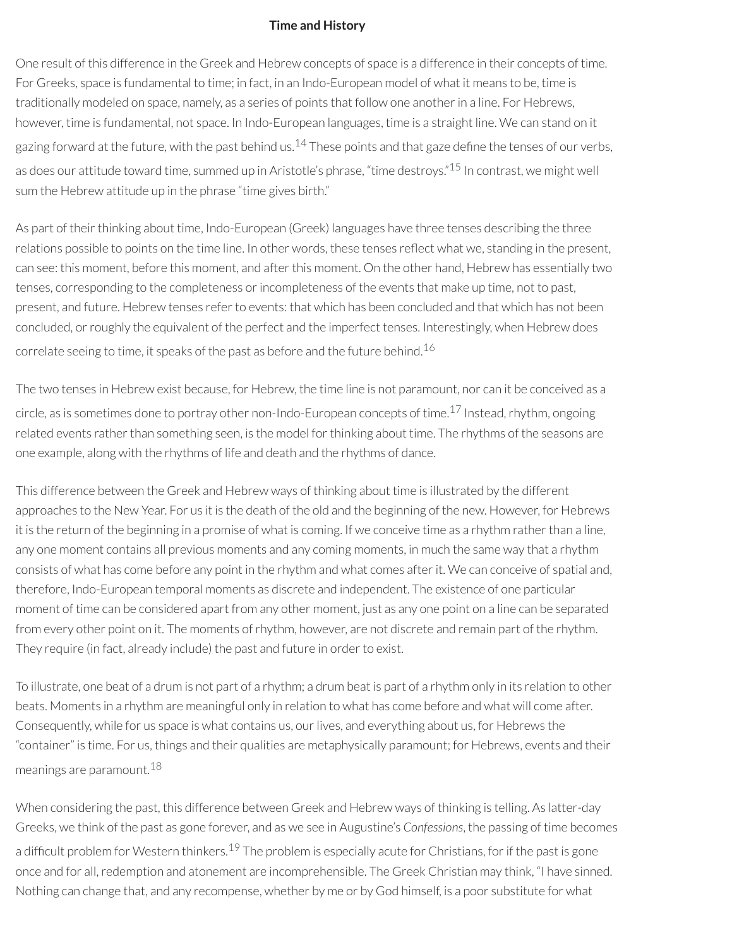#### **Time and History**

One result of this difference in the Greek and Hebrew concepts of space is a difference in their concepts of time. For Greeks, space is fundamental to time; in fact, in an Indo-European model of what it means to be, time is traditionally modeled on space, namely, as a series of points that follow one anotherin a line. For Hebrews, however, time is fundamental, not space. In Indo-European languages, time is a straight line. We can stand on it gazing forward at the future, with the past behind us.<sup>[14](#page-74-3)</sup> These points and that gaze define the tenses of our verbs, as does our attitude toward time, summed up in Aristotle's phrase, "time destroys."<sup>[15](#page-74-4)</sup> In contrast, we might well sum the Hebrew attitude up in the phrase "time gives birth."

As part of their thinking about time, Indo-European (Greek) languages have three tenses describing the three relations possible to points on the time line. In other words, these tenses reflect what we, standing in the present, can see: this moment, before this moment, and after this moment. On the other hand, Hebrew has essentially two tenses, corresponding to the completeness or incompleteness of the events that make up time, not to past, present, and future. Hebrew tenses referto events: that which has been concluded and that which has not been concluded, or roughly the equivalent of the perfect and the imperfect tenses. Interestingly, when Hebrew does correlate seeing to time, it speaks of the past as before and the future behind. $^{16}$  $^{16}$  $^{16}$ 

The two tenses in Hebrew exist because, for Hebrew, the time line is not paramount, nor can it be conceived as a circle, as is sometimes done to portray other non-Indo-European concepts of time.<sup>[17](#page-74-6)</sup> Instead, rhythm, ongoing related events rather than something seen, is the model for thinking about time. The rhythms of the seasons are one example, along with the rhythms of life and death and the rhythms of dance.

This difference between the Greek and Hebrew ways of thinking about time is illustrated by the different approaches to the New Year. For us it is the death of the old and the beginning of the new. However, for Hebrews it is the return of the beginning in a promise of what is coming. If we conceive time as a rhythm rather than a line, any one moment contains all previous moments and any coming moments, in much the same way that a rhythm consists of what has come before any point in the rhythm and what comes afterit. We can conceive of spatial and, therefore, Indo-European temporal moments as discrete and independent. The existence of one particular moment of time can be considered apart from any other moment, just as any one point on a line can be separated from every other point on it. The moments of rhythm, however, are not discrete and remain part of the rhythm. They require (in fact, already include) the past and future in order to exist.

To illustrate, one beat of a drum is not part of a rhythm; a drum beat is part of a rhythm only in its relation to other beats. Moments in a rhythm are meaningful only in relation to what has come before and what will come after. Consequently, while for us space is what contains us, ourlives, and everything about us, for Hebrews the "container" is time. For us, things and their qualities are metaphysically paramount; for Hebrews, events and their meanings are paramount. $^{18}$  $^{18}$  $^{18}$ 

When considering the past, this difference between Greek and Hebrew ways of thinking is telling. As latter-day Greeks, we think of the past as gone forever, and as we see in Augustine's *Confessions*, the passing of time becomes a difficult problem for Western thinkers.<sup>[19](#page-74-8)</sup> The problem is especially acute for Christians, for if the past is gone once and for all, redemption and atonement are incomprehensible. The Greek Christian may think, "I have sinned. Nothing can change that, and any recompense, whether by me or by God himself, is a poor substitute for what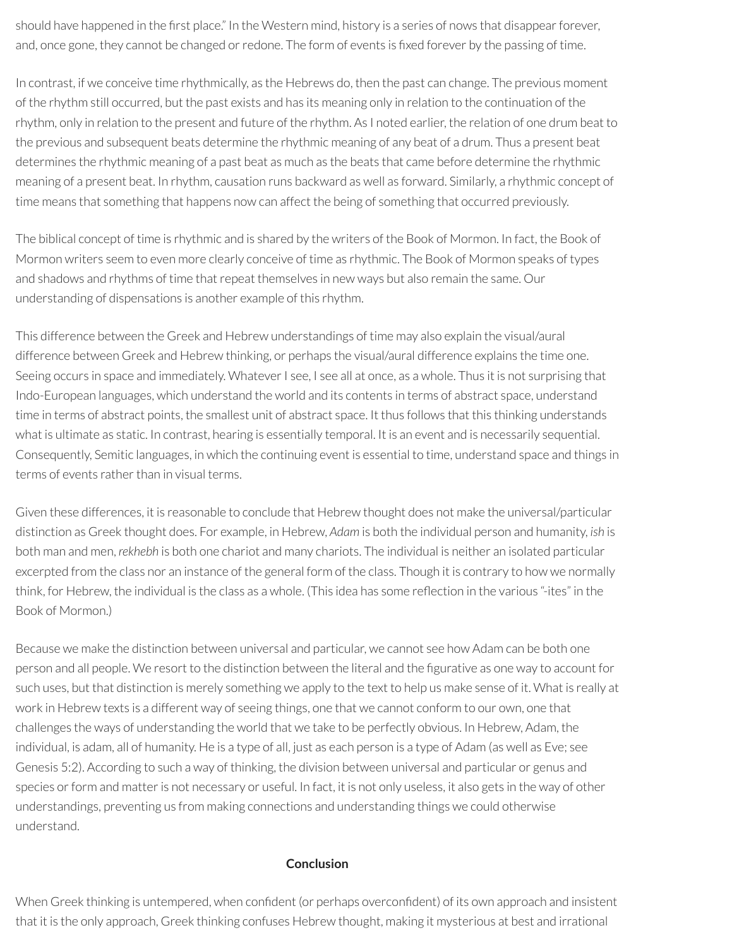should have happened in the first place." In the Western mind, history is a series of nows that disappear forever, and, once gone, they cannot be changed or redone. The form of events is fixed forever by the passing of time.

In contrast, if we conceive time rhythmically, as the Hebrews do, then the past can change. The previous moment of the rhythm still occurred, but the past exists and has its meaning only in relation to the continuation of the rhythm, only in relation to the present and future of the rhythm. As I noted earlier, the relation of one drum beat to the previous and subsequent beats determine the rhythmic meaning of any beat of a drum. Thus a present beat determines the rhythmic meaning of a past beat as much as the beats that came before determine the rhythmic meaning of a present beat. In rhythm, causation runs backward as well as forward. Similarly, a rhythmic concept of time means that something that happens now can affect the being of something that occurred previously.

The biblical concept of time is rhythmic and is shared by the writers of the Book of Mormon. In fact, the Book of Mormon writers seem to even more clearly conceive of time as rhythmic. The Book of Mormon speaks of types and shadows and rhythms of time that repeat themselves in new ways but also remain the same. Our understanding of dispensations is another example of this rhythm.

This difference between the Greek and Hebrew understandings of time may also explain the visual/aural difference between Greek and Hebrew thinking, or perhaps the visual/aural difference explains the time one. Seeing occurs in space and immediately. Whatever I see, I see all at once, as a whole. Thus it is not surprising that Indo-European languages, which understand the world and its contents in terms of abstract space, understand time in terms of abstract points, the smallest unit of abstract space. It thus follows that this thinking understands what is ultimate as static. In contrast, hearing is essentially temporal. It is an event and is necessarily sequential. Consequently, Semitic languages, in which the continuing event is essential to time, understand space and things in terms of events rather than in visual terms.

Given these differences, it is reasonable to conclude that Hebrew thought does not make the universal/particular distinction as Greek thought does. For example, in Hebrew, *Adam* is both the individual person and humanity, *ish* is both man and men, *rekhebh* is both one chariot and many chariots. The individual is neither an isolated particular excerpted from the class nor an instance of the general form of the class. Though it is contrary to how we normally think, for Hebrew, the individual is the class as a whole. (This idea has some reflection in the various "-ites" in the Book of Mormon.)

Because we make the distinction between universal and particular, we cannot see how Adam can be both one person and all people. We resort to the distinction between the literal and the gurative as one way to account for such uses, but that distinction is merely something we apply to the text to help us make sense of it. What is really at work in Hebrew texts is a different way of seeing things, one that we cannot conform to our own, one that challenges the ways of understanding the world that we take to be perfectly obvious. In Hebrew, Adam, the individual, is adam, all of humanity. He is a type of all, just as each person is a type of Adam (as well as Eve; see Genesis 5:2). According to such a way of thinking, the division between universal and particular or genus and species or form and matter is not necessary or useful. In fact, it is not only useless, it also gets in the way of other understandings, preventing us from making connections and understanding things we could otherwise understand.

## **Conclusion**

When Greek thinking is untempered, when confident (or perhaps overconfident) of its own approach and insistent that it is the only approach, Greek thinking confuses Hebrew thought, making it mysterious at best and irrational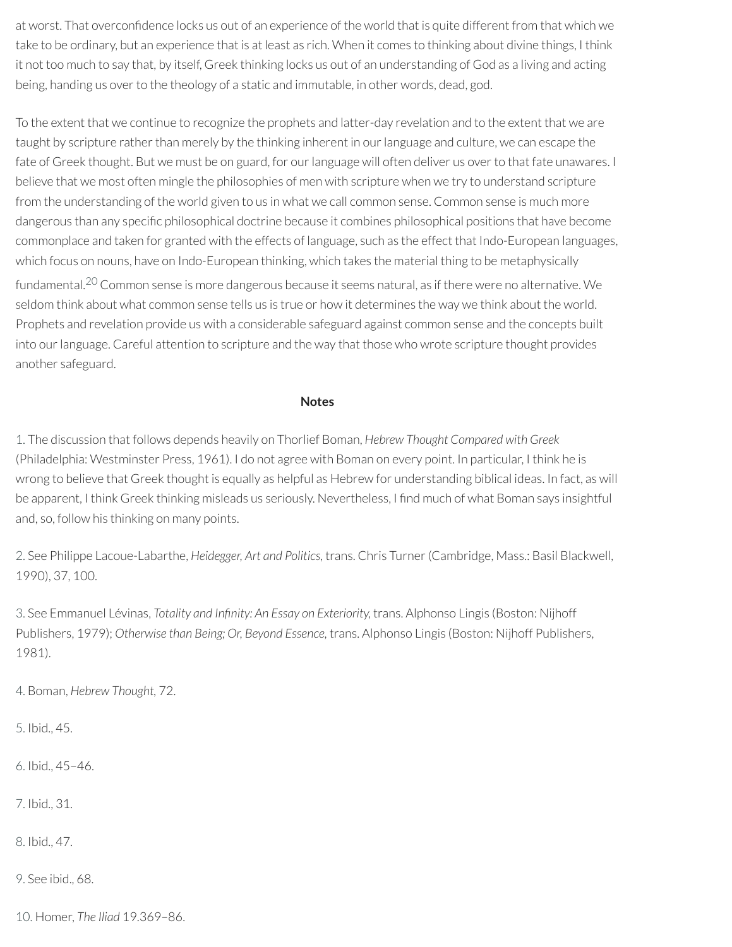at worst. That overconfidence locks us out of an experience of the world that is quite different from that which we take to be ordinary, but an experience that is at least as rich. When it comes to thinking about divine things, I think it not too much to say that, by itself, Greek thinking locks us out of an understanding of God as a living and acting being, handing us over to the theology of a static and immutable, in other words, dead, god.

To the extent that we continue to recognize the prophets and latter-day revelation and to the extent that we are taught by scripture rather than merely by the thinking inherent in our language and culture, we can escape the fate of Greek thought. But we must be on guard, for our language will often deliver us over to that fate unawares. I believe that we most often mingle the philosophies of men with scripture when we try to understand scripture from the understanding of the world given to us in what we call common sense. Common sense is much more dangerous than any specific philosophical doctrine because it combines philosophical positions that have become commonplace and taken for granted with the effects of language, such as the effect that Indo-European languages, which focus on nouns, have on Indo-European thinking, which takes the material thing to be metaphysically

<span id="page-73-0"></span>fundamental. [20](#page-74-0) Common sense is more dangerous because it seems natural, as if there were no alternative. We seldom think about what common sense tells us is true or how it determines the way we think about the world. Prophets and revelation provide us with a considerable safeguard against common sense and the concepts built into our language. Careful attention to scripture and the way that those who wrote scripture thought provides another safeguard.

## **Notes**

[1.](#page-66-0) The discussion that follows depends heavily on Thorlief Boman, *Hebrew Thought Compared with Greek* (Philadelphia: Westminster Press, 1961). I do not agree with Boman on every point. In particular, I think he is wrong to believe that Greek thought is equally as helpful as Hebrew for understanding biblical ideas. In fact, as will be apparent, I think Greek thinking misleads us seriously. Nevertheless, I find much of what Boman says insightful and, so, follow his thinking on many points.

[2.](#page-66-1) See Philippe Lacoue-Labarthe, *Heidegger, Art and Politics,* trans. Chris Turner(Cambridge, Mass.: Basil Blackwell, 1990), 37, 100.

[3.](#page-66-2) See Emmanuel Lévinas, *Totality and Innity: An Essay on Exteriority,* trans. Alphonso Lingis (Boston: Nijhoff Publishers, 1979); *Otherwise than Being; Or, Beyond Essence,* trans. Alphonso Lingis (Boston: Nijhoff Publishers, 1981).

[4.](#page-67-0) Boman, *Hebrew Thought,* 72.

[5.](#page-68-0) Ibid., 45.

[6.](#page-68-1) Ibid., 45–46.

[7.](#page-68-2) Ibid., 31.

[8.](#page-68-3) Ibid., 47.

[9.](#page-68-4) See ibid., 68.

[10.](#page-69-0) Homer, *The Iliad* 19.369–86.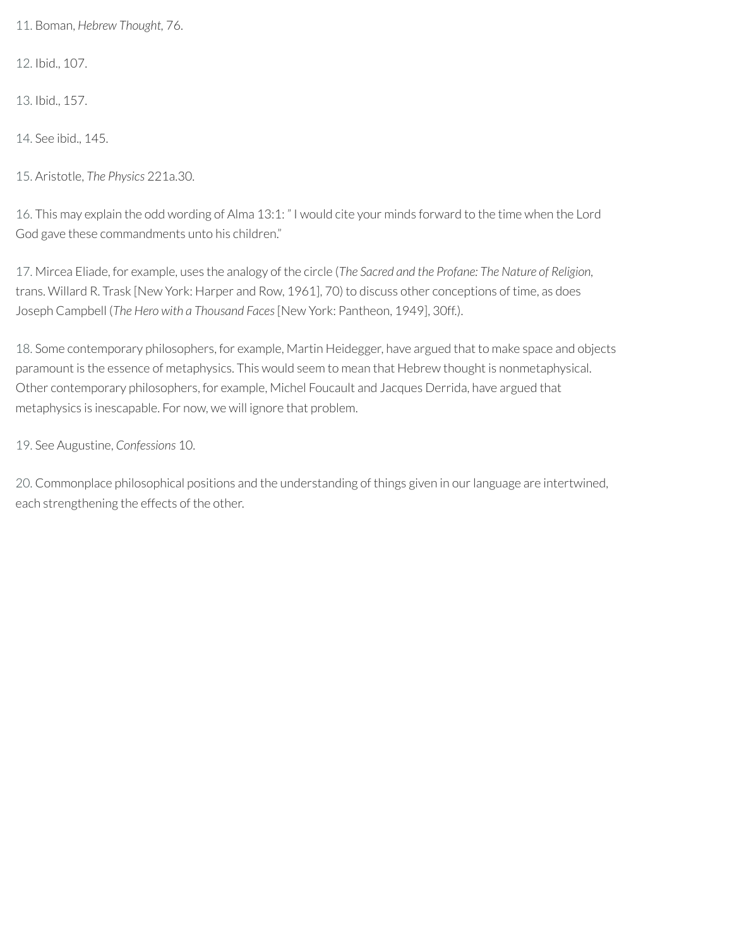[11.](#page-69-1) Boman, *Hebrew Thought,* 76.

[12.](#page-69-2) Ibid., 107.

[13.](#page-70-0) Ibid., 157.

[14.](#page-71-0) See ibid., 145.

[15.](#page-71-1) Aristotle, *The Physics* 221a.30.

[16.](#page-71-2) This may explain the odd wording of Alma 13:1: " I would cite your minds forward to the time when the Lord God gave these commandments unto his children."

[17.](#page-71-3) Mircea Eliade, for example, uses the analogy of the circle (*The Sacred and the Profane: The Nature of Religion,* trans. Willard R. Trask [New York: Harper and Row, 1961], 70) to discuss other conceptions of time, as does Joseph Campbell (*The Hero with a Thousand Faces*[New York: Pantheon, 1949], 30ff.).

[18.](#page-71-4) Some contemporary philosophers, for example, Martin Heidegger, have argued that to make space and objects paramount is the essence of metaphysics. This would seem to mean that Hebrew thought is nonmetaphysical. Other contemporary philosophers, for example, Michel Foucault and Jacques Derrida, have argued that metaphysics is inescapable. For now, we will ignore that problem.

[19.](#page-71-5) See Augustine, *Confessions* 10.

<span id="page-74-0"></span>[20.](#page-73-0) Commonplace philosophical positions and the understanding of things given in ourlanguage are intertwined, each strengthening the effects of the other.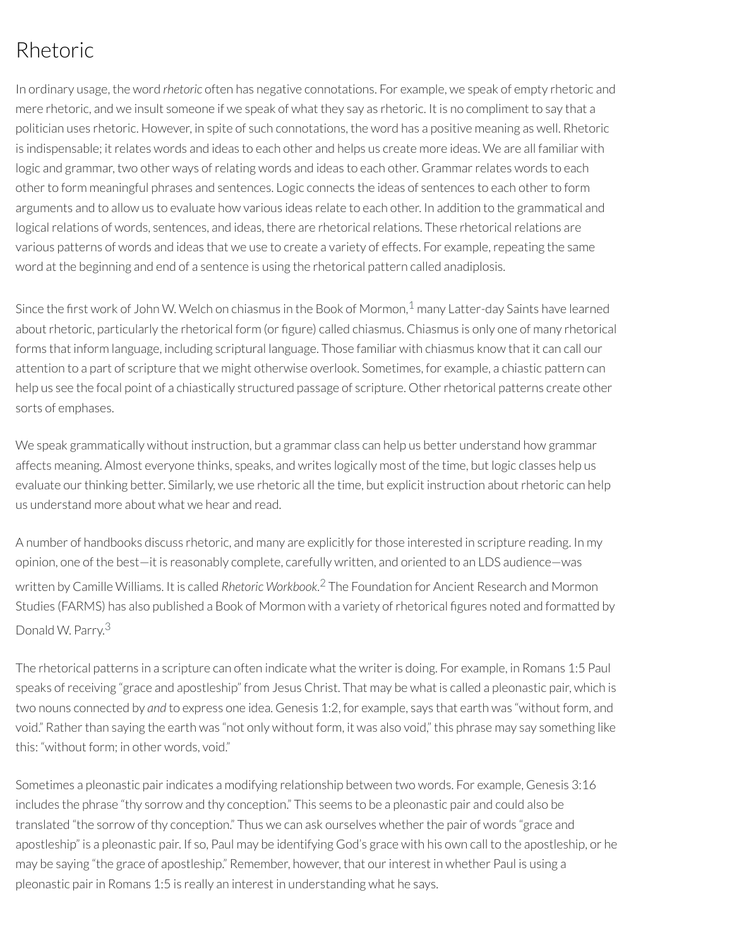## Rhetoric

In ordinary usage, the word *rhetoric* often has negative connotations. For example, we speak of empty rhetoric and mere rhetoric, and we insult someone if we speak of what they say as rhetoric. It is no compliment to say that a politician uses rhetoric. However, in spite of such connotations, the word has a positive meaning as well. Rhetoric is indispensable; itrelates words and ideas to each other and helps us create more ideas. We are all familiar with logic and grammar, two other ways of relating words and ideas to each other. Grammar relates words to each other to form meaningful phrases and sentences. Logic connects the ideas of sentences to each other to form arguments and to allow us to evaluate how various ideas relate to each other. In addition to the grammatical and logical relations of words, sentences, and ideas, there are rhetorical relations. These rhetorical relations are various patterns of words and ideas that we use to create a variety of effects. For example, repeating the same word at the beginning and end of a sentence is using the rhetorical pattern called anadiplosis.

<span id="page-75-0"></span>Since the first work of John W. Welch on chiasmus in the Book of Mormon, $^1$  $^1$  many Latter-day Saints have learned about rhetoric, particularly the rhetorical form (or figure) called chiasmus. Chiasmus is only one of many rhetorical forms that inform language, including scriptural language. Those familiar with chiasmus know that it can call our attention to a part of scripture that we might otherwise overlook. Sometimes, for example, a chiastic pattern can help us see the focal point of a chiastically structured passage of scripture. Other rhetorical patterns create other sorts of emphases.

We speak grammatically without instruction, but a grammar class can help us better understand how grammar affects meaning. Almost everyone thinks, speaks, and writes logically most of the time, but logic classes help us evaluate our thinking better. Similarly, we use rhetoric all the time, but explicit instruction about rhetoric can help us understand more about what we hear and read.

<span id="page-75-1"></span>A number of handbooks discuss rhetoric, and many are explicitly for those interested in scripture reading. In my opinion, one of the best—it is reasonably complete, carefully written, and oriented to an LDS audience—was written by Camille Williams. It is called *Rhetoric Workbook*. [2](#page-77-1) The Foundation for Ancient Research and Mormon Studies (FARMS) has also published a Book of Mormon with a variety of rhetorical figures noted and formatted by Donald W. Parry.<sup>[3](#page-77-2)</sup>

<span id="page-75-2"></span>The rhetorical patterns in a scripture can often indicate what the writeris doing. For example, in Romans 1:5 Paul speaks ofreceiving "grace and apostleship" from Jesus Christ. That may be what is called a pleonastic pair, which is two nouns connected by *and* to express one idea. Genesis 1:2, for example, says that earth was "without form, and void." Rather than saying the earth was "not only without form, it was also void," this phrase may say something like this: "without form; in other words, void."

Sometimes a pleonastic pairindicates a modifying relationship between two words. For example, Genesis 3:16 includes the phrase "thy sorrow and thy conception." This seems to be a pleonastic pair and could also be translated "the sorrow of thy conception." Thus we can ask ourselves whether the pair of words "grace and apostleship" is a pleonastic pair. If so, Paul may be identifying God's grace with his own call to the apostleship, or he may be saying "the grace of apostleship." Remember, however, that ourinterest in whether Paul is using a pleonastic pair in Romans 1:5 is really an interest in understanding what he says.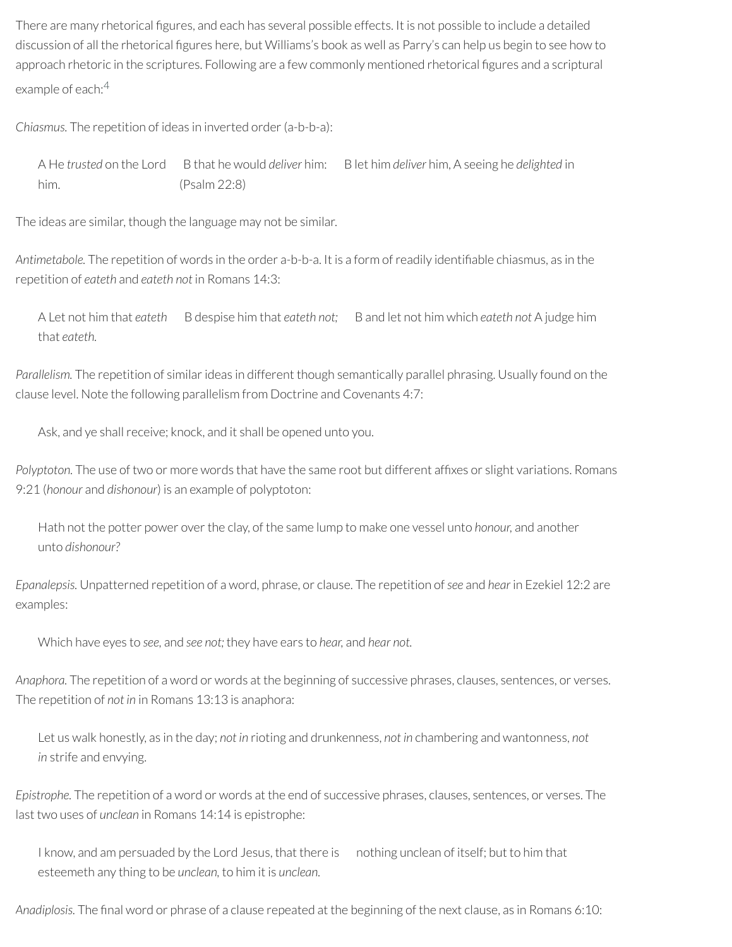There are many rhetorical figures, and each has several possible effects. It is not possible to include a detailed discussion of all the rhetorical figures here, but Williams's book as well as Parry's can help us begin to see how to approach rhetoric in the scriptures. Following are a few commonly mentioned rhetorical figures and a scriptural example of each: [4](#page-77-3)

<span id="page-76-0"></span>*Chiasmus.* The repetition of ideas in inverted order(a-b-b-a):

```
A He trusted on the Lord B that he would deliver him: B let him deliver him, A seeing he delighted in
him. (Psalm 22:8)
```
The ideas are similar, though the language may not be similar.

Antimetabole. The repetition of words in the order a-b-b-a. It is a form of readily identifiable chiasmus, as in the repetition of *eateth* and *eateth not* in Romans 14:3:

A Let not him that *eateth* B despise him that *eateth not;* B and let not him which *eateth not* A judge him that *eateth.*

Parallelism. The repetition of similar ideas in different though semantically parallel phrasing. Usually found on the clause level. Note the following parallelism from Doctrine and Covenants 4:7:

Ask, and ye shall receive; knock, and it shall be opened unto you.

Polyptoton. The use of two or more words that have the same root but different affixes or slight variations. Romans 9:21 (*honour* and *dishonour*) is an example of polyptoton:

Hath not the potter power overthe clay, of the same lump to make one vessel unto *honour,* and another unto *dishonour?*

*Epanalepsis.* Unpatterned repetition of a word, phrase, or clause. The repetition of*see* and *hear* in Ezekiel 12:2 are examples:

Which have eyes to *see,* and *see not;* they have ears to *hear,* and *hear not.*

*Anaphora.* The repetition of a word or words at the beginning of successive phrases, clauses, sentences, or verses. The repetition of *not in* in Romans 13:13 is anaphora:

Let us walk honestly, as in the day; *not in* rioting and drunkenness, *not in* chambering and wantonness, *not in* strife and envying.

*Epistrophe.* The repetition of a word or words at the end of successive phrases, clauses, sentences, or verses. The last two uses of *unclean* in Romans 14:14 is epistrophe:

I know, and am persuaded by the Lord Jesus, that there is nothing unclean of itself; but to him that esteemeth any thing to be *unclean,* to him it is *unclean.*

Anadiplosis. The final word or phrase of a clause repeated at the beginning of the next clause, as in Romans 6:10: